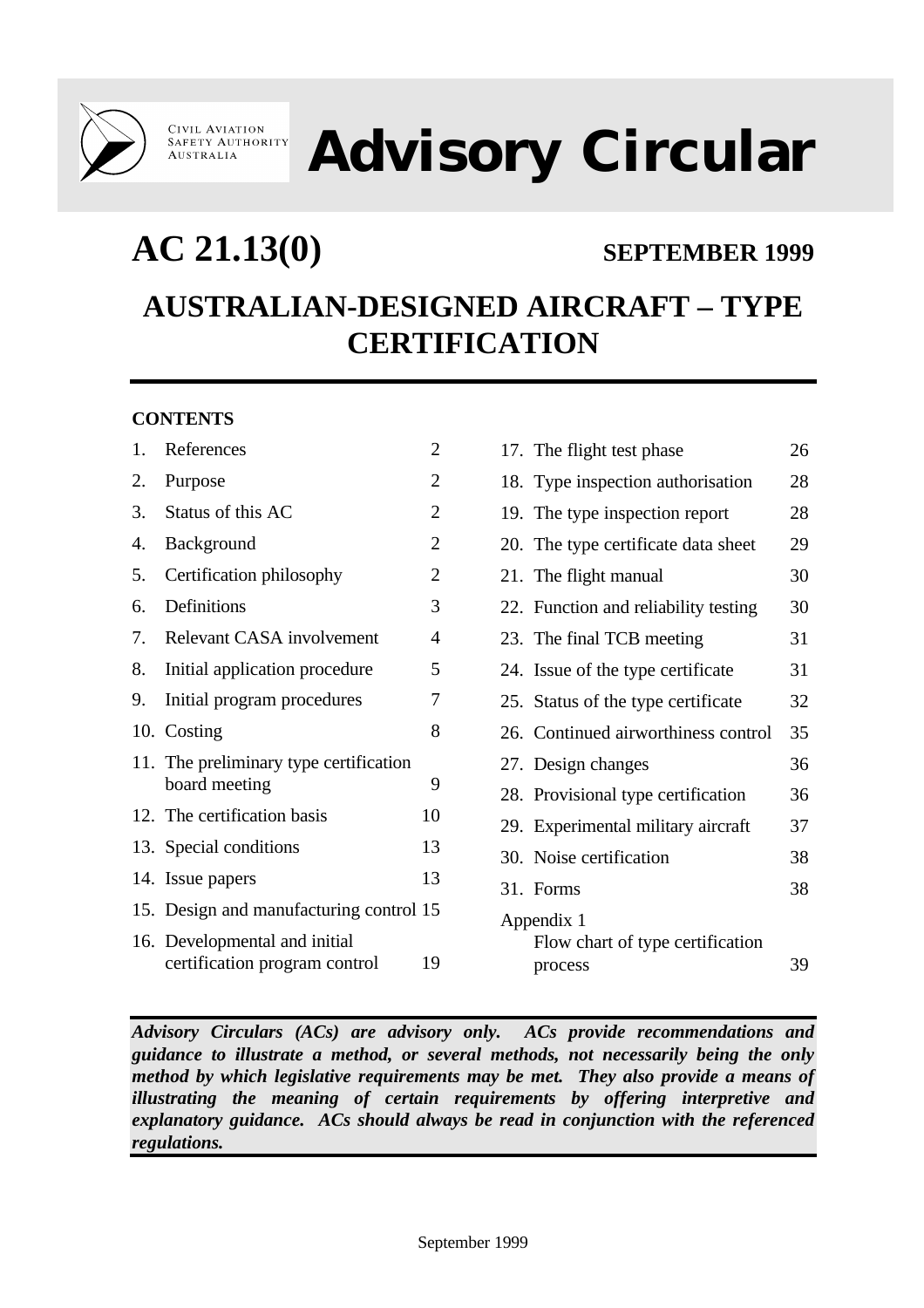

**CIVIL AVIATION<br>SAFETY AUTHORITY AUSTRALIA** 

**Advisory Circular**

## **AC 21.13(0) SEPTEMBER 1999**

# **AUSTRALIAN-DESIGNED AIRCRAFT – TYPE CERTIFICATION**

## **CONTENTS**

| 1. | References                                                     | $\overline{c}$ |
|----|----------------------------------------------------------------|----------------|
| 2. | Purpose                                                        | $\overline{2}$ |
| 3. | Status of this AC                                              | $\overline{2}$ |
| 4. | Background                                                     | $\overline{2}$ |
| 5. | Certification philosophy                                       | $\overline{2}$ |
| 6. | Definitions                                                    | 3              |
| 7. | Relevant CASA involvement                                      | 4              |
| 8. | Initial application procedure                                  | 5              |
| 9. | Initial program procedures                                     | 7              |
|    | 10. Costing                                                    | 8              |
|    | 11. The preliminary type certification<br>board meeting        | 9              |
|    | 12. The certification basis                                    | 10             |
|    | 13. Special conditions                                         | 13             |
|    | 14. Issue papers                                               | 13             |
|    | 15. Design and manufacturing control 15                        |                |
|    | 16. Developmental and initial<br>certification program control | 19             |

|            | 17. The flight test phase            | 26 |  |  |  |  |
|------------|--------------------------------------|----|--|--|--|--|
|            | 18. Type inspection authorisation    | 28 |  |  |  |  |
|            | 19. The type inspection report       | 28 |  |  |  |  |
|            | 20. The type certificate data sheet  | 29 |  |  |  |  |
|            | 21. The flight manual                | 30 |  |  |  |  |
|            | 22. Function and reliability testing | 30 |  |  |  |  |
|            | 23. The final TCB meeting            | 31 |  |  |  |  |
|            | 24. Issue of the type certificate    | 31 |  |  |  |  |
|            | 25. Status of the type certificate   | 32 |  |  |  |  |
|            | 26. Continued airworthiness control  | 35 |  |  |  |  |
|            | 27. Design changes                   | 36 |  |  |  |  |
|            | 28. Provisional type certification   | 36 |  |  |  |  |
|            | 29. Experimental military aircraft   | 37 |  |  |  |  |
|            | 30. Noise certification              | 38 |  |  |  |  |
|            | 31. Forms                            | 38 |  |  |  |  |
| Appendix 1 |                                      |    |  |  |  |  |
|            | Flow chart of type certification     |    |  |  |  |  |
|            | process                              | 39 |  |  |  |  |

*Advisory Circulars (ACs) are advisory only. ACs provide recommendations and guidance to illustrate a method, or several methods, not necessarily being the only method by which legislative requirements may be met. They also provide a means of illustrating the meaning of certain requirements by offering interpretive and explanatory guidance. ACs should always be read in conjunction with the referenced regulations.*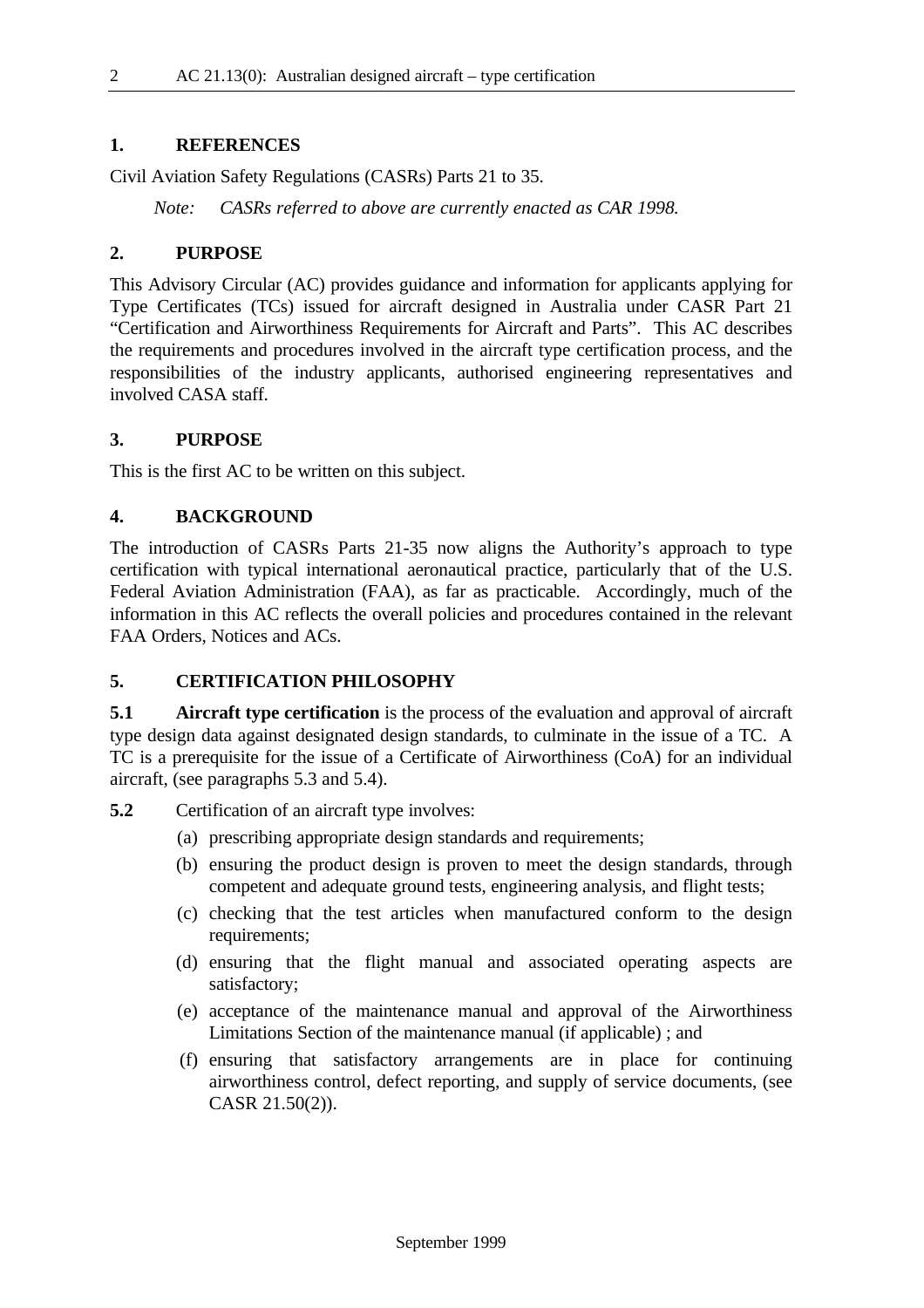#### **1. REFERENCES**

Civil Aviation Safety Regulations (CASRs) Parts 21 to 35.

*Note: CASRs referred to above are currently enacted as CAR 1998.*

#### **2. PURPOSE**

This Advisory Circular (AC) provides guidance and information for applicants applying for Type Certificates (TCs) issued for aircraft designed in Australia under CASR Part 21 "Certification and Airworthiness Requirements for Aircraft and Parts". This AC describes the requirements and procedures involved in the aircraft type certification process, and the responsibilities of the industry applicants, authorised engineering representatives and involved CASA staff.

#### **3. PURPOSE**

This is the first AC to be written on this subject.

#### **4. BACKGROUND**

The introduction of CASRs Parts 21-35 now aligns the Authority's approach to type certification with typical international aeronautical practice, particularly that of the U.S. Federal Aviation Administration (FAA), as far as practicable. Accordingly, much of the information in this AC reflects the overall policies and procedures contained in the relevant FAA Orders, Notices and ACs.

#### **5. CERTIFICATION PHILOSOPHY**

**5.1 Aircraft type certification** is the process of the evaluation and approval of aircraft type design data against designated design standards, to culminate in the issue of a TC. A TC is a prerequisite for the issue of a Certificate of Airworthiness (CoA) for an individual aircraft, (see paragraphs 5.3 and 5.4).

**5.2** Certification of an aircraft type involves:

- (a) prescribing appropriate design standards and requirements;
- (b) ensuring the product design is proven to meet the design standards, through competent and adequate ground tests, engineering analysis, and flight tests;
- (c) checking that the test articles when manufactured conform to the design requirements;
- (d) ensuring that the flight manual and associated operating aspects are satisfactory;
- (e) acceptance of the maintenance manual and approval of the Airworthiness Limitations Section of the maintenance manual (if applicable) ; and
- (f) ensuring that satisfactory arrangements are in place for continuing airworthiness control, defect reporting, and supply of service documents, (see CASR 21.50(2)).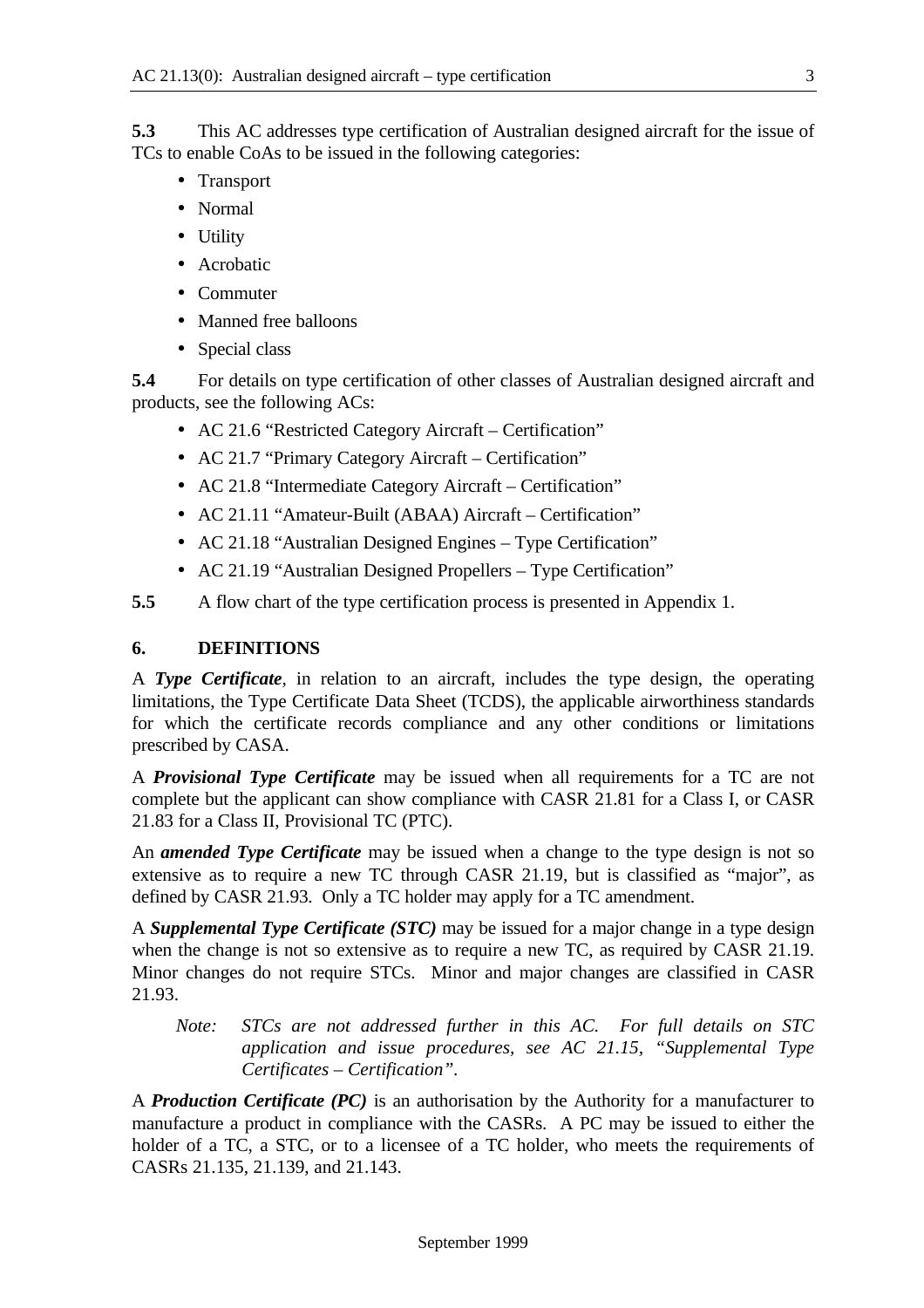**5.3** This AC addresses type certification of Australian designed aircraft for the issue of TCs to enable CoAs to be issued in the following categories:

- Transport
- Normal
- Utility
- Acrobatic
- Commuter
- Manned free balloons
- Special class

**5.4** For details on type certification of other classes of Australian designed aircraft and products, see the following ACs:

- AC 21.6 "Restricted Category Aircraft Certification"
- AC 21.7 "Primary Category Aircraft Certification"
- AC 21.8 "Intermediate Category Aircraft Certification"
- AC 21.11 "Amateur-Built (ABAA) Aircraft Certification"
- AC 21.18 "Australian Designed Engines Type Certification"
- AC 21.19 "Australian Designed Propellers Type Certification"
- **5.5** A flow chart of the type certification process is presented in Appendix 1.

## **6. DEFINITIONS**

A *Type Certificate*, in relation to an aircraft, includes the type design, the operating limitations, the Type Certificate Data Sheet (TCDS), the applicable airworthiness standards for which the certificate records compliance and any other conditions or limitations prescribed by CASA.

A *Provisional Type Certificate* may be issued when all requirements for a TC are not complete but the applicant can show compliance with CASR 21.81 for a Class I, or CASR 21.83 for a Class II, Provisional TC (PTC).

An *amended Type Certificate* may be issued when a change to the type design is not so extensive as to require a new TC through CASR 21.19, but is classified as "major", as defined by CASR 21.93. Only a TC holder may apply for a TC amendment.

A *Supplemental Type Certificate (STC)* may be issued for a major change in a type design when the change is not so extensive as to require a new TC, as required by CASR 21.19. Minor changes do not require STCs. Minor and major changes are classified in CASR 21.93.

*Note: STCs are not addressed further in this AC. For full details on STC application and issue procedures, see AC 21.15, "Supplemental Type Certificates – Certification".*

A *Production Certificate (PC)* is an authorisation by the Authority for a manufacturer to manufacture a product in compliance with the CASRs. A PC may be issued to either the holder of a TC, a STC, or to a licensee of a TC holder, who meets the requirements of CASRs 21.135, 21.139, and 21.143.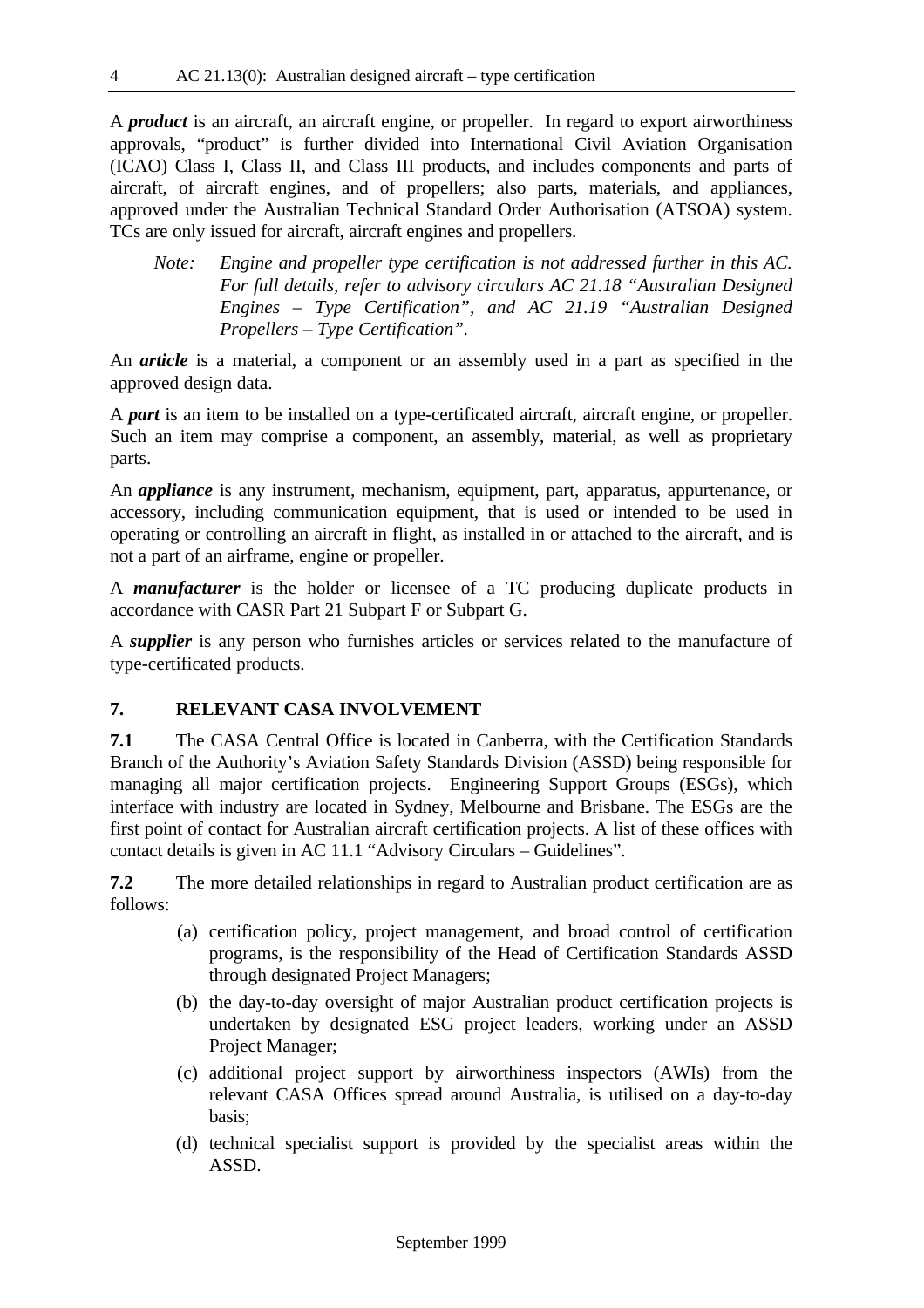A *product* is an aircraft, an aircraft engine, or propeller. In regard to export airworthiness approvals, "product" is further divided into International Civil Aviation Organisation (ICAO) Class I, Class II, and Class III products, and includes components and parts of aircraft, of aircraft engines, and of propellers; also parts, materials, and appliances, approved under the Australian Technical Standard Order Authorisation (ATSOA) system. TCs are only issued for aircraft, aircraft engines and propellers.

*Note: Engine and propeller type certification is not addressed further in this AC. For full details, refer to advisory circulars AC 21.18 "Australian Designed Engines – Type Certification", and AC 21.19 "Australian Designed Propellers – Type Certification".*

An *article* is a material, a component or an assembly used in a part as specified in the approved design data.

A *part* is an item to be installed on a type-certificated aircraft, aircraft engine, or propeller. Such an item may comprise a component, an assembly, material, as well as proprietary parts.

An *appliance* is any instrument, mechanism, equipment, part, apparatus, appurtenance, or accessory, including communication equipment, that is used or intended to be used in operating or controlling an aircraft in flight, as installed in or attached to the aircraft, and is not a part of an airframe, engine or propeller.

A *manufacturer* is the holder or licensee of a TC producing duplicate products in accordance with CASR Part 21 Subpart F or Subpart G.

A *supplier* is any person who furnishes articles or services related to the manufacture of type-certificated products.

## **7. RELEVANT CASA INVOLVEMENT**

**7.1** The CASA Central Office is located in Canberra, with the Certification Standards Branch of the Authority's Aviation Safety Standards Division (ASSD) being responsible for managing all major certification projects. Engineering Support Groups (ESGs), which interface with industry are located in Sydney, Melbourne and Brisbane. The ESGs are the first point of contact for Australian aircraft certification projects. A list of these offices with contact details is given in AC 11.1 "Advisory Circulars – Guidelines".

**7.2** The more detailed relationships in regard to Australian product certification are as follows:

- (a) certification policy, project management, and broad control of certification programs, is the responsibility of the Head of Certification Standards ASSD through designated Project Managers;
- (b) the day-to-day oversight of major Australian product certification projects is undertaken by designated ESG project leaders, working under an ASSD Project Manager;
- (c) additional project support by airworthiness inspectors (AWIs) from the relevant CASA Offices spread around Australia, is utilised on a day-to-day basis;
- (d) technical specialist support is provided by the specialist areas within the ASSD.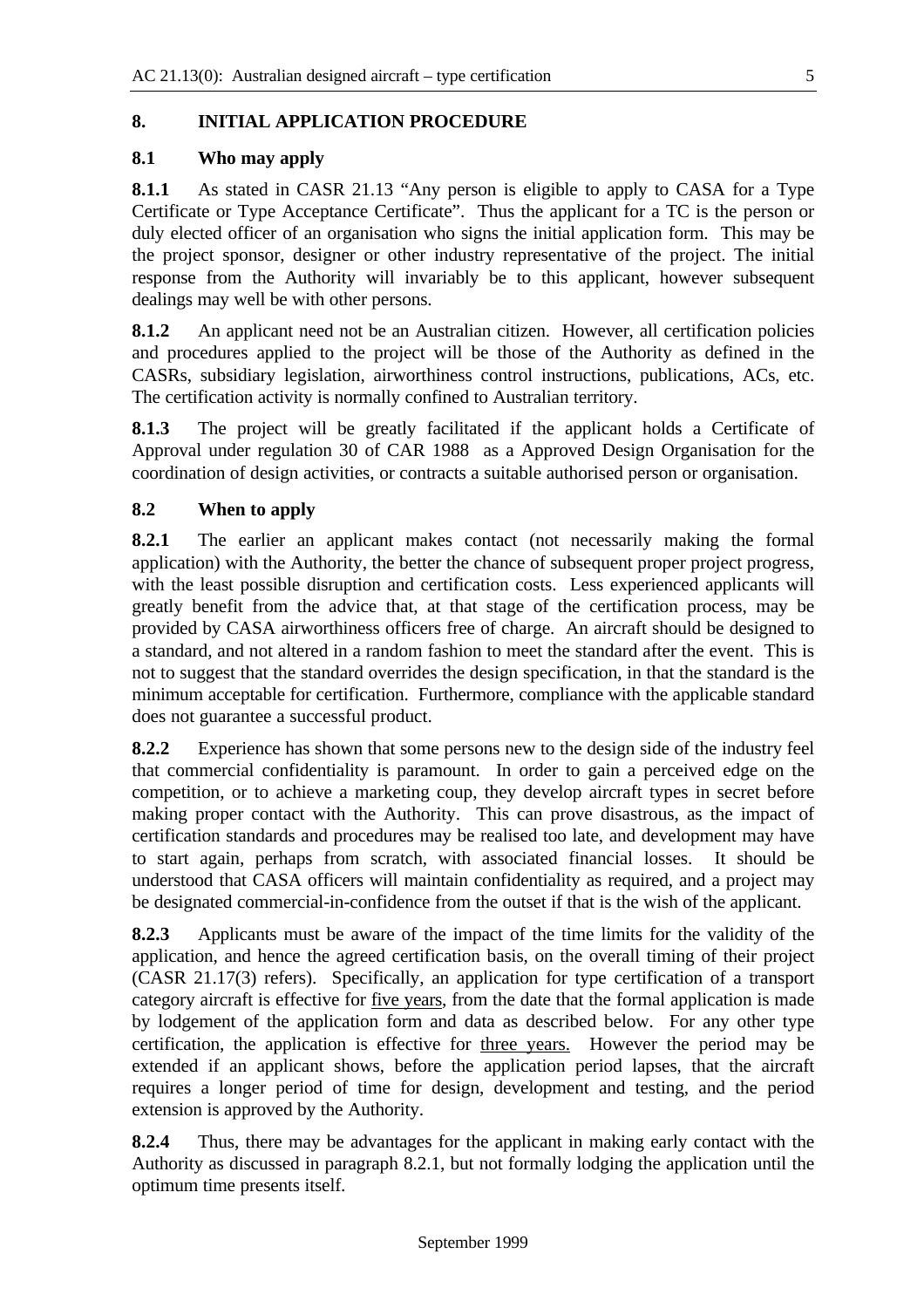## **8. INITIAL APPLICATION PROCEDURE**

#### **8.1 Who may apply**

**8.1.1** As stated in CASR 21.13 "Any person is eligible to apply to CASA for a Type Certificate or Type Acceptance Certificate". Thus the applicant for a TC is the person or duly elected officer of an organisation who signs the initial application form. This may be the project sponsor, designer or other industry representative of the project. The initial response from the Authority will invariably be to this applicant, however subsequent dealings may well be with other persons.

**8.1.2** An applicant need not be an Australian citizen. However, all certification policies and procedures applied to the project will be those of the Authority as defined in the CASRs, subsidiary legislation, airworthiness control instructions, publications, ACs, etc. The certification activity is normally confined to Australian territory.

**8.1.3** The project will be greatly facilitated if the applicant holds a Certificate of Approval under regulation 30 of CAR 1988 as a Approved Design Organisation for the coordination of design activities, or contracts a suitable authorised person or organisation.

## **8.2 When to apply**

**8.2.1** The earlier an applicant makes contact (not necessarily making the formal application) with the Authority, the better the chance of subsequent proper project progress, with the least possible disruption and certification costs. Less experienced applicants will greatly benefit from the advice that, at that stage of the certification process, may be provided by CASA airworthiness officers free of charge. An aircraft should be designed to a standard, and not altered in a random fashion to meet the standard after the event. This is not to suggest that the standard overrides the design specification, in that the standard is the minimum acceptable for certification. Furthermore, compliance with the applicable standard does not guarantee a successful product.

**8.2.2** Experience has shown that some persons new to the design side of the industry feel that commercial confidentiality is paramount. In order to gain a perceived edge on the competition, or to achieve a marketing coup, they develop aircraft types in secret before making proper contact with the Authority. This can prove disastrous, as the impact of certification standards and procedures may be realised too late, and development may have to start again, perhaps from scratch, with associated financial losses. It should be understood that CASA officers will maintain confidentiality as required, and a project may be designated commercial-in-confidence from the outset if that is the wish of the applicant.

**8.2.3** Applicants must be aware of the impact of the time limits for the validity of the application, and hence the agreed certification basis, on the overall timing of their project (CASR 21.17(3) refers). Specifically, an application for type certification of a transport category aircraft is effective for five years, from the date that the formal application is made by lodgement of the application form and data as described below. For any other type certification, the application is effective for three years. However the period may be extended if an applicant shows, before the application period lapses, that the aircraft requires a longer period of time for design, development and testing, and the period extension is approved by the Authority.

**8.2.4** Thus, there may be advantages for the applicant in making early contact with the Authority as discussed in paragraph 8.2.1, but not formally lodging the application until the optimum time presents itself.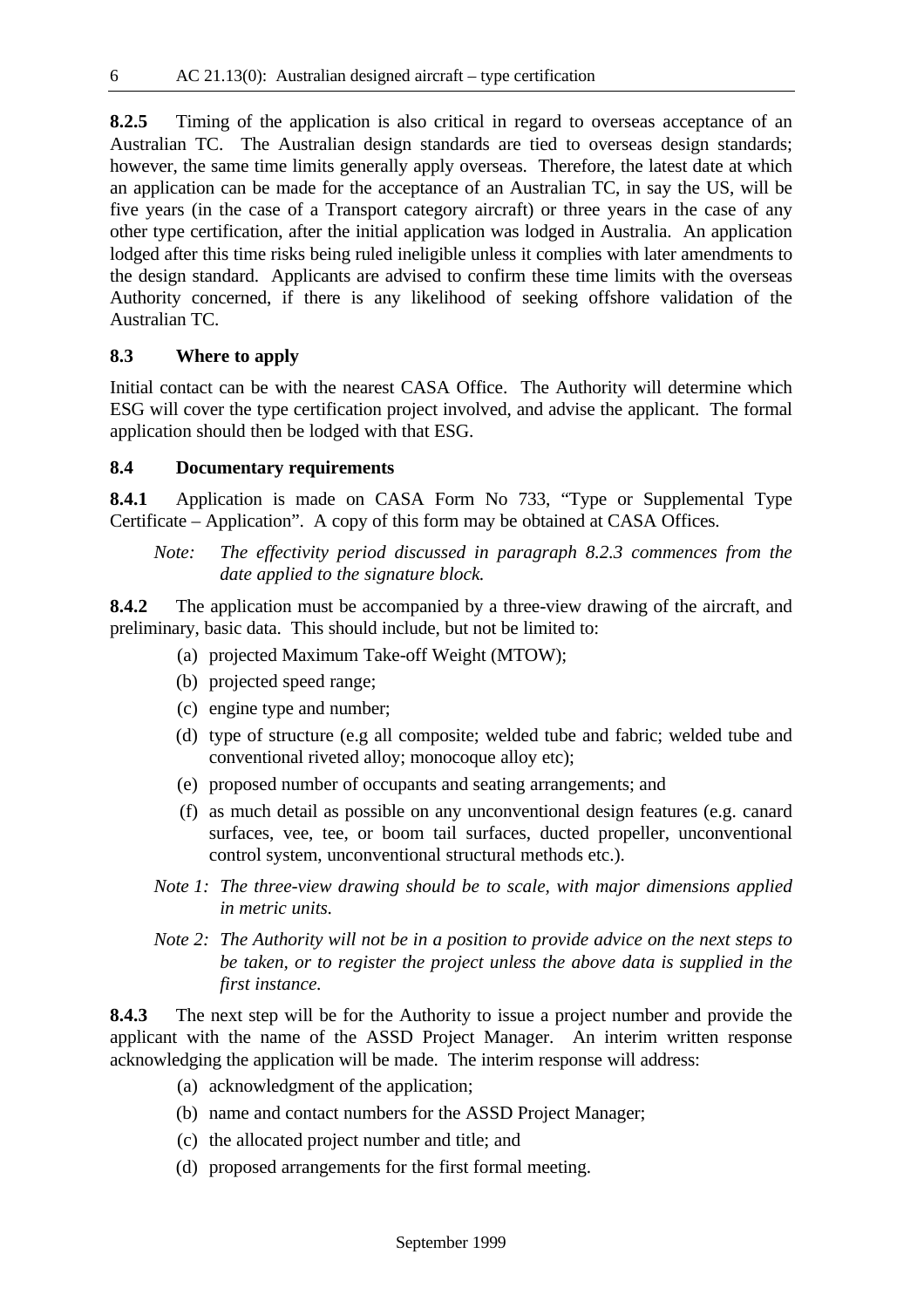**8.2.5** Timing of the application is also critical in regard to overseas acceptance of an Australian TC. The Australian design standards are tied to overseas design standards; however, the same time limits generally apply overseas. Therefore, the latest date at which an application can be made for the acceptance of an Australian TC, in say the US, will be five years (in the case of a Transport category aircraft) or three years in the case of any other type certification, after the initial application was lodged in Australia. An application lodged after this time risks being ruled ineligible unless it complies with later amendments to the design standard. Applicants are advised to confirm these time limits with the overseas Authority concerned, if there is any likelihood of seeking offshore validation of the Australian TC.

## **8.3 Where to apply**

Initial contact can be with the nearest CASA Office. The Authority will determine which ESG will cover the type certification project involved, and advise the applicant. The formal application should then be lodged with that ESG.

## **8.4 Documentary requirements**

**8.4.1** Application is made on CASA Form No 733, "Type or Supplemental Type Certificate – Application". A copy of this form may be obtained at CASA Offices.

*Note: The effectivity period discussed in paragraph 8.2.3 commences from the date applied to the signature block.*

**8.4.2** The application must be accompanied by a three-view drawing of the aircraft, and preliminary, basic data. This should include, but not be limited to:

- (a) projected Maximum Take-off Weight (MTOW);
- (b) projected speed range;
- (c) engine type and number;
- (d) type of structure (e.g all composite; welded tube and fabric; welded tube and conventional riveted alloy; monocoque alloy etc);
- (e) proposed number of occupants and seating arrangements; and
- (f) as much detail as possible on any unconventional design features (e.g. canard surfaces, vee, tee, or boom tail surfaces, ducted propeller, unconventional control system, unconventional structural methods etc.).
- *Note 1: The three-view drawing should be to scale, with major dimensions applied in metric units.*
- *Note 2: The Authority will not be in a position to provide advice on the next steps to be taken, or to register the project unless the above data is supplied in the first instance.*

**8.4.3** The next step will be for the Authority to issue a project number and provide the applicant with the name of the ASSD Project Manager. An interim written response acknowledging the application will be made. The interim response will address:

- (a) acknowledgment of the application;
- (b) name and contact numbers for the ASSD Project Manager;
- (c) the allocated project number and title; and
- (d) proposed arrangements for the first formal meeting.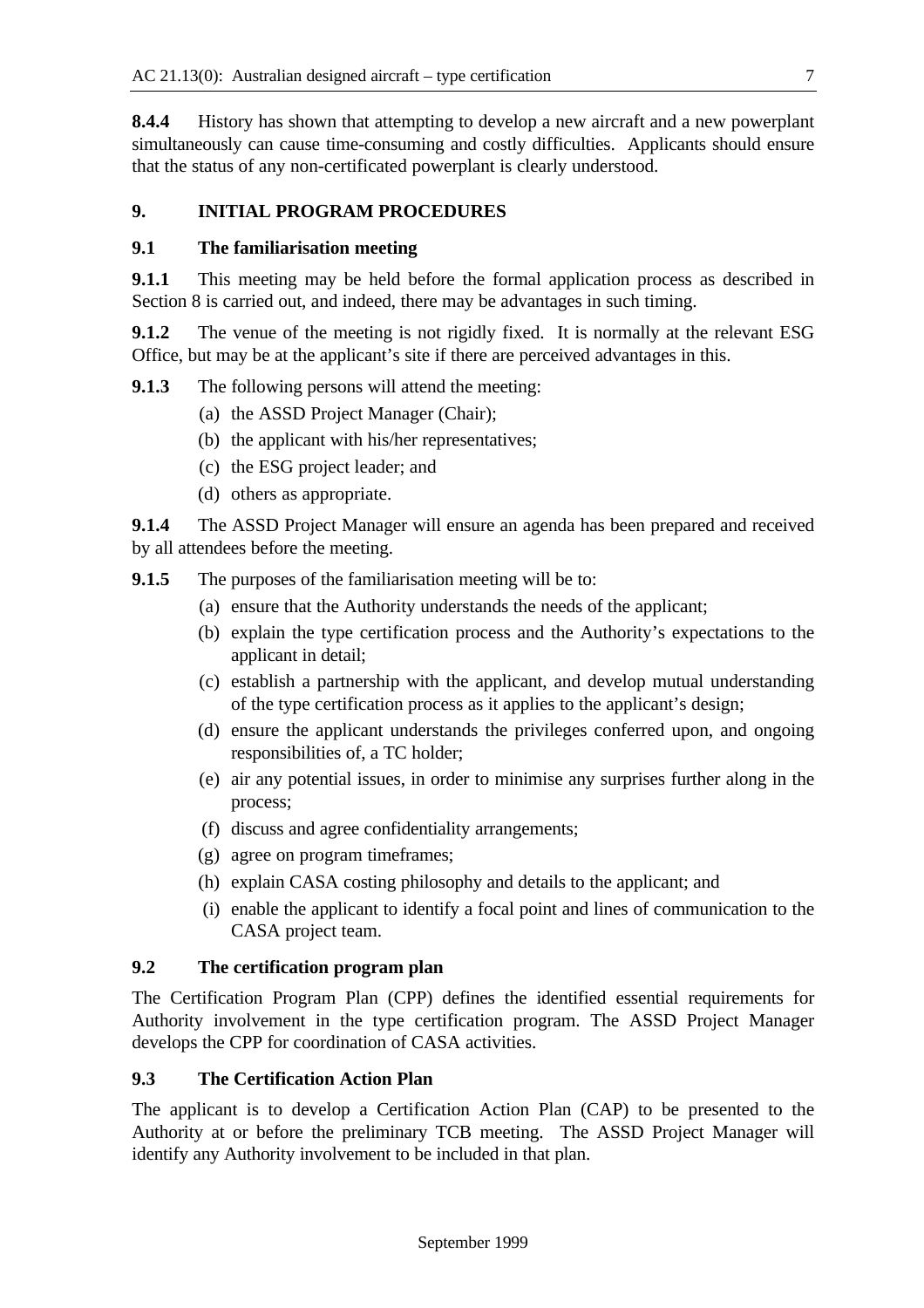**8.4.4** History has shown that attempting to develop a new aircraft and a new powerplant simultaneously can cause time-consuming and costly difficulties. Applicants should ensure that the status of any non-certificated powerplant is clearly understood.

## **9. INITIAL PROGRAM PROCEDURES**

#### **9.1 The familiarisation meeting**

**9.1.1** This meeting may be held before the formal application process as described in Section 8 is carried out, and indeed, there may be advantages in such timing.

**9.1.2** The venue of the meeting is not rigidly fixed. It is normally at the relevant ESG Office, but may be at the applicant's site if there are perceived advantages in this.

- **9.1.3** The following persons will attend the meeting:
	- (a) the ASSD Project Manager (Chair);
	- (b) the applicant with his/her representatives;
	- (c) the ESG project leader; and
	- (d) others as appropriate.

**9.1.4** The ASSD Project Manager will ensure an agenda has been prepared and received by all attendees before the meeting.

- **9.1.5** The purposes of the familiarisation meeting will be to:
	- (a) ensure that the Authority understands the needs of the applicant;
	- (b) explain the type certification process and the Authority's expectations to the applicant in detail;
	- (c) establish a partnership with the applicant, and develop mutual understanding of the type certification process as it applies to the applicant's design;
	- (d) ensure the applicant understands the privileges conferred upon, and ongoing responsibilities of, a TC holder;
	- (e) air any potential issues, in order to minimise any surprises further along in the process;
	- (f) discuss and agree confidentiality arrangements;
	- (g) agree on program timeframes;
	- (h) explain CASA costing philosophy and details to the applicant; and
	- (i) enable the applicant to identify a focal point and lines of communication to the CASA project team.

## **9.2 The certification program plan**

The Certification Program Plan (CPP) defines the identified essential requirements for Authority involvement in the type certification program. The ASSD Project Manager develops the CPP for coordination of CASA activities.

## **9.3 The Certification Action Plan**

The applicant is to develop a Certification Action Plan (CAP) to be presented to the Authority at or before the preliminary TCB meeting. The ASSD Project Manager will identify any Authority involvement to be included in that plan.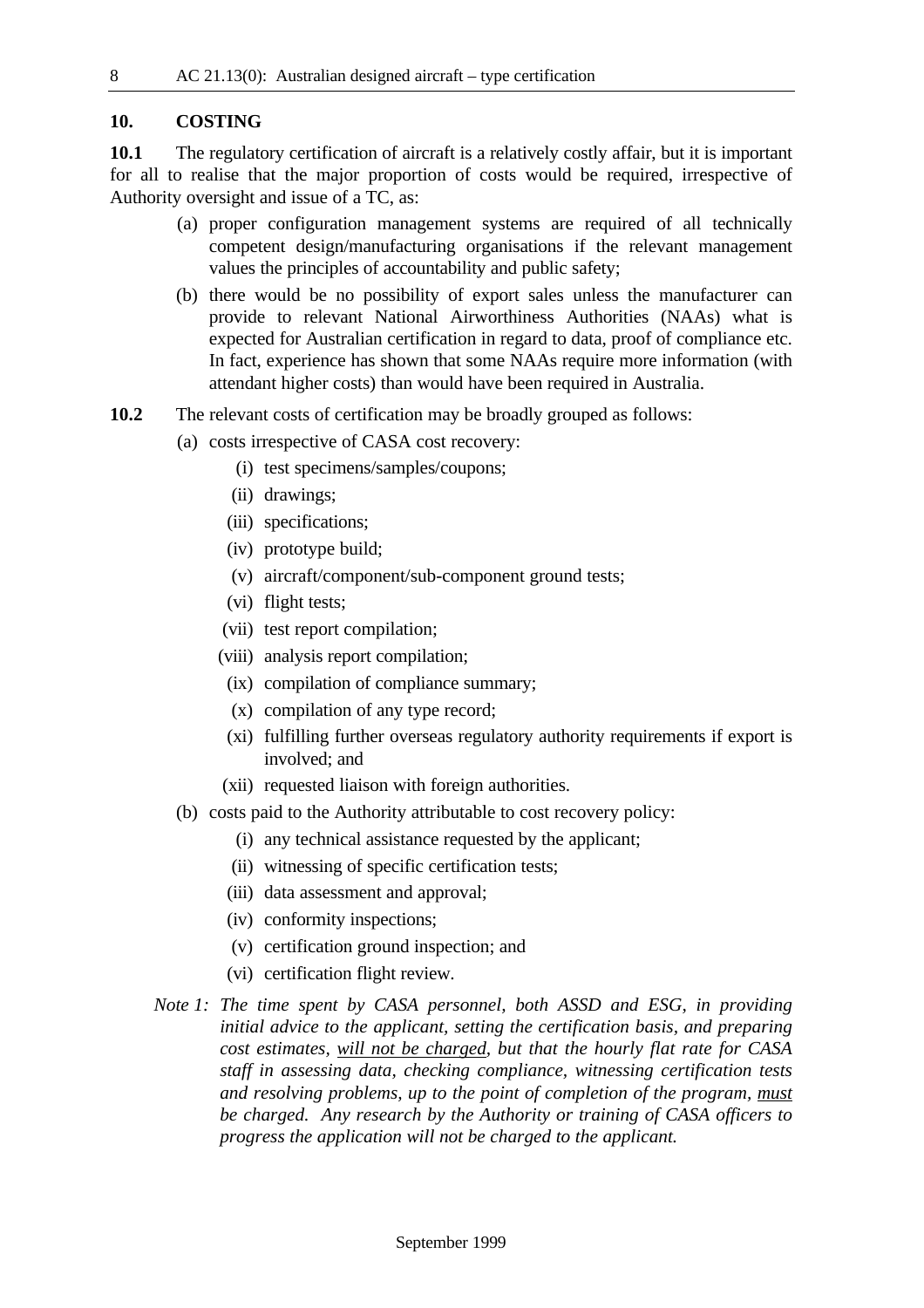#### **10. COSTING**

**10.1** The regulatory certification of aircraft is a relatively costly affair, but it is important for all to realise that the major proportion of costs would be required, irrespective of Authority oversight and issue of a TC, as:

- (a) proper configuration management systems are required of all technically competent design/manufacturing organisations if the relevant management values the principles of accountability and public safety;
- (b) there would be no possibility of export sales unless the manufacturer can provide to relevant National Airworthiness Authorities (NAAs) what is expected for Australian certification in regard to data, proof of compliance etc. In fact, experience has shown that some NAAs require more information (with attendant higher costs) than would have been required in Australia.
- **10.2** The relevant costs of certification may be broadly grouped as follows:
	- (a) costs irrespective of CASA cost recovery:
		- (i) test specimens/samples/coupons;
		- (ii) drawings;
		- (iii) specifications;
		- (iv) prototype build;
		- (v) aircraft/component/sub-component ground tests;
		- (vi) flight tests;
		- (vii) test report compilation;
		- (viii) analysis report compilation;
		- (ix) compilation of compliance summary;
		- (x) compilation of any type record;
		- (xi) fulfilling further overseas regulatory authority requirements if export is involved; and
		- (xii) requested liaison with foreign authorities.
	- (b) costs paid to the Authority attributable to cost recovery policy:
		- (i) any technical assistance requested by the applicant;
		- (ii) witnessing of specific certification tests;
		- (iii) data assessment and approval;
		- (iv) conformity inspections;
		- (v) certification ground inspection; and
		- (vi) certification flight review.
	- *Note 1: The time spent by CASA personnel, both ASSD and ESG, in providing initial advice to the applicant, setting the certification basis, and preparing cost estimates, will not be charged, but that the hourly flat rate for CASA staff in assessing data, checking compliance, witnessing certification tests and resolving problems, up to the point of completion of the program, must be charged. Any research by the Authority or training of CASA officers to progress the application will not be charged to the applicant.*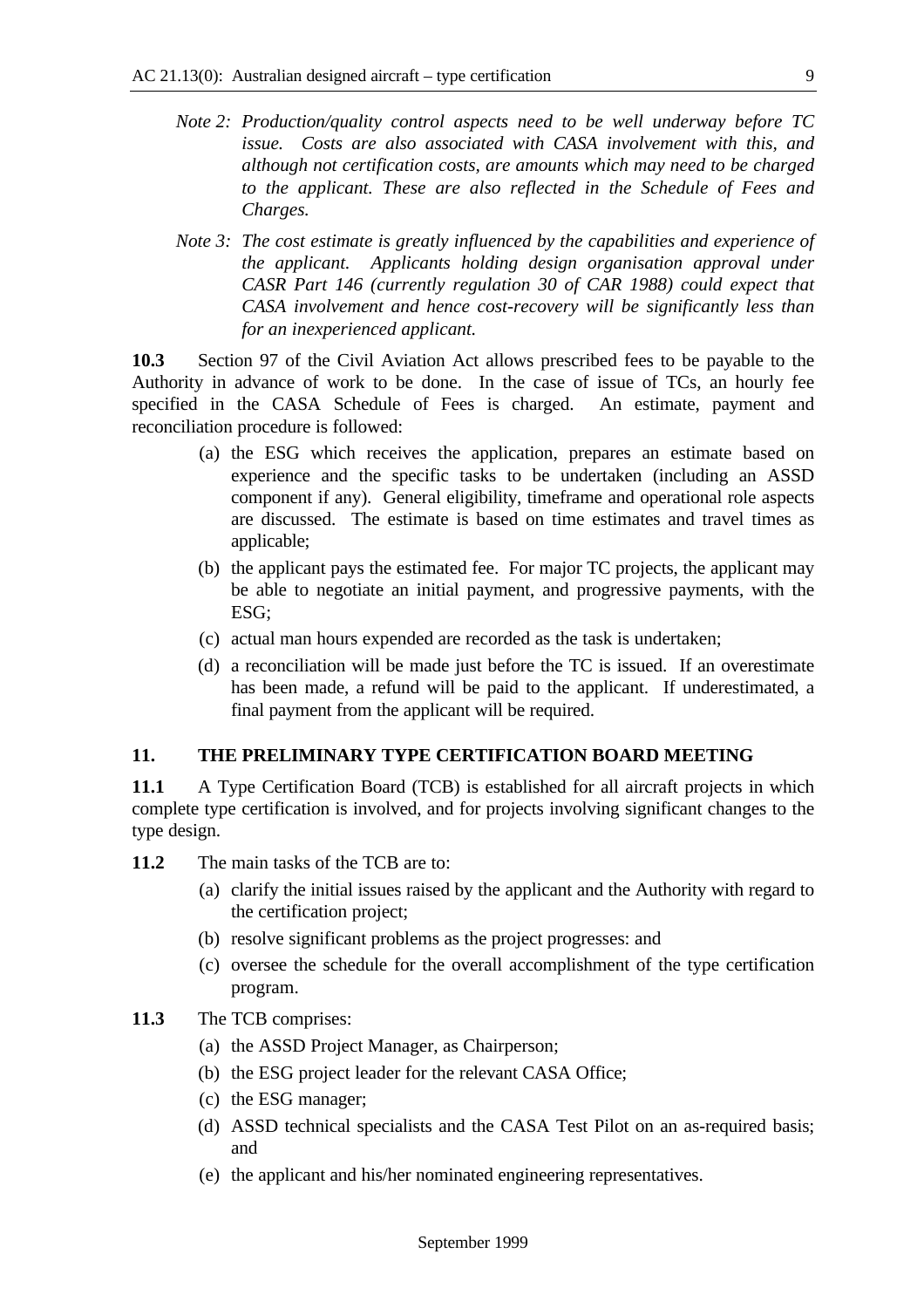- *Note 2: Production/quality control aspects need to be well underway before TC issue. Costs are also associated with CASA involvement with this, and although not certification costs, are amounts which may need to be charged to the applicant. These are also reflected in the Schedule of Fees and Charges.*
- *Note 3: The cost estimate is greatly influenced by the capabilities and experience of the applicant. Applicants holding design organisation approval under CASR Part 146 (currently regulation 30 of CAR 1988) could expect that CASA involvement and hence cost-recovery will be significantly less than for an inexperienced applicant.*

**10.3** Section 97 of the Civil Aviation Act allows prescribed fees to be payable to the Authority in advance of work to be done. In the case of issue of TCs, an hourly fee specified in the CASA Schedule of Fees is charged. An estimate, payment and reconciliation procedure is followed:

- (a) the ESG which receives the application, prepares an estimate based on experience and the specific tasks to be undertaken (including an ASSD component if any). General eligibility, timeframe and operational role aspects are discussed. The estimate is based on time estimates and travel times as applicable:
- (b) the applicant pays the estimated fee. For major TC projects, the applicant may be able to negotiate an initial payment, and progressive payments, with the ESG;
- (c) actual man hours expended are recorded as the task is undertaken;
- (d) a reconciliation will be made just before the TC is issued. If an overestimate has been made, a refund will be paid to the applicant. If underestimated, a final payment from the applicant will be required.

## **11. THE PRELIMINARY TYPE CERTIFICATION BOARD MEETING**

**11.1** A Type Certification Board (TCB) is established for all aircraft projects in which complete type certification is involved, and for projects involving significant changes to the type design.

- **11.2** The main tasks of the TCB are to:
	- (a) clarify the initial issues raised by the applicant and the Authority with regard to the certification project;
	- (b) resolve significant problems as the project progresses: and
	- (c) oversee the schedule for the overall accomplishment of the type certification program.

## **11.3** The TCB comprises:

- (a) the ASSD Project Manager, as Chairperson;
- (b) the ESG project leader for the relevant CASA Office;
- (c) the ESG manager;
- (d) ASSD technical specialists and the CASA Test Pilot on an as-required basis; and
- (e) the applicant and his/her nominated engineering representatives.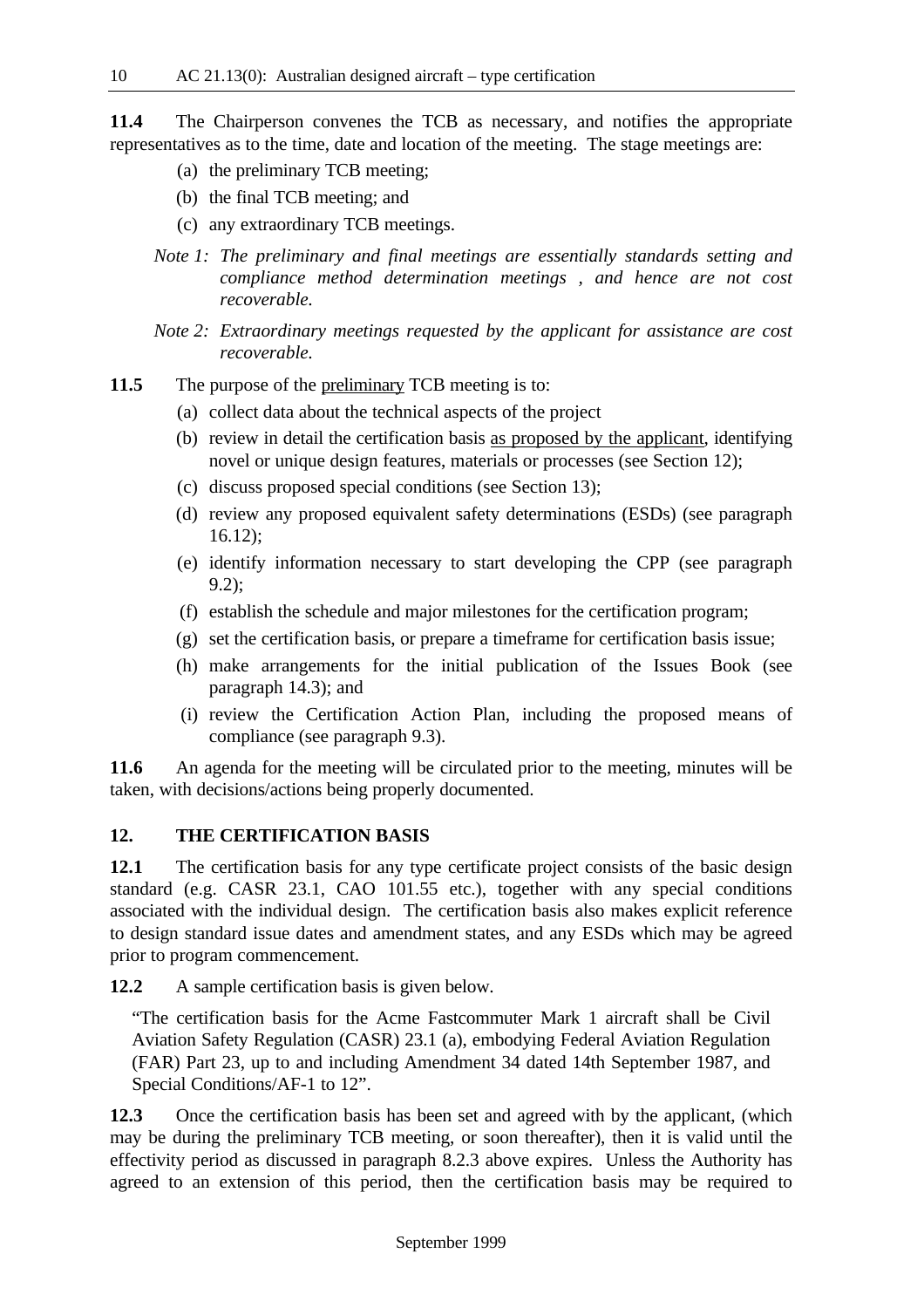**11.4** The Chairperson convenes the TCB as necessary, and notifies the appropriate representatives as to the time, date and location of the meeting. The stage meetings are:

- (a) the preliminary TCB meeting;
- (b) the final TCB meeting; and
- (c) any extraordinary TCB meetings.
- *Note 1: The preliminary and final meetings are essentially standards setting and compliance method determination meetings , and hence are not cost recoverable.*
- *Note 2: Extraordinary meetings requested by the applicant for assistance are cost recoverable.*
- **11.5** The purpose of the preliminary TCB meeting is to:
	- (a) collect data about the technical aspects of the project
	- (b) review in detail the certification basis as proposed by the applicant, identifying novel or unique design features, materials or processes (see Section 12);
	- (c) discuss proposed special conditions (see Section 13);
	- (d) review any proposed equivalent safety determinations (ESDs) (see paragraph 16.12);
	- (e) identify information necessary to start developing the CPP (see paragraph 9.2);
	- (f) establish the schedule and major milestones for the certification program;
	- (g) set the certification basis, or prepare a timeframe for certification basis issue;
	- (h) make arrangements for the initial publication of the Issues Book (see paragraph 14.3); and
	- (i) review the Certification Action Plan, including the proposed means of compliance (see paragraph 9.3).

**11.6** An agenda for the meeting will be circulated prior to the meeting, minutes will be taken, with decisions/actions being properly documented.

#### **12. THE CERTIFICATION BASIS**

**12.1** The certification basis for any type certificate project consists of the basic design standard (e.g. CASR 23.1, CAO 101.55 etc.), together with any special conditions associated with the individual design. The certification basis also makes explicit reference to design standard issue dates and amendment states, and any ESDs which may be agreed prior to program commencement.

**12.2** A sample certification basis is given below.

"The certification basis for the Acme Fastcommuter Mark 1 aircraft shall be Civil Aviation Safety Regulation (CASR) 23.1 (a), embodying Federal Aviation Regulation (FAR) Part 23, up to and including Amendment 34 dated 14th September 1987, and Special Conditions/AF-1 to 12".

**12.3** Once the certification basis has been set and agreed with by the applicant, (which may be during the preliminary TCB meeting, or soon thereafter), then it is valid until the effectivity period as discussed in paragraph 8.2.3 above expires. Unless the Authority has agreed to an extension of this period, then the certification basis may be required to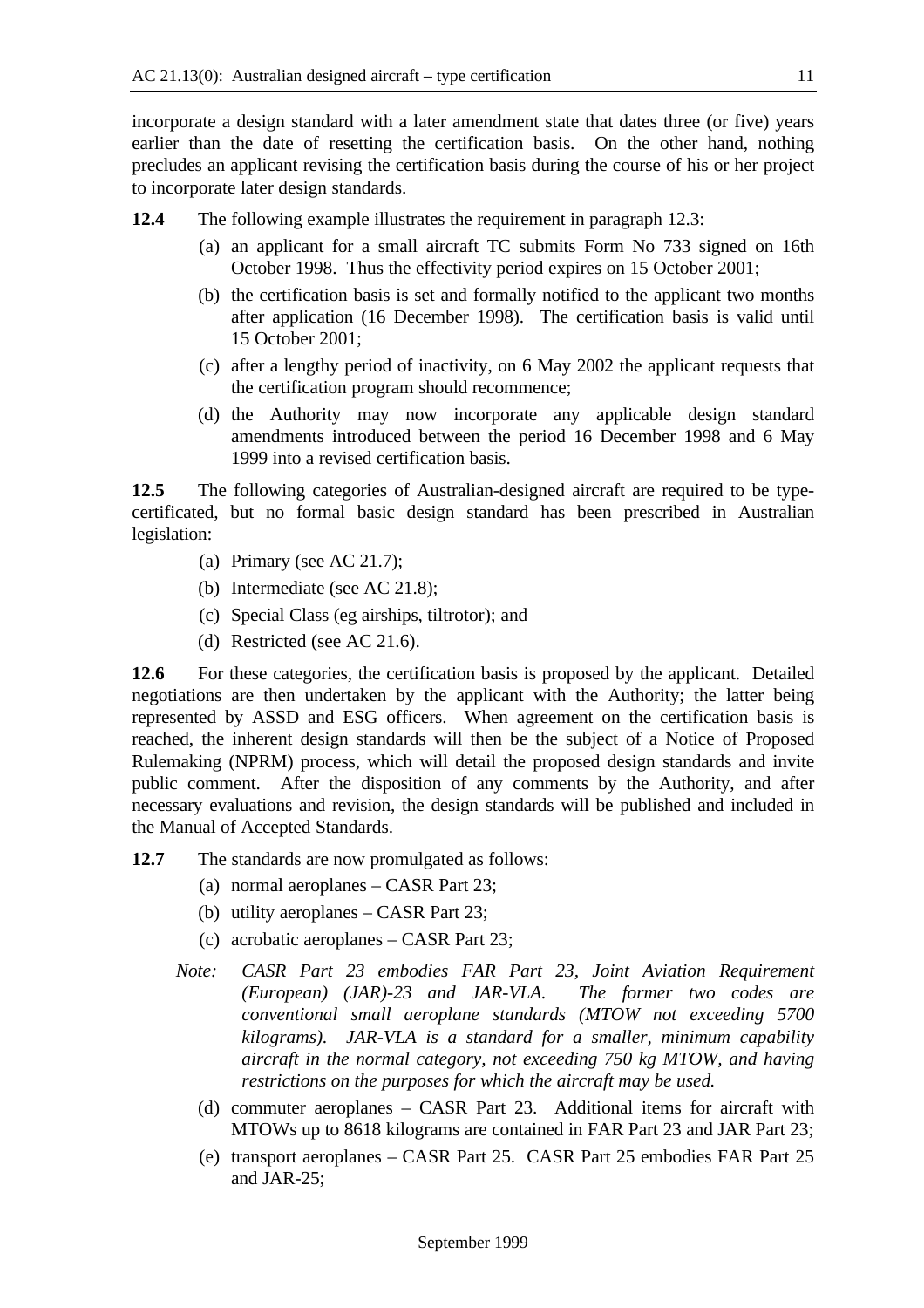incorporate a design standard with a later amendment state that dates three (or five) years earlier than the date of resetting the certification basis. On the other hand, nothing precludes an applicant revising the certification basis during the course of his or her project to incorporate later design standards.

**12.4** The following example illustrates the requirement in paragraph 12.3:

- (a) an applicant for a small aircraft TC submits Form No 733 signed on 16th October 1998. Thus the effectivity period expires on 15 October 2001;
- (b) the certification basis is set and formally notified to the applicant two months after application (16 December 1998). The certification basis is valid until 15 October 2001;
- (c) after a lengthy period of inactivity, on 6 May 2002 the applicant requests that the certification program should recommence;
- (d) the Authority may now incorporate any applicable design standard amendments introduced between the period 16 December 1998 and 6 May 1999 into a revised certification basis.

**12.5** The following categories of Australian-designed aircraft are required to be typecertificated, but no formal basic design standard has been prescribed in Australian legislation:

- (a) Primary (see AC 21.7);
- (b) Intermediate (see AC 21.8);
- (c) Special Class (eg airships, tiltrotor); and
- (d) Restricted (see AC 21.6).

12.6 For these categories, the certification basis is proposed by the applicant. Detailed negotiations are then undertaken by the applicant with the Authority; the latter being represented by ASSD and ESG officers. When agreement on the certification basis is reached, the inherent design standards will then be the subject of a Notice of Proposed Rulemaking (NPRM) process, which will detail the proposed design standards and invite public comment. After the disposition of any comments by the Authority, and after necessary evaluations and revision, the design standards will be published and included in the Manual of Accepted Standards.

**12.7** The standards are now promulgated as follows:

- (a) normal aeroplanes CASR Part 23;
- (b) utility aeroplanes CASR Part 23;
- (c) acrobatic aeroplanes CASR Part 23;
- *Note: CASR Part 23 embodies FAR Part 23, Joint Aviation Requirement (European) (JAR)-23 and JAR-VLA. The former two codes are conventional small aeroplane standards (MTOW not exceeding 5700 kilograms). JAR-VLA is a standard for a smaller, minimum capability aircraft in the normal category, not exceeding 750 kg MTOW, and having restrictions on the purposes for which the aircraft may be used.*
	- (d) commuter aeroplanes CASR Part 23. Additional items for aircraft with MTOWs up to 8618 kilograms are contained in FAR Part 23 and JAR Part 23;
	- (e) transport aeroplanes CASR Part 25. CASR Part 25 embodies FAR Part 25 and JAR-25;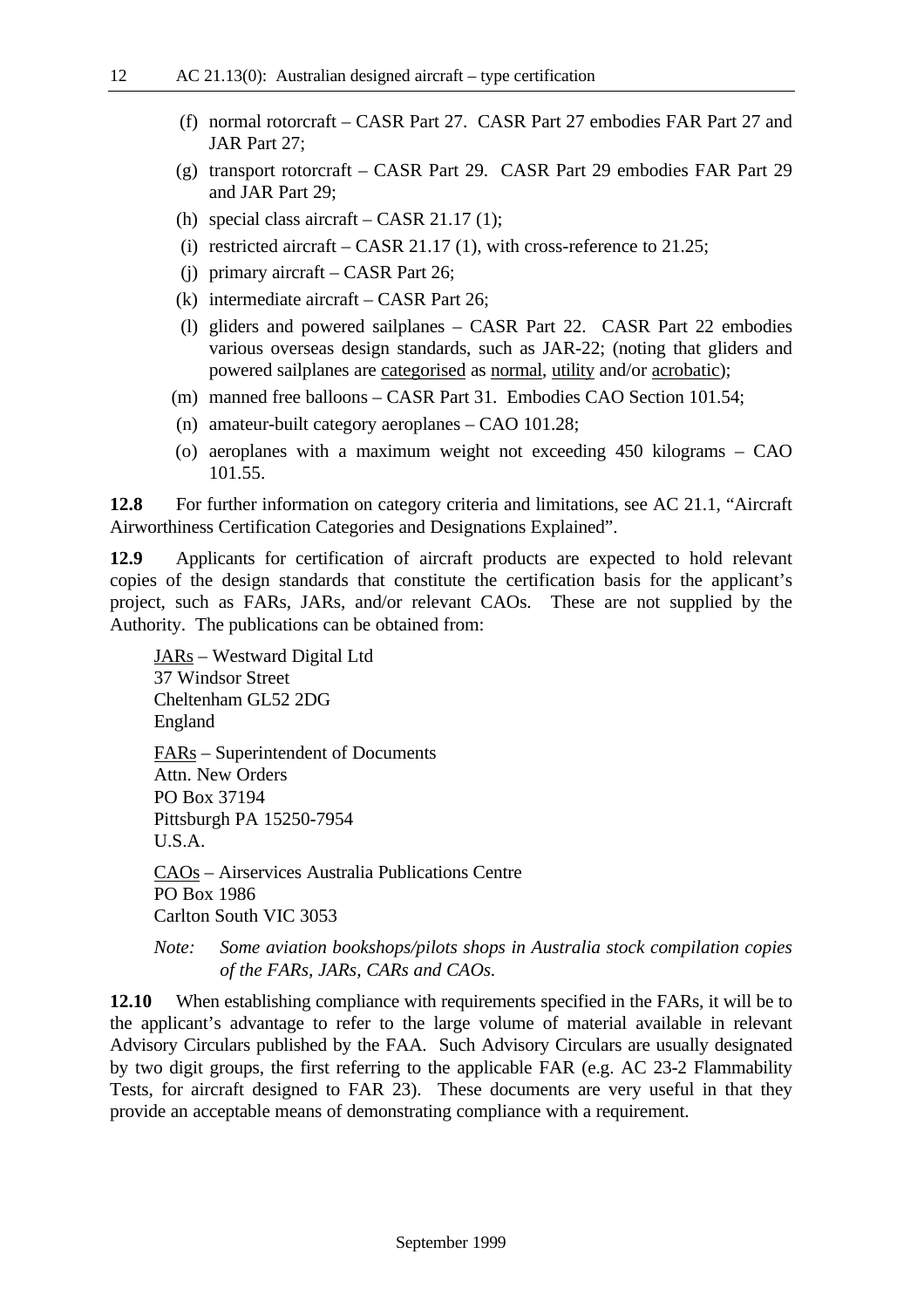- (f) normal rotorcraft CASR Part 27. CASR Part 27 embodies FAR Part 27 and JAR Part 27;
- (g) transport rotorcraft CASR Part 29. CASR Part 29 embodies FAR Part 29 and JAR Part 29;
- (h) special class aircraft CASR 21.17 (1);
- (i) restricted aircraft CASR 21.17 (1), with cross-reference to 21.25;
- (j) primary aircraft CASR Part 26;
- (k) intermediate aircraft CASR Part 26;
- (l) gliders and powered sailplanes CASR Part 22. CASR Part 22 embodies various overseas design standards, such as JAR-22; (noting that gliders and powered sailplanes are categorised as normal, utility and/or acrobatic);
- (m) manned free balloons CASR Part 31. Embodies CAO Section 101.54;
- (n) amateur-built category aeroplanes CAO 101.28;
- (o) aeroplanes with a maximum weight not exceeding 450 kilograms CAO 101.55.

**12.8** For further information on category criteria and limitations, see AC 21.1, "Aircraft Airworthiness Certification Categories and Designations Explained".

**12.9** Applicants for certification of aircraft products are expected to hold relevant copies of the design standards that constitute the certification basis for the applicant's project, such as FARs, JARs, and/or relevant CAOs. These are not supplied by the Authority. The publications can be obtained from:

JARs – Westward Digital Ltd 37 Windsor Street Cheltenham GL52 2DG England FARs – Superintendent of Documents Attn. New Orders PO Box 37194 Pittsburgh PA 15250-7954 U.S.A. CAOs – Airservices Australia Publications Centre PO Box 1986 Carlton South VIC 3053

## *Note: Some aviation bookshops/pilots shops in Australia stock compilation copies of the FARs, JARs, CARs and CAOs.*

**12.10** When establishing compliance with requirements specified in the FARs, it will be to the applicant's advantage to refer to the large volume of material available in relevant Advisory Circulars published by the FAA. Such Advisory Circulars are usually designated by two digit groups, the first referring to the applicable FAR (e.g. AC 23-2 Flammability Tests, for aircraft designed to FAR 23). These documents are very useful in that they provide an acceptable means of demonstrating compliance with a requirement.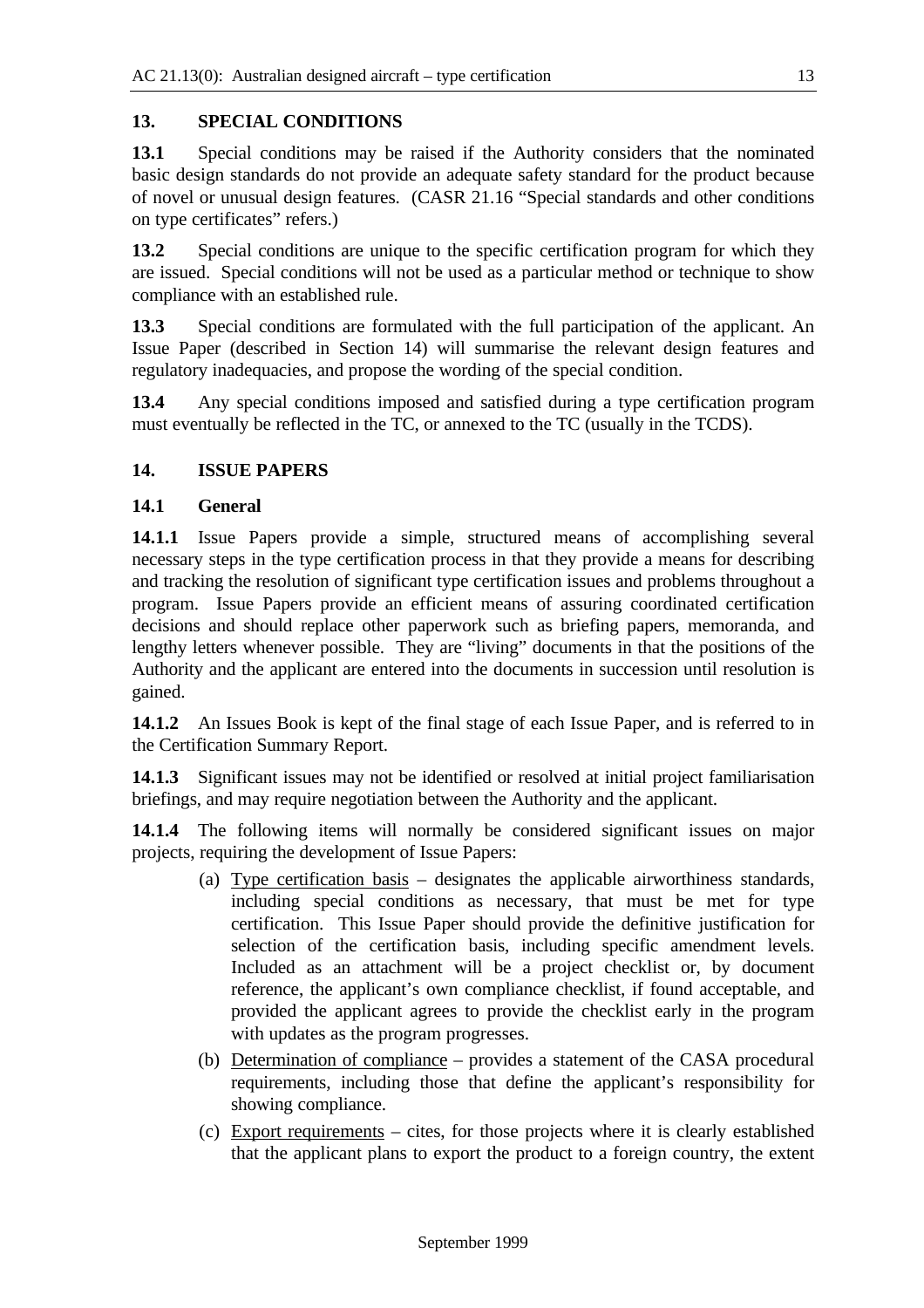## **13. SPECIAL CONDITIONS**

**13.1** Special conditions may be raised if the Authority considers that the nominated basic design standards do not provide an adequate safety standard for the product because of novel or unusual design features. (CASR 21.16 "Special standards and other conditions on type certificates" refers.)

**13.2** Special conditions are unique to the specific certification program for which they are issued. Special conditions will not be used as a particular method or technique to show compliance with an established rule.

**13.3** Special conditions are formulated with the full participation of the applicant. An Issue Paper (described in Section 14) will summarise the relevant design features and regulatory inadequacies, and propose the wording of the special condition.

**13.4** Any special conditions imposed and satisfied during a type certification program must eventually be reflected in the TC, or annexed to the TC (usually in the TCDS).

## **14. ISSUE PAPERS**

## **14.1 General**

**14.1.1** Issue Papers provide a simple, structured means of accomplishing several necessary steps in the type certification process in that they provide a means for describing and tracking the resolution of significant type certification issues and problems throughout a program. Issue Papers provide an efficient means of assuring coordinated certification decisions and should replace other paperwork such as briefing papers, memoranda, and lengthy letters whenever possible. They are "living" documents in that the positions of the Authority and the applicant are entered into the documents in succession until resolution is gained.

**14.1.2** An Issues Book is kept of the final stage of each Issue Paper, and is referred to in the Certification Summary Report.

**14.1.3** Significant issues may not be identified or resolved at initial project familiarisation briefings, and may require negotiation between the Authority and the applicant.

**14.1.4** The following items will normally be considered significant issues on major projects, requiring the development of Issue Papers:

- (a) Type certification basis designates the applicable airworthiness standards, including special conditions as necessary, that must be met for type certification. This Issue Paper should provide the definitive justification for selection of the certification basis, including specific amendment levels. Included as an attachment will be a project checklist or, by document reference, the applicant's own compliance checklist, if found acceptable, and provided the applicant agrees to provide the checklist early in the program with updates as the program progresses.
- (b) Determination of compliance provides a statement of the CASA procedural requirements, including those that define the applicant's responsibility for showing compliance.
- (c) Export requirements cites, for those projects where it is clearly established that the applicant plans to export the product to a foreign country, the extent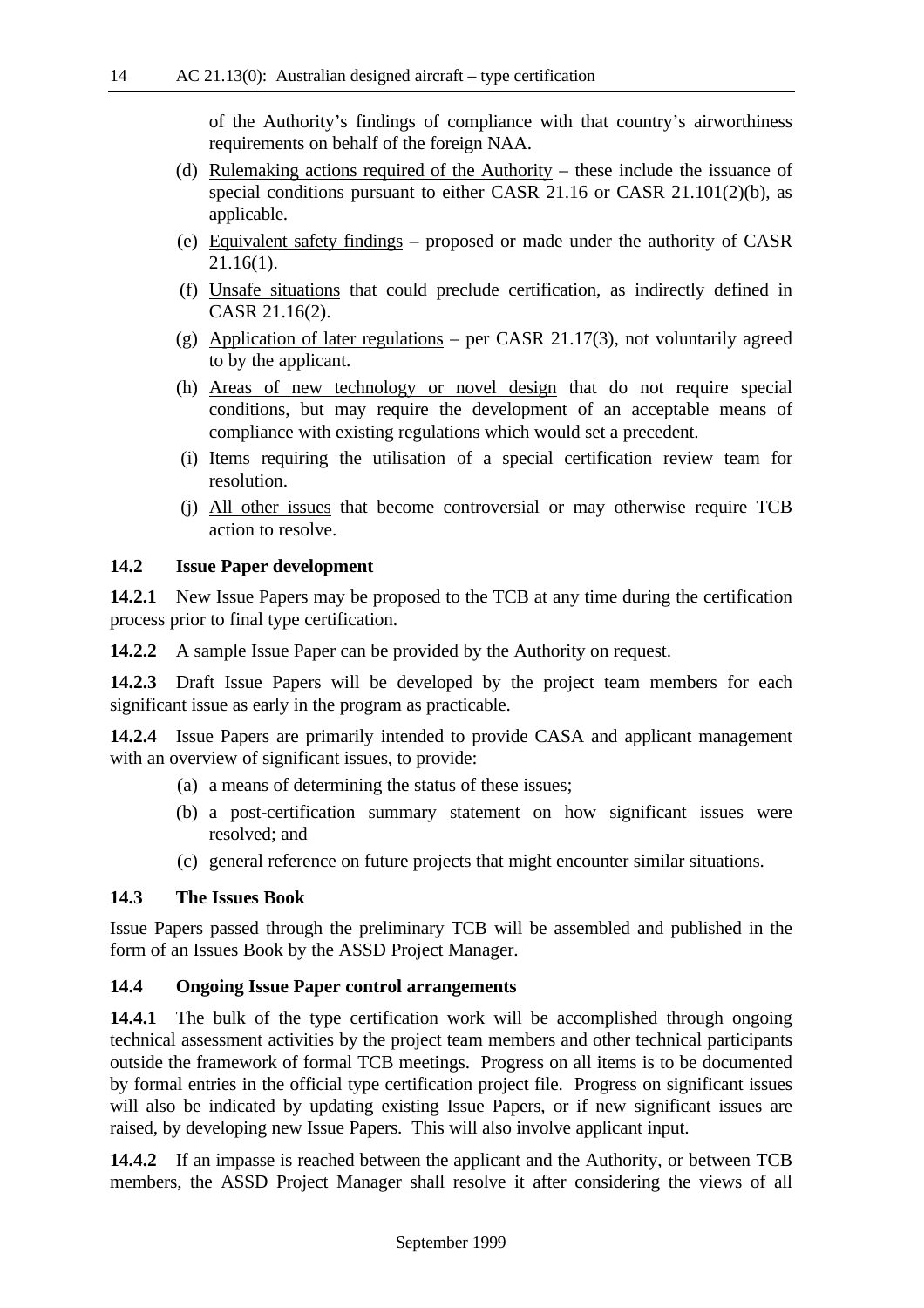of the Authority's findings of compliance with that country's airworthiness requirements on behalf of the foreign NAA.

- (d) Rulemaking actions required of the Authority these include the issuance of special conditions pursuant to either CASR 21.16 or CASR 21.101(2)(b), as applicable.
- (e) Equivalent safety findings proposed or made under the authority of CASR 21.16(1).
- (f) Unsafe situations that could preclude certification, as indirectly defined in CASR 21.16(2).
- (g) Application of later regulations per CASR 21.17(3), not voluntarily agreed to by the applicant.
- (h) Areas of new technology or novel design that do not require special conditions, but may require the development of an acceptable means of compliance with existing regulations which would set a precedent.
- (i) Items requiring the utilisation of a special certification review team for resolution.
- (j) All other issues that become controversial or may otherwise require TCB action to resolve.

#### **14.2 Issue Paper development**

**14.2.1** New Issue Papers may be proposed to the TCB at any time during the certification process prior to final type certification.

**14.2.2** A sample Issue Paper can be provided by the Authority on request.

**14.2.3** Draft Issue Papers will be developed by the project team members for each significant issue as early in the program as practicable.

**14.2.4** Issue Papers are primarily intended to provide CASA and applicant management with an overview of significant issues, to provide:

- (a) a means of determining the status of these issues;
- (b) a post-certification summary statement on how significant issues were resolved; and
- (c) general reference on future projects that might encounter similar situations.

## **14.3 The Issues Book**

Issue Papers passed through the preliminary TCB will be assembled and published in the form of an Issues Book by the ASSD Project Manager.

#### **14.4 Ongoing Issue Paper control arrangements**

**14.4.1** The bulk of the type certification work will be accomplished through ongoing technical assessment activities by the project team members and other technical participants outside the framework of formal TCB meetings. Progress on all items is to be documented by formal entries in the official type certification project file. Progress on significant issues will also be indicated by updating existing Issue Papers, or if new significant issues are raised, by developing new Issue Papers. This will also involve applicant input.

**14.4.2** If an impasse is reached between the applicant and the Authority, or between TCB members, the ASSD Project Manager shall resolve it after considering the views of all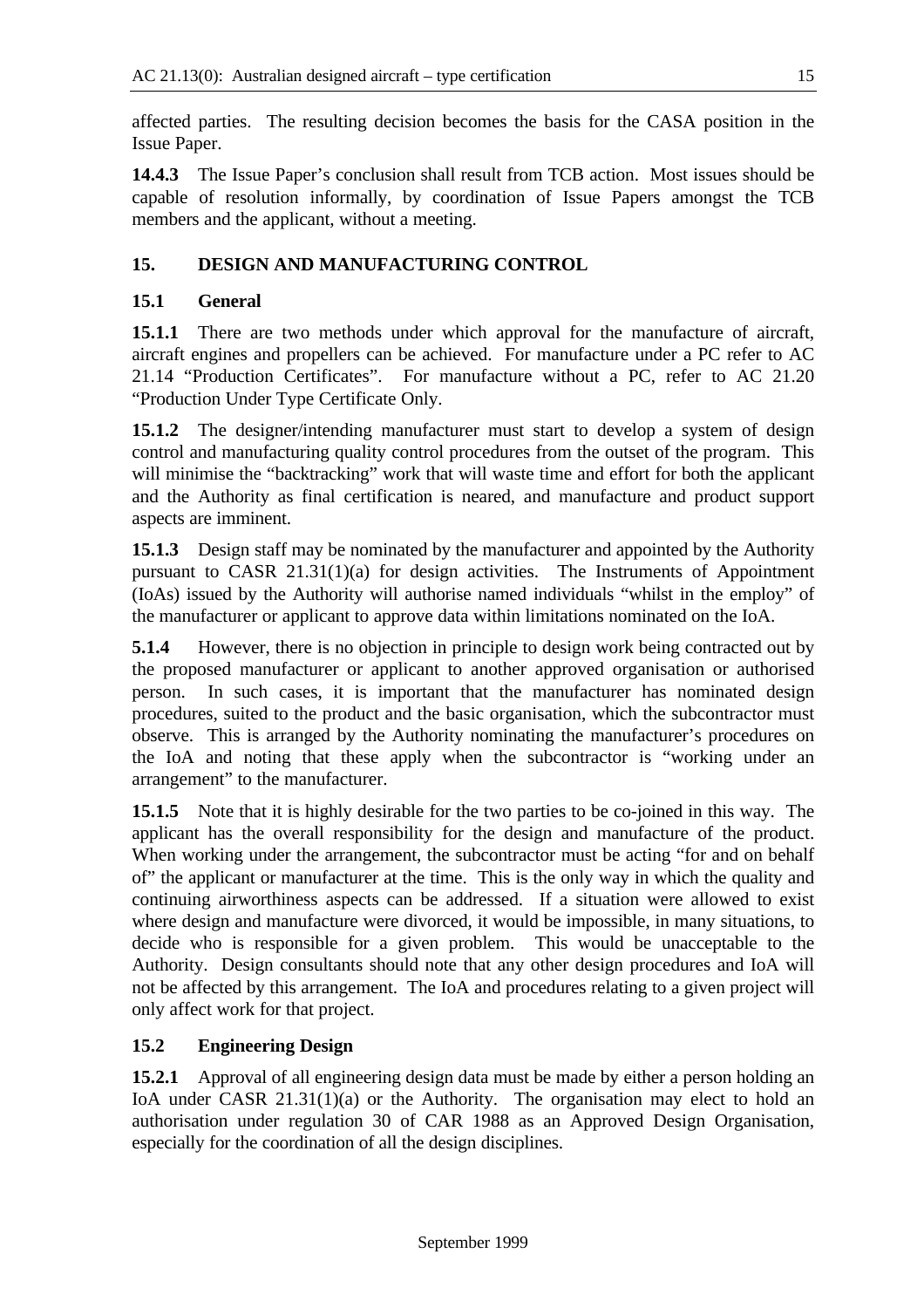affected parties. The resulting decision becomes the basis for the CASA position in the Issue Paper.

**14.4.3** The Issue Paper's conclusion shall result from TCB action. Most issues should be capable of resolution informally, by coordination of Issue Papers amongst the TCB members and the applicant, without a meeting.

## **15. DESIGN AND MANUFACTURING CONTROL**

## **15.1 General**

**15.1.1** There are two methods under which approval for the manufacture of aircraft, aircraft engines and propellers can be achieved. For manufacture under a PC refer to AC 21.14 "Production Certificates". For manufacture without a PC, refer to AC 21.20 "Production Under Type Certificate Only.

**15.1.2** The designer/intending manufacturer must start to develop a system of design control and manufacturing quality control procedures from the outset of the program. This will minimise the "backtracking" work that will waste time and effort for both the applicant and the Authority as final certification is neared, and manufacture and product support aspects are imminent.

**15.1.3** Design staff may be nominated by the manufacturer and appointed by the Authority pursuant to CASR 21.31(1)(a) for design activities. The Instruments of Appointment (IoAs) issued by the Authority will authorise named individuals "whilst in the employ" of the manufacturer or applicant to approve data within limitations nominated on the IoA.

**5.1.4** However, there is no objection in principle to design work being contracted out by the proposed manufacturer or applicant to another approved organisation or authorised person. In such cases, it is important that the manufacturer has nominated design procedures, suited to the product and the basic organisation, which the subcontractor must observe. This is arranged by the Authority nominating the manufacturer's procedures on the IoA and noting that these apply when the subcontractor is "working under an arrangement" to the manufacturer.

**15.1.5** Note that it is highly desirable for the two parties to be co-joined in this way. The applicant has the overall responsibility for the design and manufacture of the product. When working under the arrangement, the subcontractor must be acting "for and on behalf of" the applicant or manufacturer at the time. This is the only way in which the quality and continuing airworthiness aspects can be addressed. If a situation were allowed to exist where design and manufacture were divorced, it would be impossible, in many situations, to decide who is responsible for a given problem. This would be unacceptable to the Authority. Design consultants should note that any other design procedures and IoA will not be affected by this arrangement. The IoA and procedures relating to a given project will only affect work for that project.

## **15.2 Engineering Design**

**15.2.1** Approval of all engineering design data must be made by either a person holding an IoA under CASR 21.31(1)(a) or the Authority. The organisation may elect to hold an authorisation under regulation 30 of CAR 1988 as an Approved Design Organisation, especially for the coordination of all the design disciplines.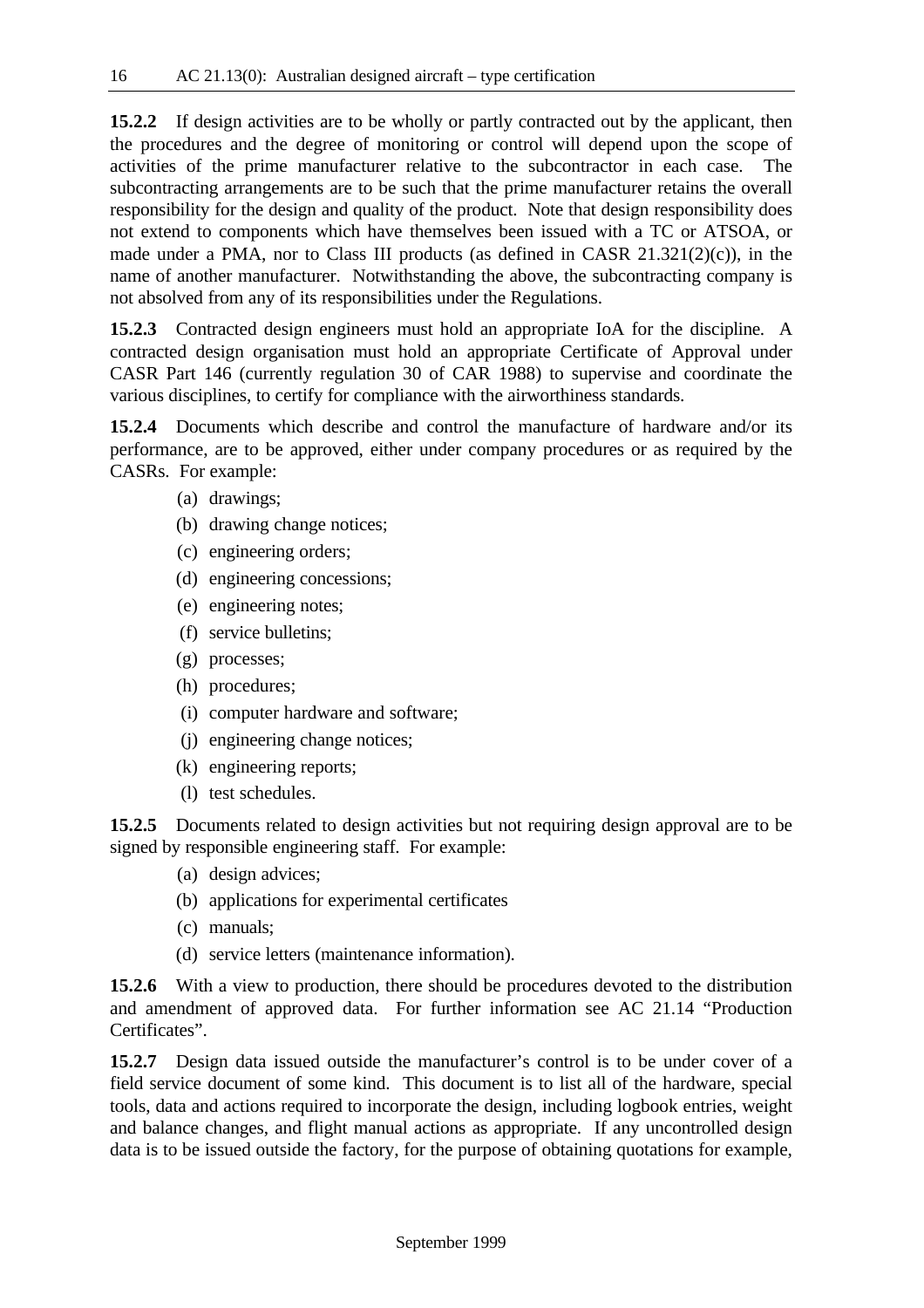**15.2.2** If design activities are to be wholly or partly contracted out by the applicant, then the procedures and the degree of monitoring or control will depend upon the scope of activities of the prime manufacturer relative to the subcontractor in each case. The subcontracting arrangements are to be such that the prime manufacturer retains the overall responsibility for the design and quality of the product. Note that design responsibility does not extend to components which have themselves been issued with a TC or ATSOA, or made under a PMA, nor to Class III products (as defined in CASR 21.321(2)(c)), in the name of another manufacturer. Notwithstanding the above, the subcontracting company is not absolved from any of its responsibilities under the Regulations.

**15.2.3** Contracted design engineers must hold an appropriate IoA for the discipline. A contracted design organisation must hold an appropriate Certificate of Approval under CASR Part 146 (currently regulation 30 of CAR 1988) to supervise and coordinate the various disciplines, to certify for compliance with the airworthiness standards.

**15.2.4** Documents which describe and control the manufacture of hardware and/or its performance, are to be approved, either under company procedures or as required by the CASRs. For example:

- (a) drawings;
- (b) drawing change notices;
- (c) engineering orders;
- (d) engineering concessions;
- (e) engineering notes;
- (f) service bulletins;
- (g) processes;
- (h) procedures;
- (i) computer hardware and software;
- (j) engineering change notices;
- (k) engineering reports;
- (l) test schedules.

**15.2.5** Documents related to design activities but not requiring design approval are to be signed by responsible engineering staff. For example:

- (a) design advices;
- (b) applications for experimental certificates
- (c) manuals;
- (d) service letters (maintenance information).

**15.2.6** With a view to production, there should be procedures devoted to the distribution and amendment of approved data. For further information see AC 21.14 "Production Certificates".

**15.2.7** Design data issued outside the manufacturer's control is to be under cover of a field service document of some kind. This document is to list all of the hardware, special tools, data and actions required to incorporate the design, including logbook entries, weight and balance changes, and flight manual actions as appropriate. If any uncontrolled design data is to be issued outside the factory, for the purpose of obtaining quotations for example,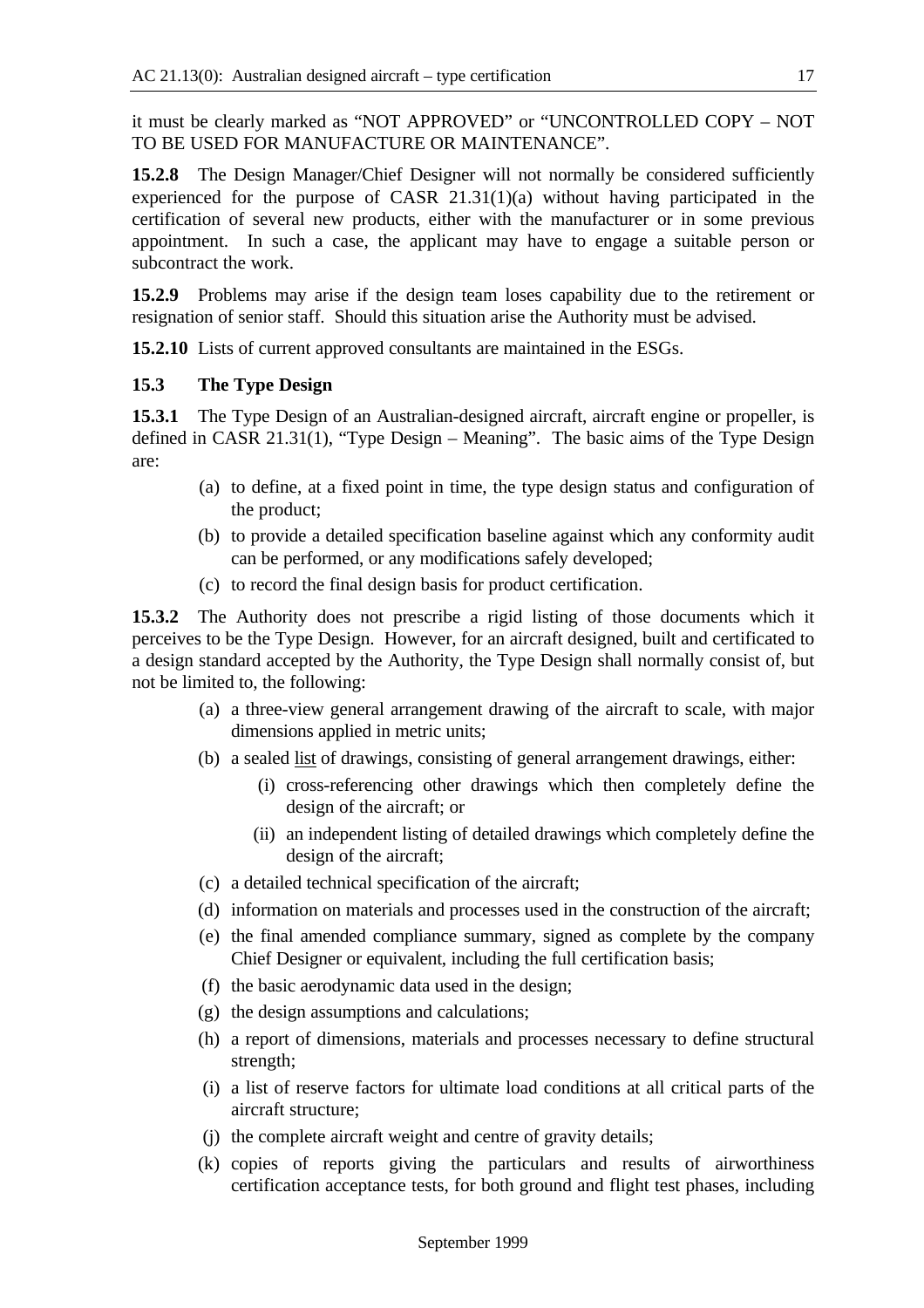it must be clearly marked as "NOT APPROVED" or "UNCONTROLLED COPY – NOT TO BE USED FOR MANUFACTURE OR MAINTENANCE".

**15.2.8** The Design Manager/Chief Designer will not normally be considered sufficiently experienced for the purpose of CASR 21.31(1)(a) without having participated in the certification of several new products, either with the manufacturer or in some previous appointment. In such a case, the applicant may have to engage a suitable person or subcontract the work.

**15.2.9** Problems may arise if the design team loses capability due to the retirement or resignation of senior staff. Should this situation arise the Authority must be advised.

**15.2.10** Lists of current approved consultants are maintained in the ESGs.

## **15.3 The Type Design**

**15.3.1** The Type Design of an Australian-designed aircraft, aircraft engine or propeller, is defined in CASR 21.31(1), "Type Design – Meaning". The basic aims of the Type Design are:

- (a) to define, at a fixed point in time, the type design status and configuration of the product;
- (b) to provide a detailed specification baseline against which any conformity audit can be performed, or any modifications safely developed;
- (c) to record the final design basis for product certification.

**15.3.2** The Authority does not prescribe a rigid listing of those documents which it perceives to be the Type Design. However, for an aircraft designed, built and certificated to a design standard accepted by the Authority, the Type Design shall normally consist of, but not be limited to, the following:

- (a) a three-view general arrangement drawing of the aircraft to scale, with major dimensions applied in metric units;
- (b) a sealed list of drawings, consisting of general arrangement drawings, either:
	- (i) cross-referencing other drawings which then completely define the design of the aircraft; or
	- (ii) an independent listing of detailed drawings which completely define the design of the aircraft;
- (c) a detailed technical specification of the aircraft;
- (d) information on materials and processes used in the construction of the aircraft;
- (e) the final amended compliance summary, signed as complete by the company Chief Designer or equivalent, including the full certification basis;
- (f) the basic aerodynamic data used in the design;
- (g) the design assumptions and calculations;
- (h) a report of dimensions, materials and processes necessary to define structural strength;
- (i) a list of reserve factors for ultimate load conditions at all critical parts of the aircraft structure;
- (j) the complete aircraft weight and centre of gravity details;
- (k) copies of reports giving the particulars and results of airworthiness certification acceptance tests, for both ground and flight test phases, including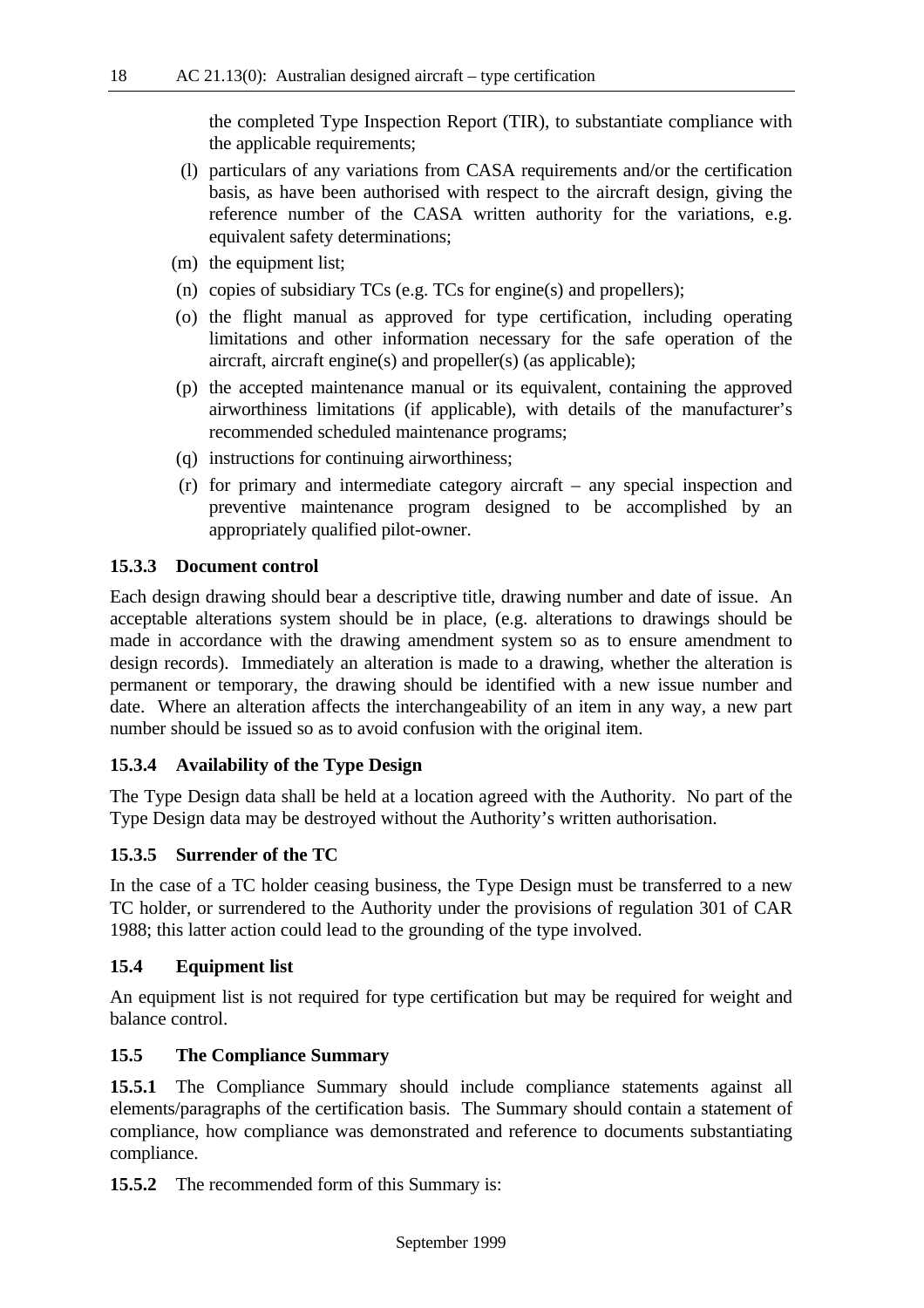the completed Type Inspection Report (TIR), to substantiate compliance with the applicable requirements;

- (l) particulars of any variations from CASA requirements and/or the certification basis, as have been authorised with respect to the aircraft design, giving the reference number of the CASA written authority for the variations, e.g. equivalent safety determinations;
- (m) the equipment list;
- (n) copies of subsidiary TCs (e.g. TCs for engine(s) and propellers);
- (o) the flight manual as approved for type certification, including operating limitations and other information necessary for the safe operation of the aircraft, aircraft engine(s) and propeller(s) (as applicable);
- (p) the accepted maintenance manual or its equivalent, containing the approved airworthiness limitations (if applicable), with details of the manufacturer's recommended scheduled maintenance programs;
- (q) instructions for continuing airworthiness;
- (r) for primary and intermediate category aircraft any special inspection and preventive maintenance program designed to be accomplished by an appropriately qualified pilot-owner.

#### **15.3.3 Document control**

Each design drawing should bear a descriptive title, drawing number and date of issue. An acceptable alterations system should be in place, (e.g. alterations to drawings should be made in accordance with the drawing amendment system so as to ensure amendment to design records). Immediately an alteration is made to a drawing, whether the alteration is permanent or temporary, the drawing should be identified with a new issue number and date. Where an alteration affects the interchangeability of an item in any way, a new part number should be issued so as to avoid confusion with the original item.

## **15.3.4 Availability of the Type Design**

The Type Design data shall be held at a location agreed with the Authority. No part of the Type Design data may be destroyed without the Authority's written authorisation.

## **15.3.5 Surrender of the TC**

In the case of a TC holder ceasing business, the Type Design must be transferred to a new TC holder, or surrendered to the Authority under the provisions of regulation 301 of CAR 1988; this latter action could lead to the grounding of the type involved.

#### **15.4 Equipment list**

An equipment list is not required for type certification but may be required for weight and balance control.

#### **15.5 The Compliance Summary**

**15.5.1** The Compliance Summary should include compliance statements against all elements/paragraphs of the certification basis. The Summary should contain a statement of compliance, how compliance was demonstrated and reference to documents substantiating compliance.

**15.5.2** The recommended form of this Summary is: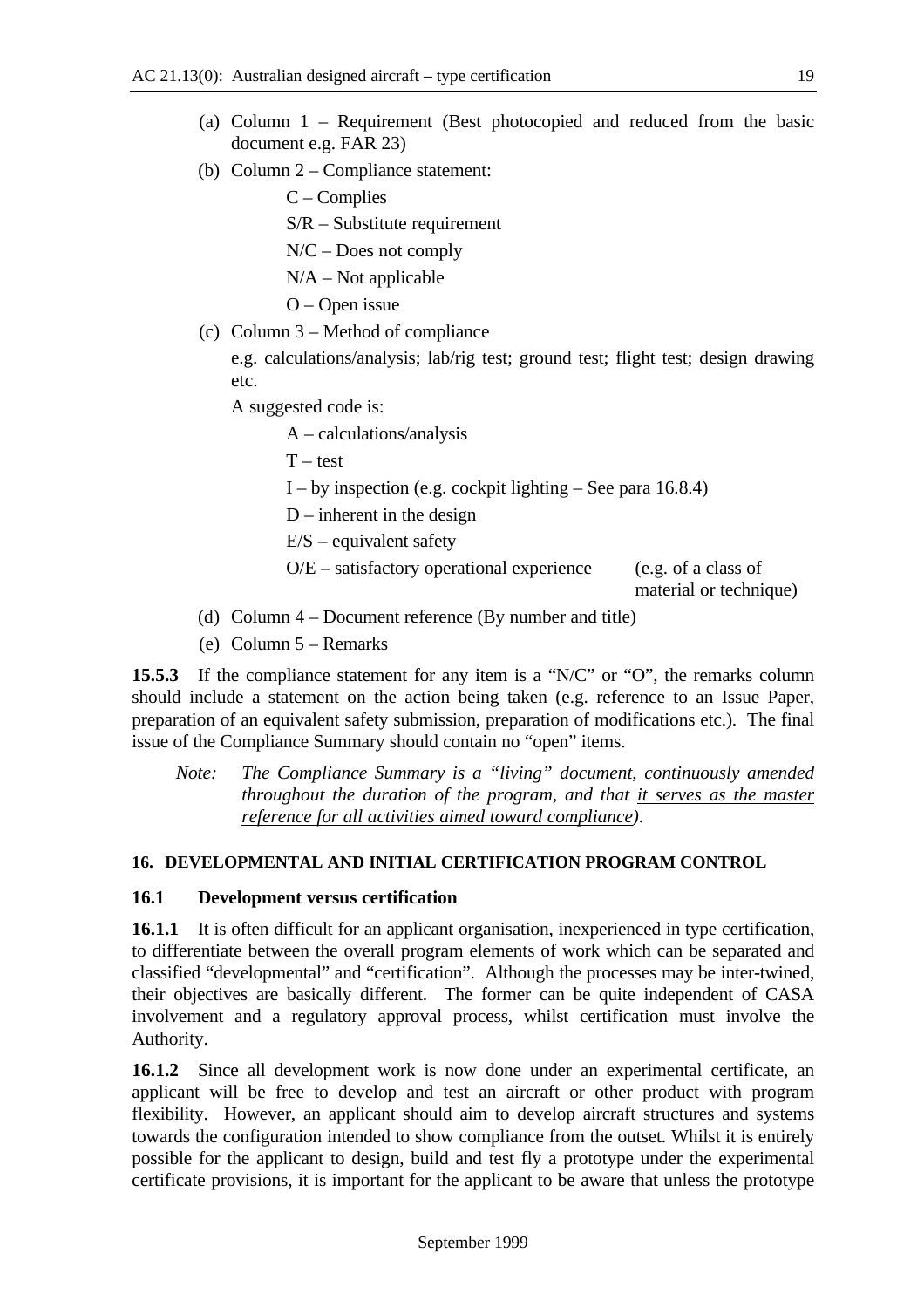- (a) Column 1 Requirement (Best photocopied and reduced from the basic document e.g. FAR 23)
- (b) Column 2 Compliance statement:

C – Complies

S/R – Substitute requirement

N/C – Does not comply

 $N/A$  – Not applicable

O – Open issue

(c) Column 3 – Method of compliance

e.g. calculations/analysis; lab/rig test; ground test; flight test; design drawing etc.

A suggested code is:

A – calculations/analysis

 $T - test$ 

I – by inspection (e.g. cockpit lighting – See para  $16.8.4$ )

 $D$  – inherent in the design

 $E/S$  – equivalent safety

 $O/E$  – satisfactory operational experience (e.g. of a class of

material or technique)

- (d) Column 4 Document reference (By number and title)
- (e) Column 5 Remarks

**15.5.3** If the compliance statement for any item is a "N/C" or "O", the remarks column should include a statement on the action being taken (e.g. reference to an Issue Paper, preparation of an equivalent safety submission, preparation of modifications etc.). The final issue of the Compliance Summary should contain no "open" items.

*Note: The Compliance Summary is a "living" document, continuously amended throughout the duration of the program, and that it serves as the master reference for all activities aimed toward compliance).*

## **16. DEVELOPMENTAL AND INITIAL CERTIFICATION PROGRAM CONTROL**

## **16.1 Development versus certification**

**16.1.1** It is often difficult for an applicant organisation, inexperienced in type certification, to differentiate between the overall program elements of work which can be separated and classified "developmental" and "certification". Although the processes may be inter-twined, their objectives are basically different. The former can be quite independent of CASA involvement and a regulatory approval process, whilst certification must involve the Authority.

**16.1.2** Since all development work is now done under an experimental certificate, an applicant will be free to develop and test an aircraft or other product with program flexibility. However, an applicant should aim to develop aircraft structures and systems towards the configuration intended to show compliance from the outset. Whilst it is entirely possible for the applicant to design, build and test fly a prototype under the experimental certificate provisions, it is important for the applicant to be aware that unless the prototype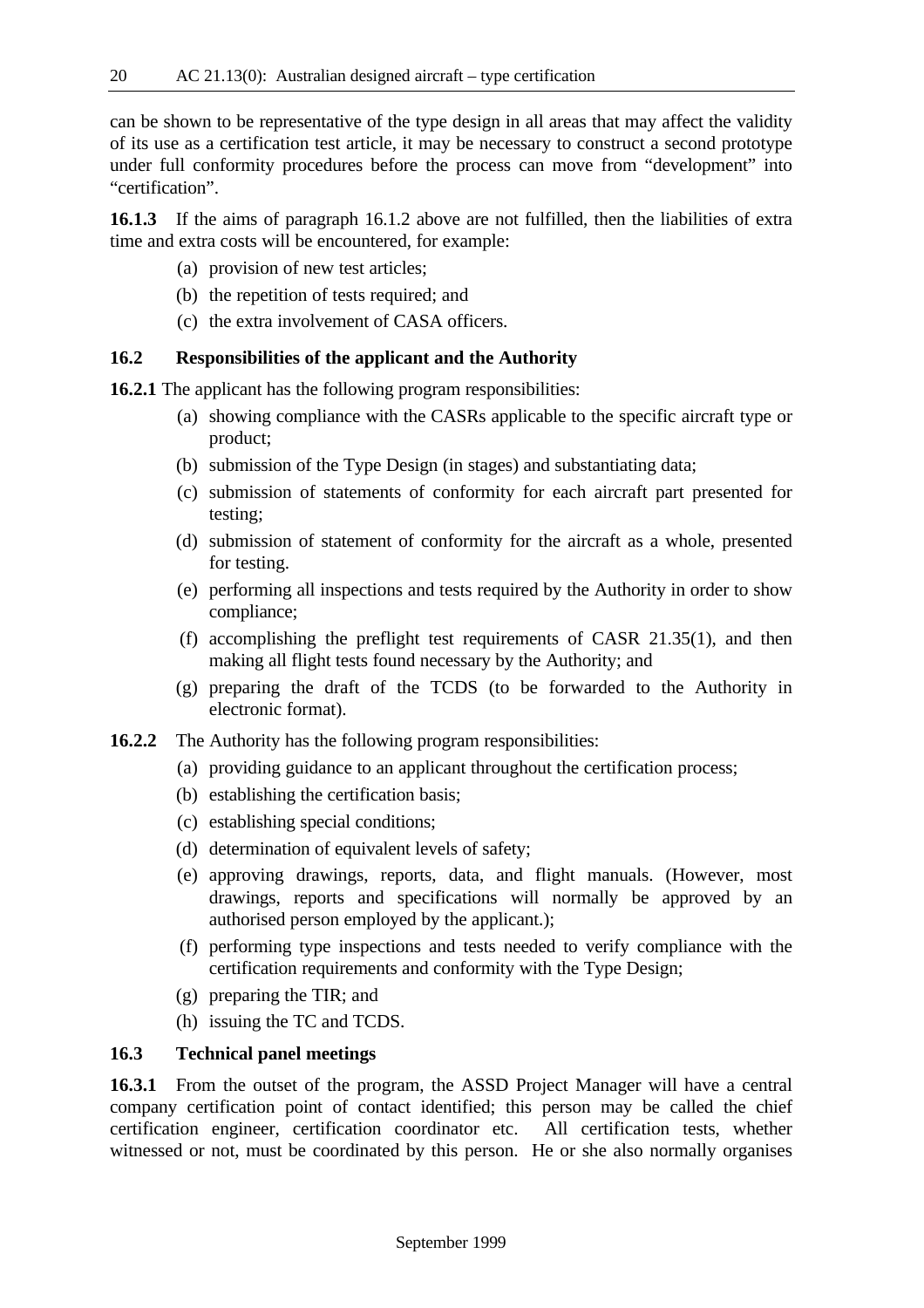can be shown to be representative of the type design in all areas that may affect the validity of its use as a certification test article, it may be necessary to construct a second prototype under full conformity procedures before the process can move from "development" into "certification".

**16.1.3** If the aims of paragraph 16.1.2 above are not fulfilled, then the liabilities of extra time and extra costs will be encountered, for example:

- (a) provision of new test articles;
- (b) the repetition of tests required; and
- (c) the extra involvement of CASA officers.

#### **16.2 Responsibilities of the applicant and the Authority**

**16.2.1** The applicant has the following program responsibilities:

- (a) showing compliance with the CASRs applicable to the specific aircraft type or product;
- (b) submission of the Type Design (in stages) and substantiating data;
- (c) submission of statements of conformity for each aircraft part presented for testing;
- (d) submission of statement of conformity for the aircraft as a whole, presented for testing.
- (e) performing all inspections and tests required by the Authority in order to show compliance;
- (f) accomplishing the preflight test requirements of CASR 21.35(1), and then making all flight tests found necessary by the Authority; and
- (g) preparing the draft of the TCDS (to be forwarded to the Authority in electronic format).
- **16.2.2** The Authority has the following program responsibilities:
	- (a) providing guidance to an applicant throughout the certification process;
	- (b) establishing the certification basis;
	- (c) establishing special conditions;
	- (d) determination of equivalent levels of safety;
	- (e) approving drawings, reports, data, and flight manuals. (However, most drawings, reports and specifications will normally be approved by an authorised person employed by the applicant.);
	- (f) performing type inspections and tests needed to verify compliance with the certification requirements and conformity with the Type Design;
	- (g) preparing the TIR; and
	- (h) issuing the TC and TCDS.

## **16.3 Technical panel meetings**

**16.3.1** From the outset of the program, the ASSD Project Manager will have a central company certification point of contact identified; this person may be called the chief certification engineer, certification coordinator etc. All certification tests, whether witnessed or not, must be coordinated by this person. He or she also normally organises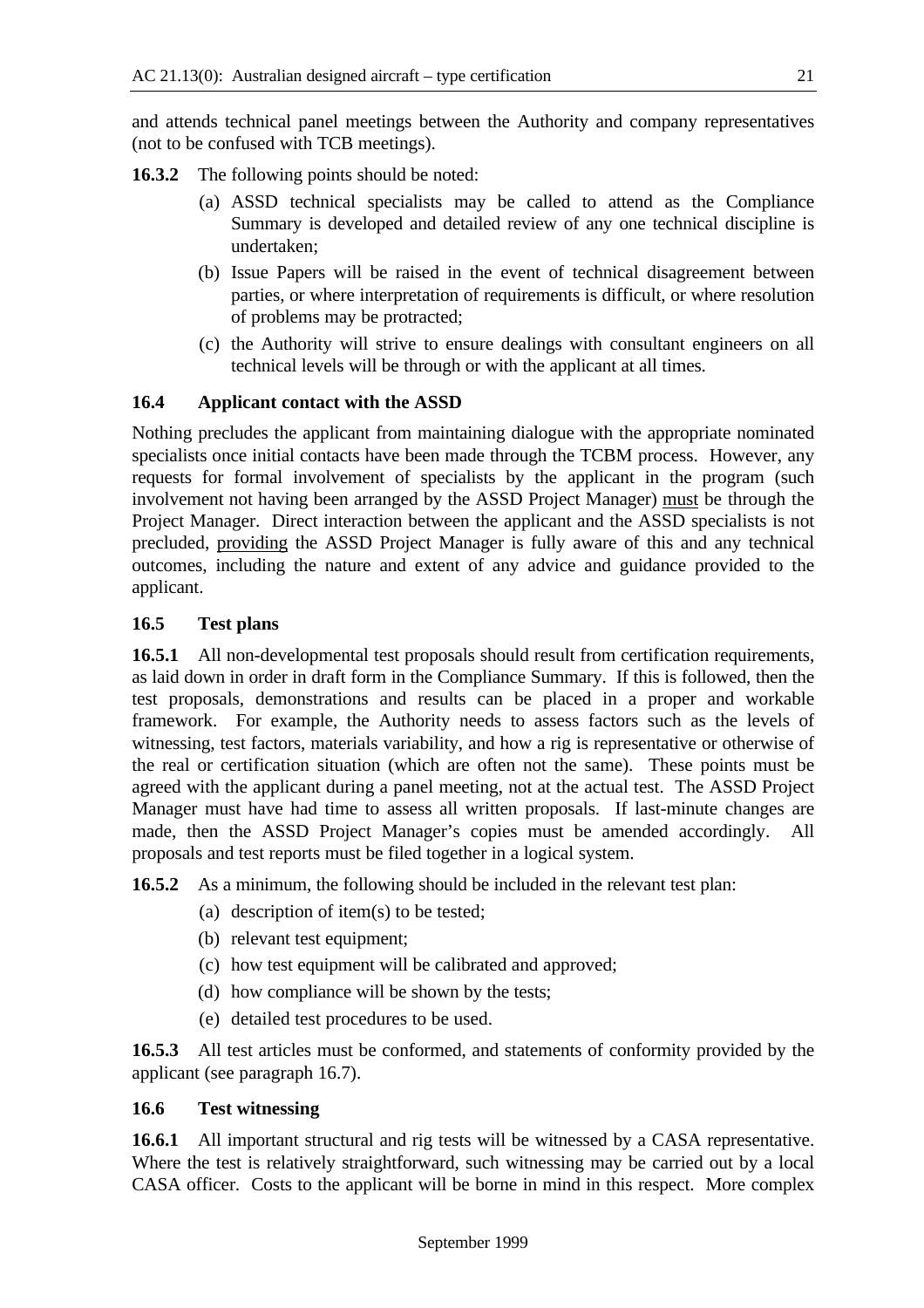and attends technical panel meetings between the Authority and company representatives (not to be confused with TCB meetings).

**16.3.2** The following points should be noted:

- (a) ASSD technical specialists may be called to attend as the Compliance Summary is developed and detailed review of any one technical discipline is undertaken;
- (b) Issue Papers will be raised in the event of technical disagreement between parties, or where interpretation of requirements is difficult, or where resolution of problems may be protracted;
- (c) the Authority will strive to ensure dealings with consultant engineers on all technical levels will be through or with the applicant at all times.

## **16.4 Applicant contact with the ASSD**

Nothing precludes the applicant from maintaining dialogue with the appropriate nominated specialists once initial contacts have been made through the TCBM process. However, any requests for formal involvement of specialists by the applicant in the program (such involvement not having been arranged by the ASSD Project Manager) must be through the Project Manager. Direct interaction between the applicant and the ASSD specialists is not precluded, providing the ASSD Project Manager is fully aware of this and any technical outcomes, including the nature and extent of any advice and guidance provided to the applicant.

## **16.5 Test plans**

**16.5.1** All non-developmental test proposals should result from certification requirements, as laid down in order in draft form in the Compliance Summary. If this is followed, then the test proposals, demonstrations and results can be placed in a proper and workable framework. For example, the Authority needs to assess factors such as the levels of witnessing, test factors, materials variability, and how a rig is representative or otherwise of the real or certification situation (which are often not the same). These points must be agreed with the applicant during a panel meeting, not at the actual test. The ASSD Project Manager must have had time to assess all written proposals. If last-minute changes are made, then the ASSD Project Manager's copies must be amended accordingly. All proposals and test reports must be filed together in a logical system.

**16.5.2** As a minimum, the following should be included in the relevant test plan:

- (a) description of item(s) to be tested;
- (b) relevant test equipment;
- (c) how test equipment will be calibrated and approved;
- (d) how compliance will be shown by the tests;
- (e) detailed test procedures to be used.

**16.5.3** All test articles must be conformed, and statements of conformity provided by the applicant (see paragraph 16.7).

## **16.6 Test witnessing**

**16.6.1** All important structural and rig tests will be witnessed by a CASA representative. Where the test is relatively straightforward, such witnessing may be carried out by a local CASA officer. Costs to the applicant will be borne in mind in this respect. More complex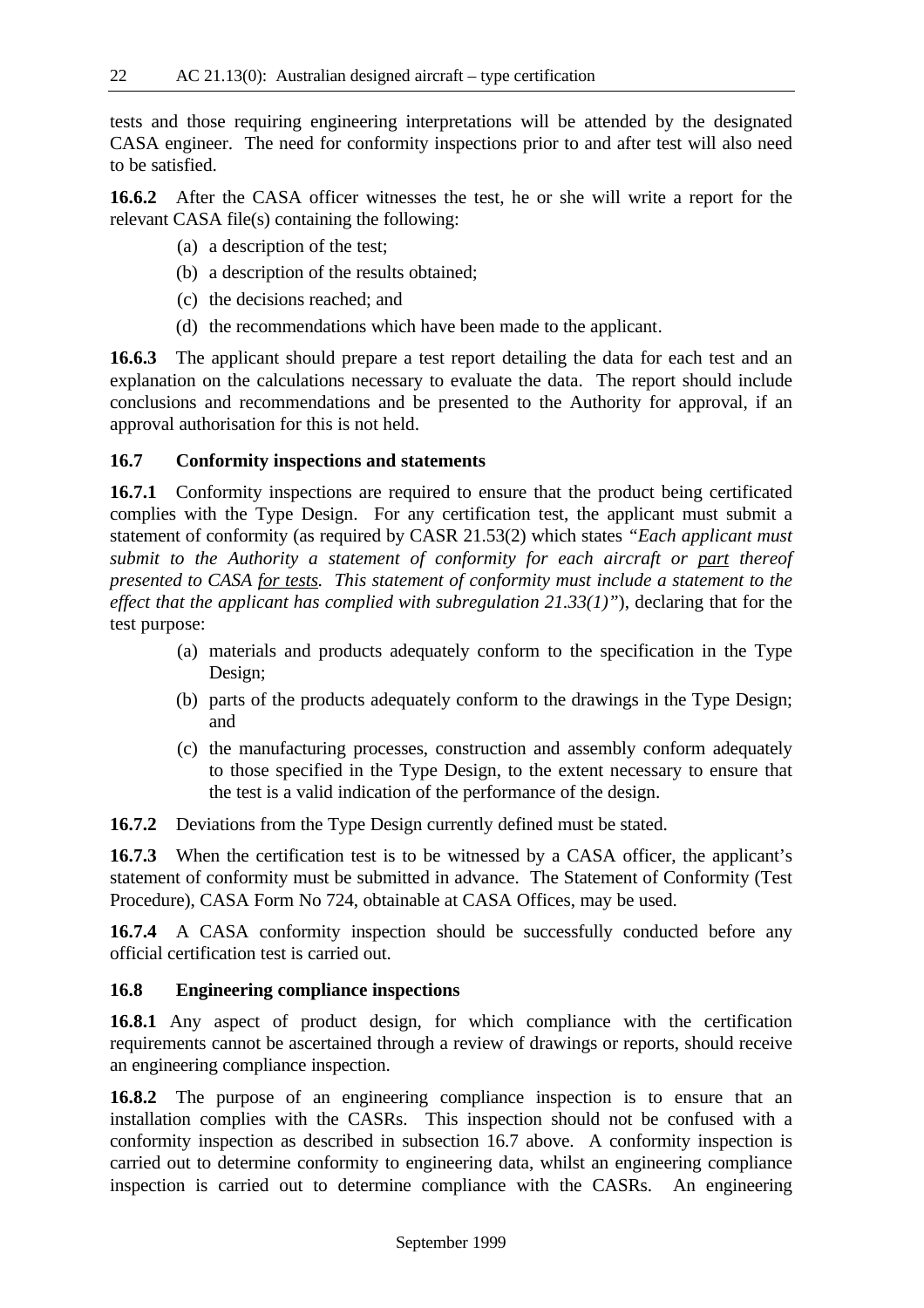tests and those requiring engineering interpretations will be attended by the designated CASA engineer. The need for conformity inspections prior to and after test will also need to be satisfied.

**16.6.2** After the CASA officer witnesses the test, he or she will write a report for the relevant CASA file(s) containing the following:

- (a) a description of the test;
- (b) a description of the results obtained;
- (c) the decisions reached; and
- (d) the recommendations which have been made to the applicant.

**16.6.3** The applicant should prepare a test report detailing the data for each test and an explanation on the calculations necessary to evaluate the data. The report should include conclusions and recommendations and be presented to the Authority for approval, if an approval authorisation for this is not held.

#### **16.7 Conformity inspections and statements**

**16.7.1** Conformity inspections are required to ensure that the product being certificated complies with the Type Design. For any certification test, the applicant must submit a statement of conformity (as required by CASR 21.53(2) which states *"Each applicant must submit to the Authority a statement of conformity for each aircraft or part thereof presented to CASA for tests. This statement of conformity must include a statement to the effect that the applicant has complied with subregulation 21.33(1)"*), declaring that for the test purpose:

- (a) materials and products adequately conform to the specification in the Type Design;
- (b) parts of the products adequately conform to the drawings in the Type Design; and
- (c) the manufacturing processes, construction and assembly conform adequately to those specified in the Type Design, to the extent necessary to ensure that the test is a valid indication of the performance of the design.

**16.7.2** Deviations from the Type Design currently defined must be stated.

**16.7.3** When the certification test is to be witnessed by a CASA officer, the applicant's statement of conformity must be submitted in advance. The Statement of Conformity (Test Procedure), CASA Form No 724, obtainable at CASA Offices, may be used.

**16.7.4** A CASA conformity inspection should be successfully conducted before any official certification test is carried out.

#### **16.8 Engineering compliance inspections**

**16.8.1** Any aspect of product design, for which compliance with the certification requirements cannot be ascertained through a review of drawings or reports, should receive an engineering compliance inspection.

**16.8.2** The purpose of an engineering compliance inspection is to ensure that an installation complies with the CASRs. This inspection should not be confused with a conformity inspection as described in subsection 16.7 above. A conformity inspection is carried out to determine conformity to engineering data, whilst an engineering compliance inspection is carried out to determine compliance with the CASRs. An engineering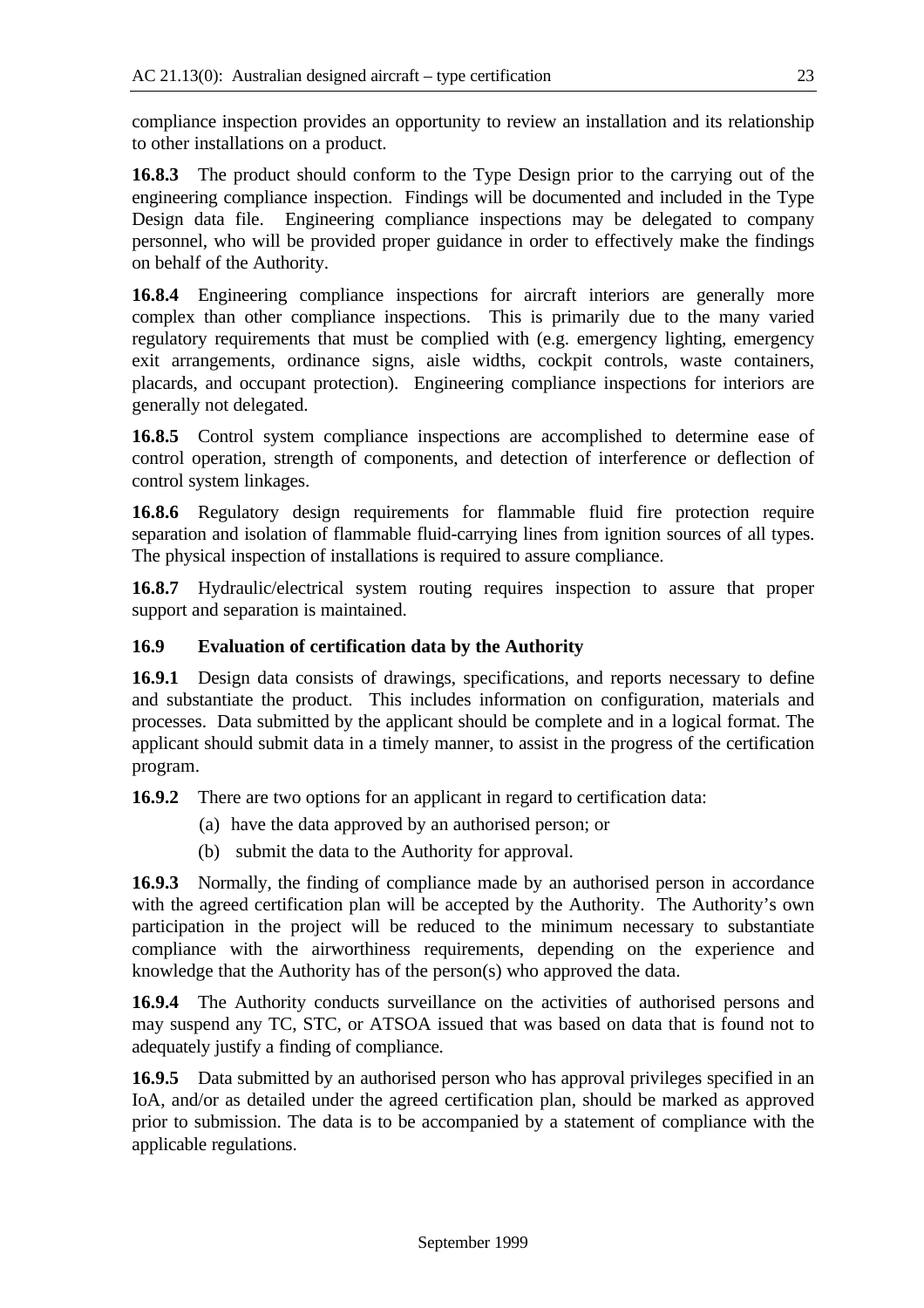compliance inspection provides an opportunity to review an installation and its relationship to other installations on a product.

**16.8.3** The product should conform to the Type Design prior to the carrying out of the engineering compliance inspection. Findings will be documented and included in the Type Design data file. Engineering compliance inspections may be delegated to company personnel, who will be provided proper guidance in order to effectively make the findings on behalf of the Authority.

**16.8.4** Engineering compliance inspections for aircraft interiors are generally more complex than other compliance inspections. This is primarily due to the many varied regulatory requirements that must be complied with (e.g. emergency lighting, emergency exit arrangements, ordinance signs, aisle widths, cockpit controls, waste containers, placards, and occupant protection). Engineering compliance inspections for interiors are generally not delegated.

**16.8.5** Control system compliance inspections are accomplished to determine ease of control operation, strength of components, and detection of interference or deflection of control system linkages.

**16.8.6** Regulatory design requirements for flammable fluid fire protection require separation and isolation of flammable fluid-carrying lines from ignition sources of all types. The physical inspection of installations is required to assure compliance.

**16.8.7** Hydraulic/electrical system routing requires inspection to assure that proper support and separation is maintained.

## **16.9 Evaluation of certification data by the Authority**

**16.9.1** Design data consists of drawings, specifications, and reports necessary to define and substantiate the product. This includes information on configuration, materials and processes. Data submitted by the applicant should be complete and in a logical format. The applicant should submit data in a timely manner, to assist in the progress of the certification program.

**16.9.2** There are two options for an applicant in regard to certification data:

- (a) have the data approved by an authorised person; or
- (b) submit the data to the Authority for approval.

**16.9.3** Normally, the finding of compliance made by an authorised person in accordance with the agreed certification plan will be accepted by the Authority. The Authority's own participation in the project will be reduced to the minimum necessary to substantiate compliance with the airworthiness requirements, depending on the experience and knowledge that the Authority has of the person(s) who approved the data.

**16.9.4** The Authority conducts surveillance on the activities of authorised persons and may suspend any TC, STC, or ATSOA issued that was based on data that is found not to adequately justify a finding of compliance.

**16.9.5** Data submitted by an authorised person who has approval privileges specified in an IoA, and/or as detailed under the agreed certification plan, should be marked as approved prior to submission. The data is to be accompanied by a statement of compliance with the applicable regulations.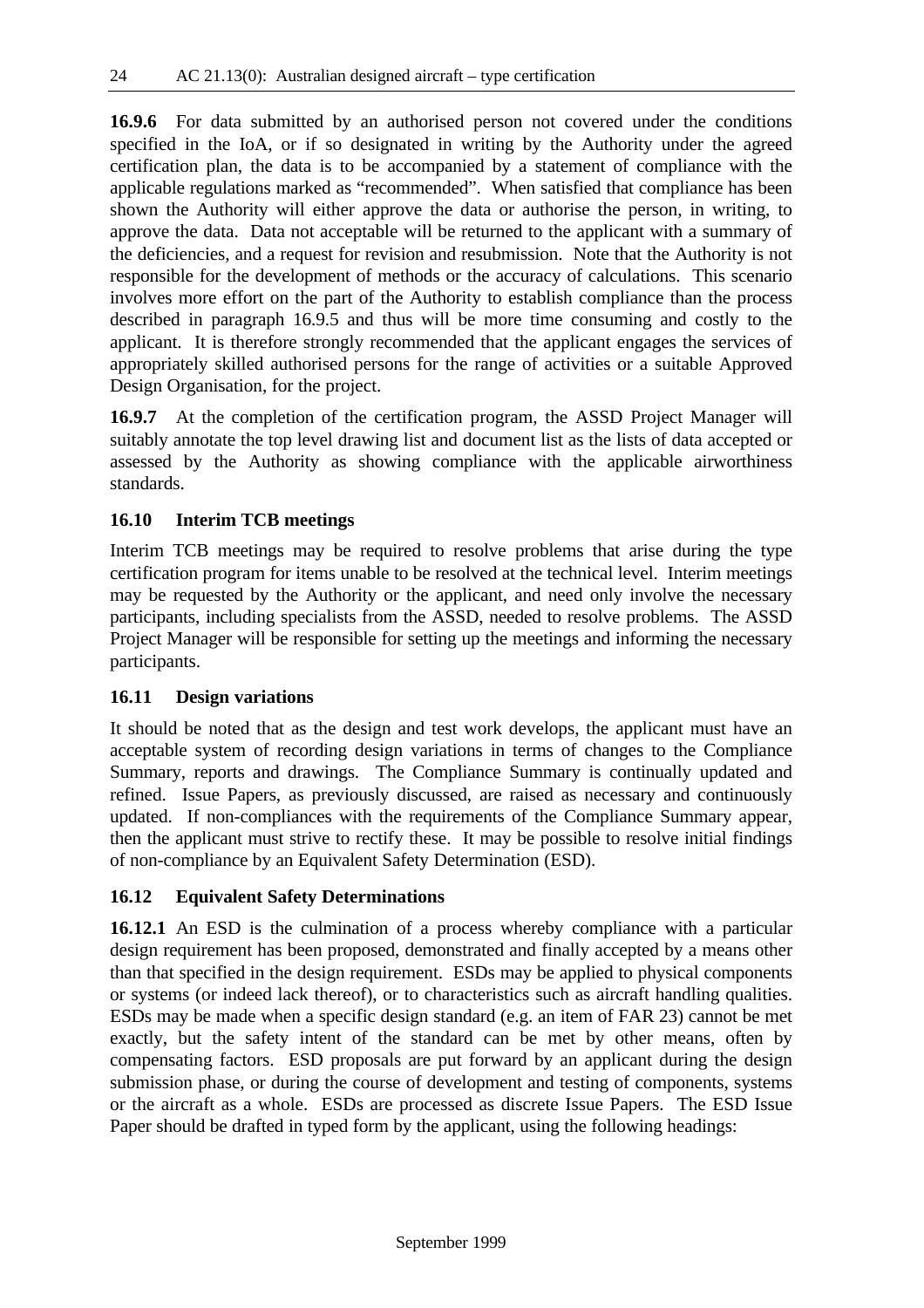**16.9.6** For data submitted by an authorised person not covered under the conditions specified in the IoA, or if so designated in writing by the Authority under the agreed certification plan, the data is to be accompanied by a statement of compliance with the applicable regulations marked as "recommended". When satisfied that compliance has been shown the Authority will either approve the data or authorise the person, in writing, to approve the data. Data not acceptable will be returned to the applicant with a summary of the deficiencies, and a request for revision and resubmission. Note that the Authority is not responsible for the development of methods or the accuracy of calculations. This scenario involves more effort on the part of the Authority to establish compliance than the process described in paragraph 16.9.5 and thus will be more time consuming and costly to the applicant. It is therefore strongly recommended that the applicant engages the services of appropriately skilled authorised persons for the range of activities or a suitable Approved Design Organisation, for the project.

**16.9.7** At the completion of the certification program, the ASSD Project Manager will suitably annotate the top level drawing list and document list as the lists of data accepted or assessed by the Authority as showing compliance with the applicable airworthiness standards.

## **16.10 Interim TCB meetings**

Interim TCB meetings may be required to resolve problems that arise during the type certification program for items unable to be resolved at the technical level. Interim meetings may be requested by the Authority or the applicant, and need only involve the necessary participants, including specialists from the ASSD, needed to resolve problems. The ASSD Project Manager will be responsible for setting up the meetings and informing the necessary participants.

## **16.11 Design variations**

It should be noted that as the design and test work develops, the applicant must have an acceptable system of recording design variations in terms of changes to the Compliance Summary, reports and drawings. The Compliance Summary is continually updated and refined. Issue Papers, as previously discussed, are raised as necessary and continuously updated. If non-compliances with the requirements of the Compliance Summary appear, then the applicant must strive to rectify these. It may be possible to resolve initial findings of non-compliance by an Equivalent Safety Determination (ESD).

## **16.12 Equivalent Safety Determinations**

**16.12.1** An ESD is the culmination of a process whereby compliance with a particular design requirement has been proposed, demonstrated and finally accepted by a means other than that specified in the design requirement. ESDs may be applied to physical components or systems (or indeed lack thereof), or to characteristics such as aircraft handling qualities. ESDs may be made when a specific design standard (e.g. an item of FAR 23) cannot be met exactly, but the safety intent of the standard can be met by other means, often by compensating factors. ESD proposals are put forward by an applicant during the design submission phase, or during the course of development and testing of components, systems or the aircraft as a whole. ESDs are processed as discrete Issue Papers. The ESD Issue Paper should be drafted in typed form by the applicant, using the following headings: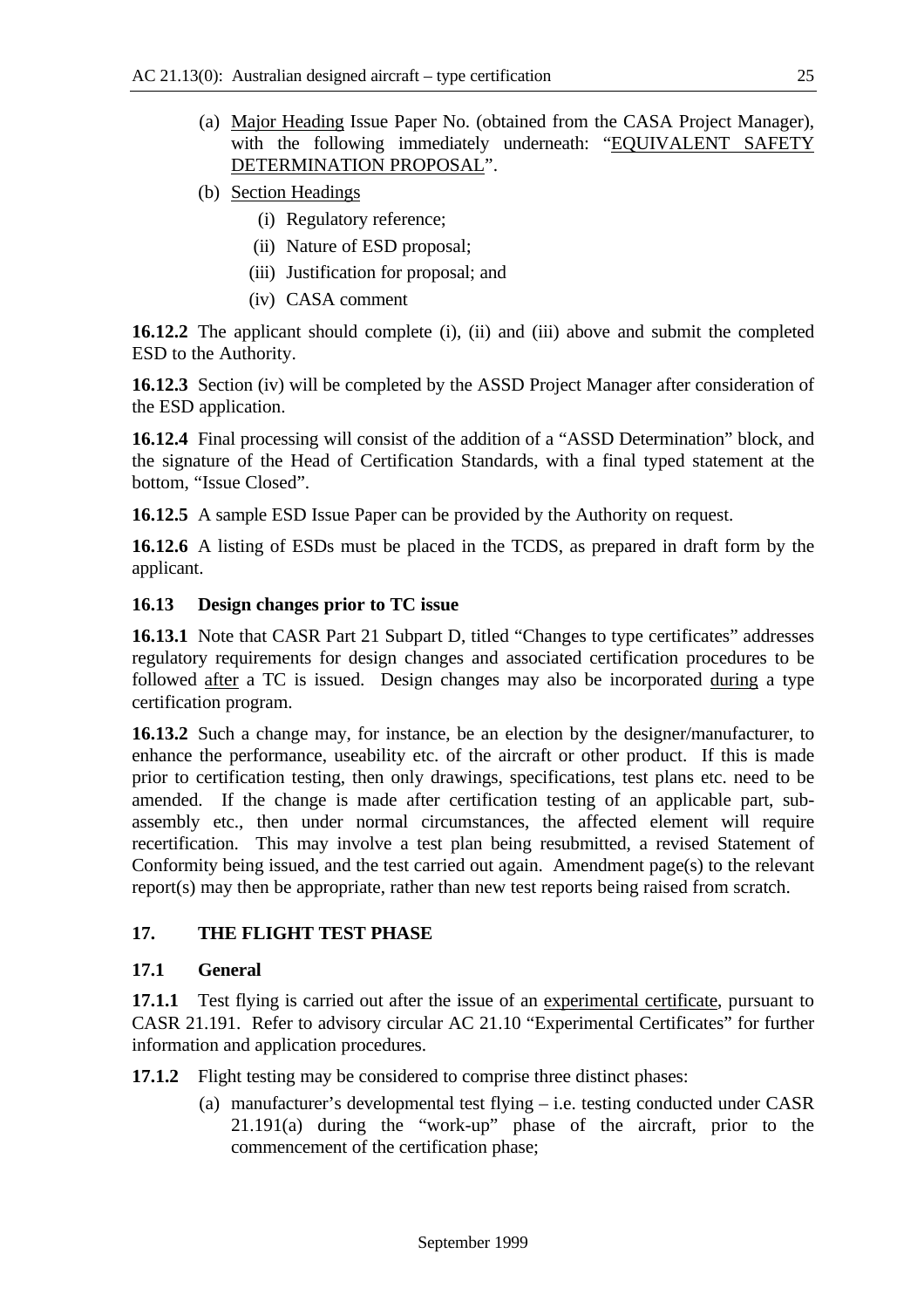- (a) Major Heading Issue Paper No. (obtained from the CASA Project Manager), with the following immediately underneath: "EQUIVALENT SAFETY DETERMINATION PROPOSAL".
- (b) Section Headings
	- (i) Regulatory reference;
	- (ii) Nature of ESD proposal;
	- (iii) Justification for proposal; and
	- (iv) CASA comment

**16.12.2** The applicant should complete (i), (ii) and (iii) above and submit the completed ESD to the Authority.

**16.12.3** Section (iv) will be completed by the ASSD Project Manager after consideration of the ESD application.

**16.12.4** Final processing will consist of the addition of a "ASSD Determination" block, and the signature of the Head of Certification Standards, with a final typed statement at the bottom, "Issue Closed".

**16.12.5** A sample ESD Issue Paper can be provided by the Authority on request.

**16.12.6** A listing of ESDs must be placed in the TCDS, as prepared in draft form by the applicant.

#### **16.13 Design changes prior to TC issue**

**16.13.1** Note that CASR Part 21 Subpart D, titled "Changes to type certificates" addresses regulatory requirements for design changes and associated certification procedures to be followed after a TC is issued. Design changes may also be incorporated during a type certification program.

**16.13.2** Such a change may, for instance, be an election by the designer/manufacturer, to enhance the performance, useability etc. of the aircraft or other product. If this is made prior to certification testing, then only drawings, specifications, test plans etc. need to be amended. If the change is made after certification testing of an applicable part, subassembly etc., then under normal circumstances, the affected element will require recertification. This may involve a test plan being resubmitted, a revised Statement of Conformity being issued, and the test carried out again. Amendment page(s) to the relevant report(s) may then be appropriate, rather than new test reports being raised from scratch.

## **17. THE FLIGHT TEST PHASE**

## **17.1 General**

**17.1.1** Test flying is carried out after the issue of an experimental certificate, pursuant to CASR 21.191. Refer to advisory circular AC 21.10 "Experimental Certificates" for further information and application procedures.

**17.1.2** Flight testing may be considered to comprise three distinct phases:

(a) manufacturer's developmental test flying – i.e. testing conducted under CASR 21.191(a) during the "work-up" phase of the aircraft, prior to the commencement of the certification phase;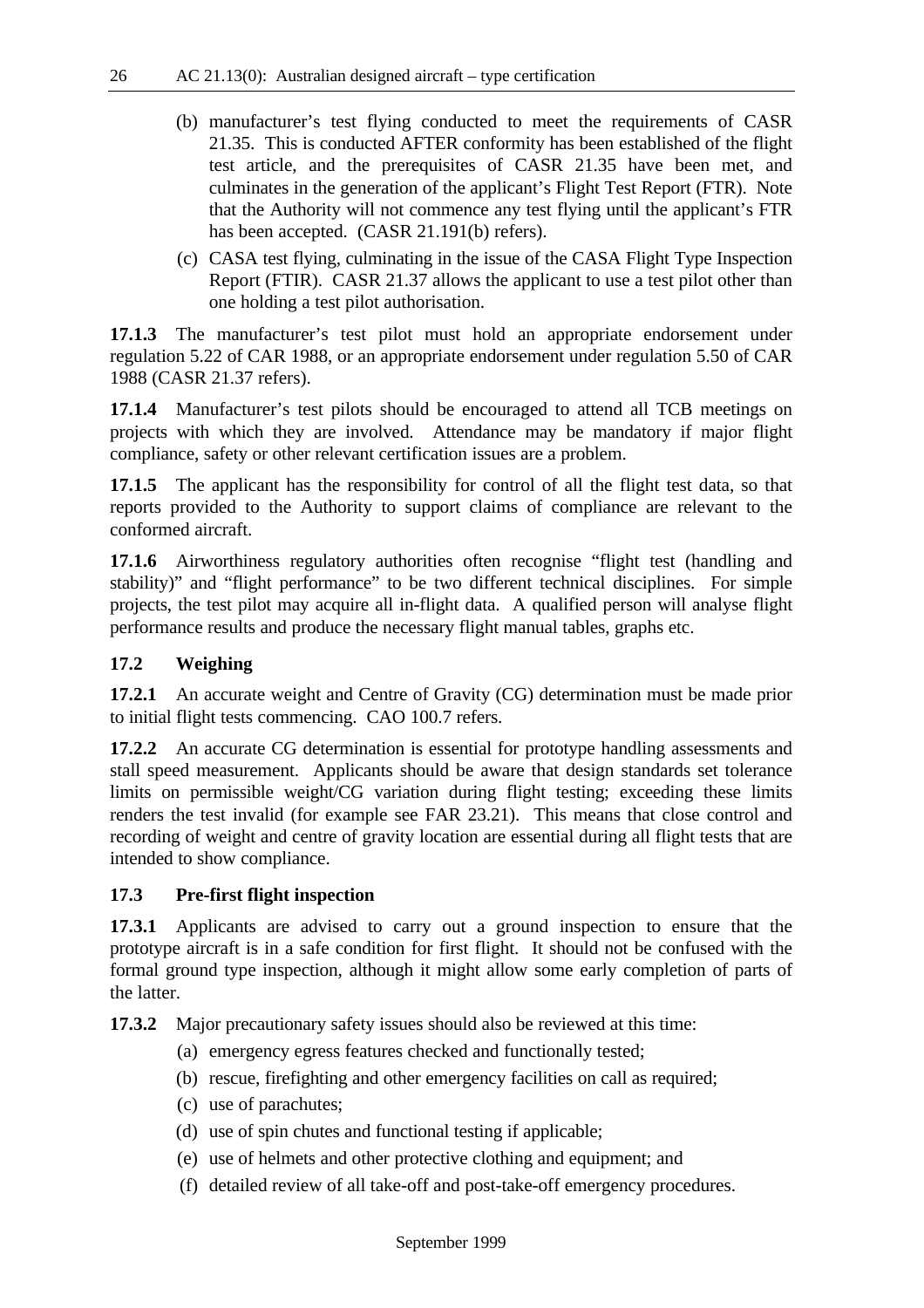- (b) manufacturer's test flying conducted to meet the requirements of CASR 21.35. This is conducted AFTER conformity has been established of the flight test article, and the prerequisites of CASR 21.35 have been met, and culminates in the generation of the applicant's Flight Test Report (FTR). Note that the Authority will not commence any test flying until the applicant's FTR has been accepted. (CASR 21.191(b) refers).
- (c) CASA test flying, culminating in the issue of the CASA Flight Type Inspection Report (FTIR). CASR 21.37 allows the applicant to use a test pilot other than one holding a test pilot authorisation.

**17.1.3** The manufacturer's test pilot must hold an appropriate endorsement under regulation 5.22 of CAR 1988, or an appropriate endorsement under regulation 5.50 of CAR 1988 (CASR 21.37 refers).

**17.1.4** Manufacturer's test pilots should be encouraged to attend all TCB meetings on projects with which they are involved. Attendance may be mandatory if major flight compliance, safety or other relevant certification issues are a problem.

**17.1.5** The applicant has the responsibility for control of all the flight test data, so that reports provided to the Authority to support claims of compliance are relevant to the conformed aircraft.

**17.1.6** Airworthiness regulatory authorities often recognise "flight test (handling and stability)" and "flight performance" to be two different technical disciplines. For simple projects, the test pilot may acquire all in-flight data. A qualified person will analyse flight performance results and produce the necessary flight manual tables, graphs etc.

## **17.2 Weighing**

**17.2.1** An accurate weight and Centre of Gravity (CG) determination must be made prior to initial flight tests commencing. CAO 100.7 refers.

**17.2.2** An accurate CG determination is essential for prototype handling assessments and stall speed measurement. Applicants should be aware that design standards set tolerance limits on permissible weight/CG variation during flight testing; exceeding these limits renders the test invalid (for example see FAR 23.21). This means that close control and recording of weight and centre of gravity location are essential during all flight tests that are intended to show compliance.

## **17.3 Pre-first flight inspection**

**17.3.1** Applicants are advised to carry out a ground inspection to ensure that the prototype aircraft is in a safe condition for first flight. It should not be confused with the formal ground type inspection, although it might allow some early completion of parts of the latter.

**17.3.2** Major precautionary safety issues should also be reviewed at this time:

- (a) emergency egress features checked and functionally tested;
- (b) rescue, firefighting and other emergency facilities on call as required;
- (c) use of parachutes;
- (d) use of spin chutes and functional testing if applicable;
- (e) use of helmets and other protective clothing and equipment; and
- (f) detailed review of all take-off and post-take-off emergency procedures.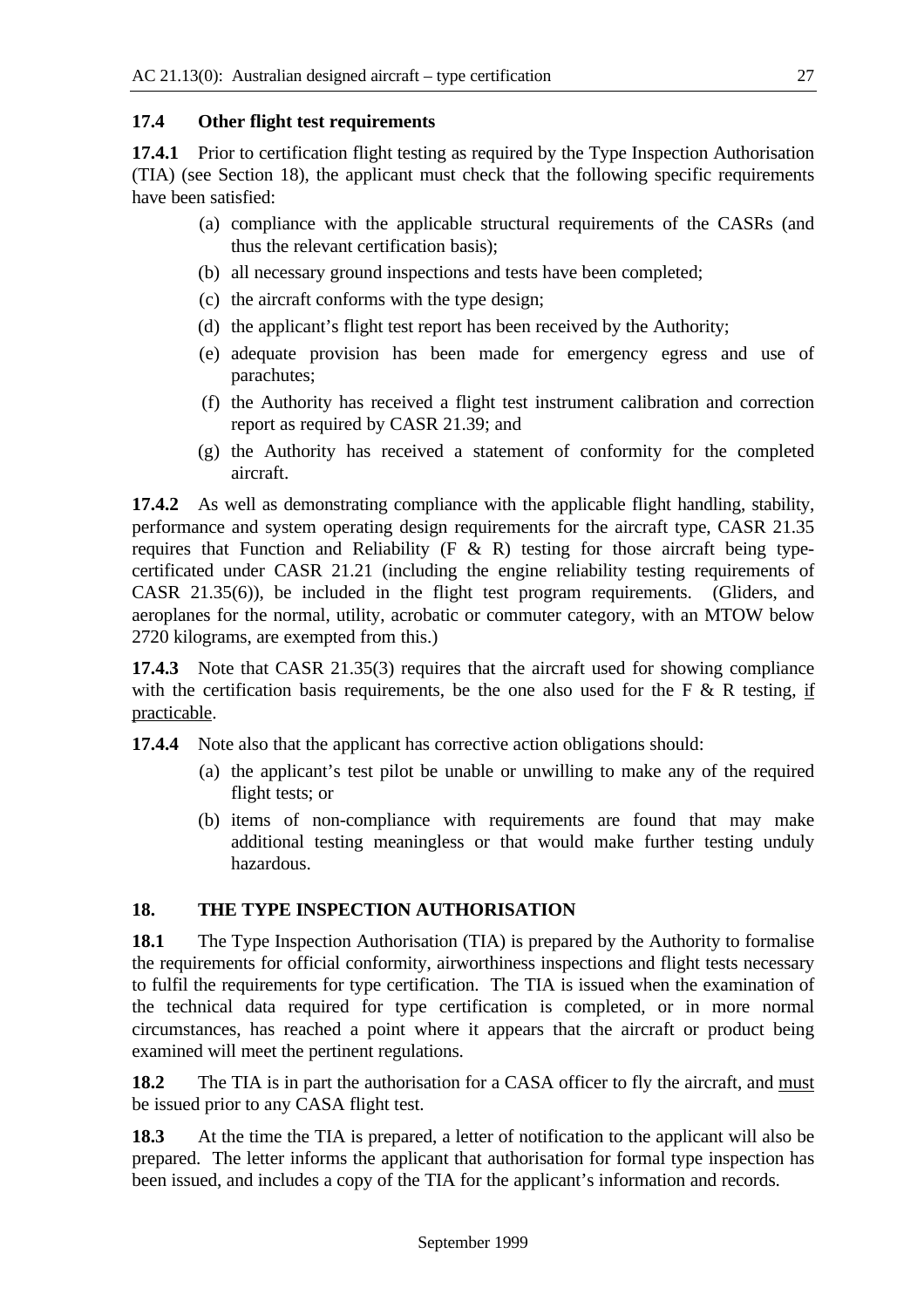## **17.4 Other flight test requirements**

**17.4.1** Prior to certification flight testing as required by the Type Inspection Authorisation (TIA) (see Section 18), the applicant must check that the following specific requirements have been satisfied:

- (a) compliance with the applicable structural requirements of the CASRs (and thus the relevant certification basis);
- (b) all necessary ground inspections and tests have been completed;
- (c) the aircraft conforms with the type design;
- (d) the applicant's flight test report has been received by the Authority;
- (e) adequate provision has been made for emergency egress and use of parachutes;
- (f) the Authority has received a flight test instrument calibration and correction report as required by CASR 21.39; and
- (g) the Authority has received a statement of conformity for the completed aircraft.

**17.4.2** As well as demonstrating compliance with the applicable flight handling, stability, performance and system operating design requirements for the aircraft type, CASR 21.35 requires that Function and Reliability  $(F \& R)$  testing for those aircraft being typecertificated under CASR 21.21 (including the engine reliability testing requirements of CASR 21.35(6)), be included in the flight test program requirements. (Gliders, and aeroplanes for the normal, utility, acrobatic or commuter category, with an MTOW below 2720 kilograms, are exempted from this.)

**17.4.3** Note that CASR 21.35(3) requires that the aircraft used for showing compliance with the certification basis requirements, be the one also used for the F  $\&$  R testing, if practicable.

- **17.4.4** Note also that the applicant has corrective action obligations should:
	- (a) the applicant's test pilot be unable or unwilling to make any of the required flight tests; or
	- (b) items of non-compliance with requirements are found that may make additional testing meaningless or that would make further testing unduly hazardous.

## **18. THE TYPE INSPECTION AUTHORISATION**

**18.1** The Type Inspection Authorisation (TIA) is prepared by the Authority to formalise the requirements for official conformity, airworthiness inspections and flight tests necessary to fulfil the requirements for type certification. The TIA is issued when the examination of the technical data required for type certification is completed, or in more normal circumstances, has reached a point where it appears that the aircraft or product being examined will meet the pertinent regulations.

**18.2** The TIA is in part the authorisation for a CASA officer to fly the aircraft, and must be issued prior to any CASA flight test.

**18.3** At the time the TIA is prepared, a letter of notification to the applicant will also be prepared. The letter informs the applicant that authorisation for formal type inspection has been issued, and includes a copy of the TIA for the applicant's information and records.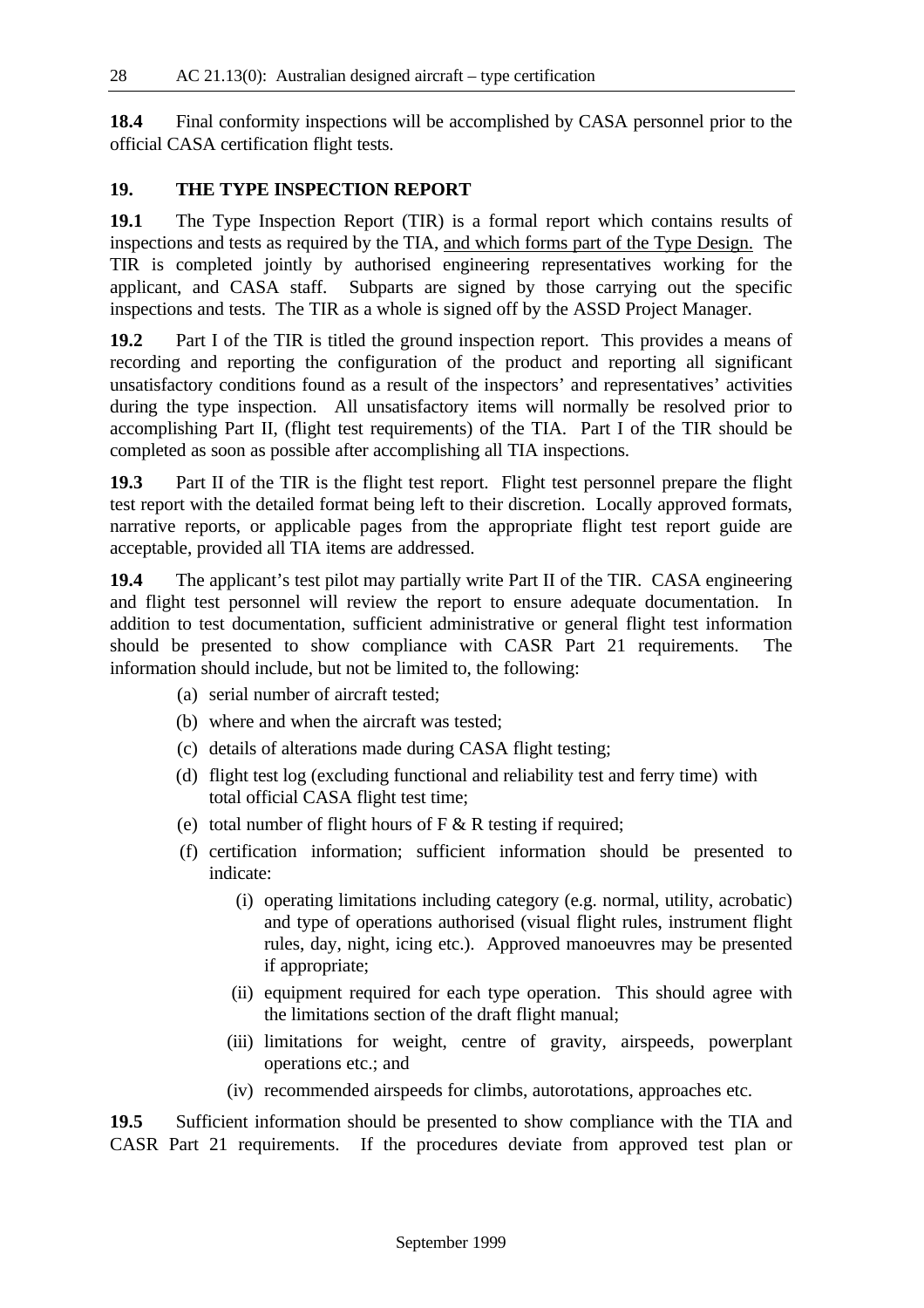**18.4** Final conformity inspections will be accomplished by CASA personnel prior to the official CASA certification flight tests.

## **19. THE TYPE INSPECTION REPORT**

**19.1** The Type Inspection Report (TIR) is a formal report which contains results of inspections and tests as required by the TIA, and which forms part of the Type Design. The TIR is completed jointly by authorised engineering representatives working for the applicant, and CASA staff. Subparts are signed by those carrying out the specific inspections and tests. The TIR as a whole is signed off by the ASSD Project Manager.

**19.2** Part I of the TIR is titled the ground inspection report. This provides a means of recording and reporting the configuration of the product and reporting all significant unsatisfactory conditions found as a result of the inspectors' and representatives' activities during the type inspection. All unsatisfactory items will normally be resolved prior to accomplishing Part II, (flight test requirements) of the TIA. Part I of the TIR should be completed as soon as possible after accomplishing all TIA inspections.

**19.3** Part II of the TIR is the flight test report. Flight test personnel prepare the flight test report with the detailed format being left to their discretion. Locally approved formats, narrative reports, or applicable pages from the appropriate flight test report guide are acceptable, provided all TIA items are addressed.

**19.4** The applicant's test pilot may partially write Part II of the TIR. CASA engineering and flight test personnel will review the report to ensure adequate documentation. In addition to test documentation, sufficient administrative or general flight test information should be presented to show compliance with CASR Part 21 requirements. The information should include, but not be limited to, the following:

- (a) serial number of aircraft tested;
- (b) where and when the aircraft was tested;
- (c) details of alterations made during CASA flight testing;
- (d) flight test log (excluding functional and reliability test and ferry time) with total official CASA flight test time;
- (e) total number of flight hours of  $F < R$  testing if required;
- (f) certification information; sufficient information should be presented to indicate:
	- (i) operating limitations including category (e.g. normal, utility, acrobatic) and type of operations authorised (visual flight rules, instrument flight rules, day, night, icing etc.). Approved manoeuvres may be presented if appropriate;
	- (ii) equipment required for each type operation. This should agree with the limitations section of the draft flight manual;
	- (iii) limitations for weight, centre of gravity, airspeeds, powerplant operations etc.; and
	- (iv) recommended airspeeds for climbs, autorotations, approaches etc.

**19.5** Sufficient information should be presented to show compliance with the TIA and CASR Part 21 requirements. If the procedures deviate from approved test plan or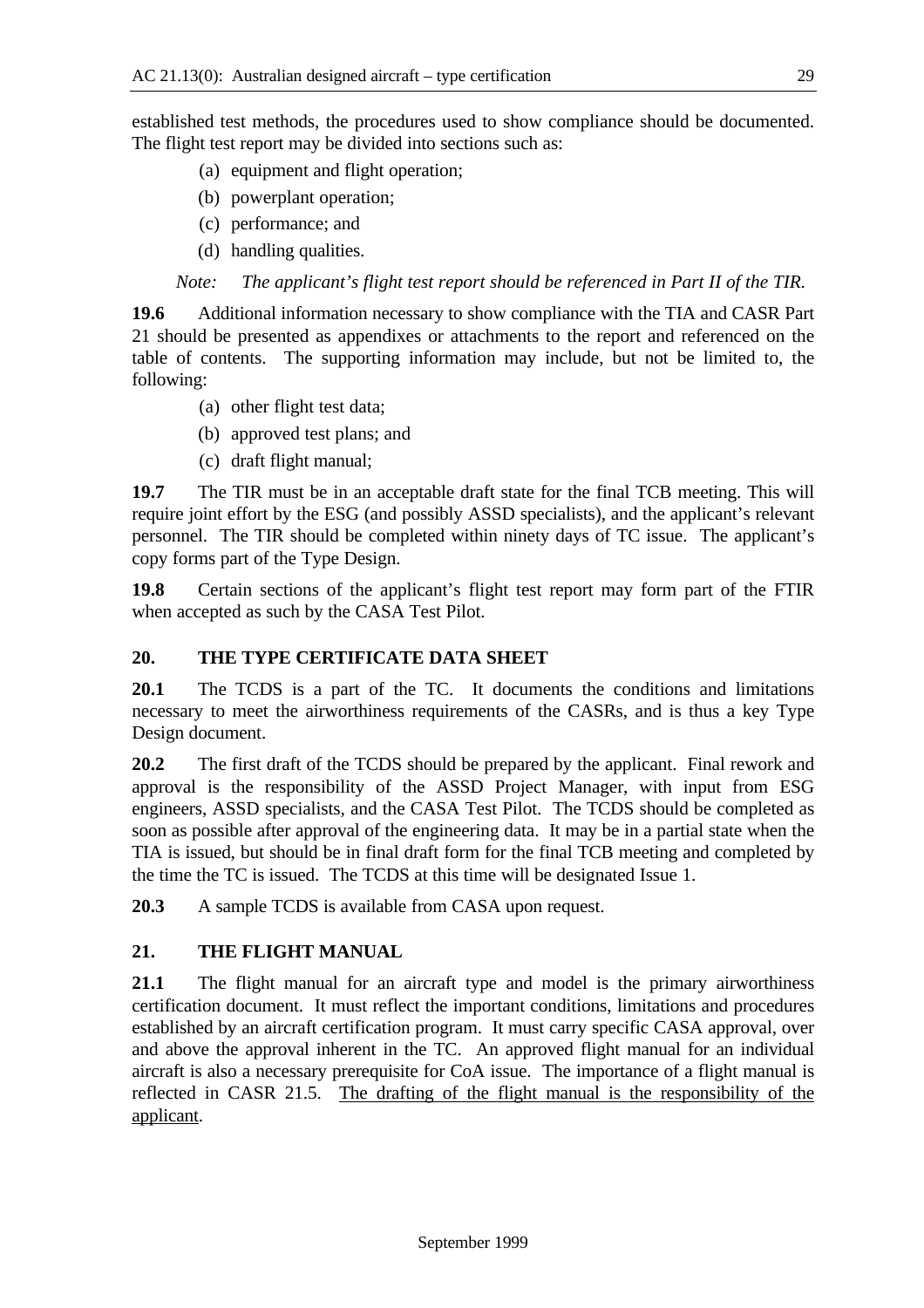established test methods, the procedures used to show compliance should be documented. The flight test report may be divided into sections such as:

- (a) equipment and flight operation;
- (b) powerplant operation;
- (c) performance; and
- (d) handling qualities.

*Note: The applicant's flight test report should be referenced in Part II of the TIR.*

**19.6** Additional information necessary to show compliance with the TIA and CASR Part 21 should be presented as appendixes or attachments to the report and referenced on the table of contents. The supporting information may include, but not be limited to, the following:

- (a) other flight test data;
- (b) approved test plans; and
- (c) draft flight manual;

**19.7** The TIR must be in an acceptable draft state for the final TCB meeting. This will require joint effort by the ESG (and possibly ASSD specialists), and the applicant's relevant personnel. The TIR should be completed within ninety days of TC issue. The applicant's copy forms part of the Type Design.

**19.8** Certain sections of the applicant's flight test report may form part of the FTIR when accepted as such by the CASA Test Pilot.

## **20. THE TYPE CERTIFICATE DATA SHEET**

**20.1** The TCDS is a part of the TC. It documents the conditions and limitations necessary to meet the airworthiness requirements of the CASRs, and is thus a key Type Design document.

**20.2** The first draft of the TCDS should be prepared by the applicant. Final rework and approval is the responsibility of the ASSD Project Manager, with input from ESG engineers, ASSD specialists, and the CASA Test Pilot. The TCDS should be completed as soon as possible after approval of the engineering data. It may be in a partial state when the TIA is issued, but should be in final draft form for the final TCB meeting and completed by the time the TC is issued. The TCDS at this time will be designated Issue 1.

**20.3** A sample TCDS is available from CASA upon request.

## **21. THE FLIGHT MANUAL**

**21.1** The flight manual for an aircraft type and model is the primary airworthiness certification document. It must reflect the important conditions, limitations and procedures established by an aircraft certification program. It must carry specific CASA approval, over and above the approval inherent in the TC. An approved flight manual for an individual aircraft is also a necessary prerequisite for CoA issue. The importance of a flight manual is reflected in CASR 21.5. The drafting of the flight manual is the responsibility of the applicant.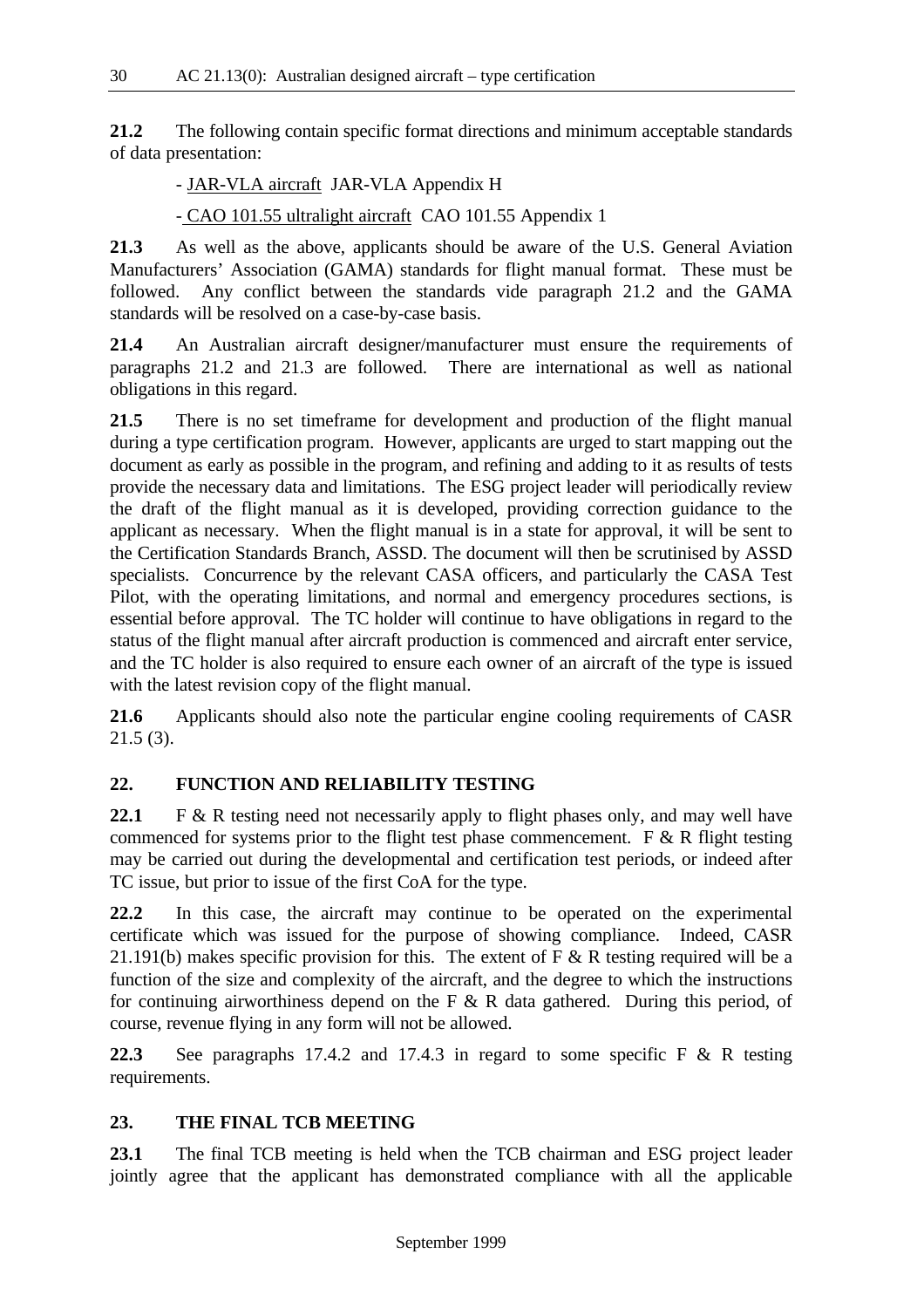**21.2** The following contain specific format directions and minimum acceptable standards of data presentation:

- JAR-VLA aircraft JAR-VLA Appendix H

- CAO 101.55 ultralight aircraft CAO 101.55 Appendix 1

**21.3** As well as the above, applicants should be aware of the U.S. General Aviation Manufacturers' Association (GAMA) standards for flight manual format. These must be followed. Any conflict between the standards vide paragraph 21.2 and the GAMA standards will be resolved on a case-by-case basis.

**21.4** An Australian aircraft designer/manufacturer must ensure the requirements of paragraphs 21.2 and 21.3 are followed. There are international as well as national obligations in this regard.

**21.5** There is no set timeframe for development and production of the flight manual during a type certification program. However, applicants are urged to start mapping out the document as early as possible in the program, and refining and adding to it as results of tests provide the necessary data and limitations. The ESG project leader will periodically review the draft of the flight manual as it is developed, providing correction guidance to the applicant as necessary. When the flight manual is in a state for approval, it will be sent to the Certification Standards Branch, ASSD. The document will then be scrutinised by ASSD specialists. Concurrence by the relevant CASA officers, and particularly the CASA Test Pilot, with the operating limitations, and normal and emergency procedures sections, is essential before approval. The TC holder will continue to have obligations in regard to the status of the flight manual after aircraft production is commenced and aircraft enter service, and the TC holder is also required to ensure each owner of an aircraft of the type is issued with the latest revision copy of the flight manual.

**21.6** Applicants should also note the particular engine cooling requirements of CASR 21.5 (3).

## **22. FUNCTION AND RELIABILITY TESTING**

22.1 F & R testing need not necessarily apply to flight phases only, and may well have commenced for systems prior to the flight test phase commencement. F & R flight testing may be carried out during the developmental and certification test periods, or indeed after TC issue, but prior to issue of the first CoA for the type.

**22.2** In this case, the aircraft may continue to be operated on the experimental certificate which was issued for the purpose of showing compliance. Indeed, CASR 21.191(b) makes specific provision for this. The extent of  $F \& R$  testing required will be a function of the size and complexity of the aircraft, and the degree to which the instructions for continuing airworthiness depend on the F  $\&$  R data gathered. During this period, of course, revenue flying in any form will not be allowed.

**22.3** See paragraphs 17.4.2 and 17.4.3 in regard to some specific F & R testing requirements.

## **23. THE FINAL TCB MEETING**

**23.1** The final TCB meeting is held when the TCB chairman and ESG project leader jointly agree that the applicant has demonstrated compliance with all the applicable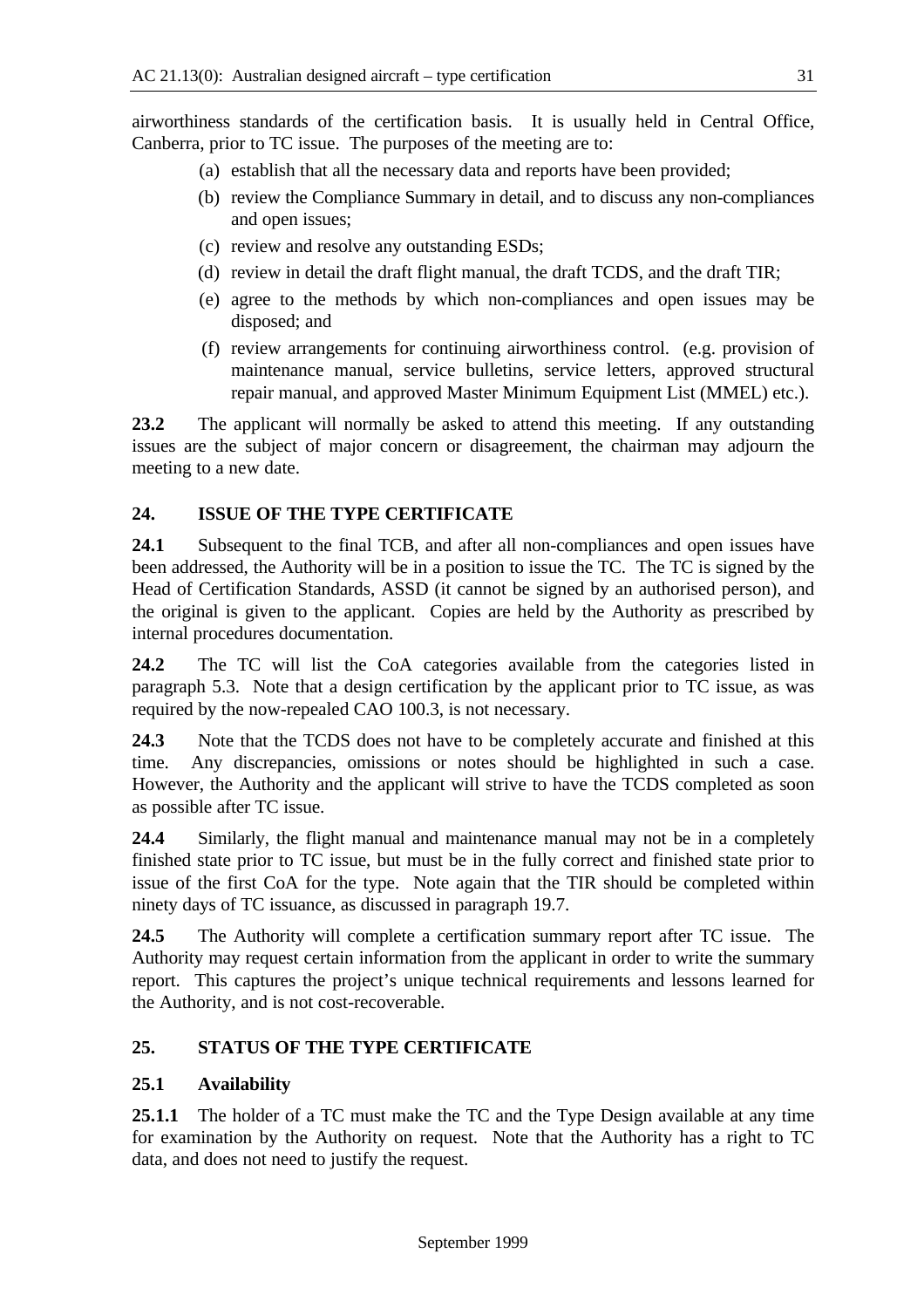airworthiness standards of the certification basis. It is usually held in Central Office, Canberra, prior to TC issue. The purposes of the meeting are to:

- (a) establish that all the necessary data and reports have been provided;
- (b) review the Compliance Summary in detail, and to discuss any non-compliances and open issues;
- (c) review and resolve any outstanding ESDs;
- (d) review in detail the draft flight manual, the draft TCDS, and the draft TIR;
- (e) agree to the methods by which non-compliances and open issues may be disposed; and
- (f) review arrangements for continuing airworthiness control. (e.g. provision of maintenance manual, service bulletins, service letters, approved structural repair manual, and approved Master Minimum Equipment List (MMEL) etc.).

**23.2** The applicant will normally be asked to attend this meeting. If any outstanding issues are the subject of major concern or disagreement, the chairman may adjourn the meeting to a new date.

## **24. ISSUE OF THE TYPE CERTIFICATE**

**24.1** Subsequent to the final TCB, and after all non-compliances and open issues have been addressed, the Authority will be in a position to issue the TC. The TC is signed by the Head of Certification Standards, ASSD (it cannot be signed by an authorised person), and the original is given to the applicant. Copies are held by the Authority as prescribed by internal procedures documentation.

**24.2** The TC will list the CoA categories available from the categories listed in paragraph 5.3. Note that a design certification by the applicant prior to TC issue, as was required by the now-repealed CAO 100.3, is not necessary.

**24.3** Note that the TCDS does not have to be completely accurate and finished at this time. Any discrepancies, omissions or notes should be highlighted in such a case. However, the Authority and the applicant will strive to have the TCDS completed as soon as possible after TC issue.

**24.4** Similarly, the flight manual and maintenance manual may not be in a completely finished state prior to TC issue, but must be in the fully correct and finished state prior to issue of the first CoA for the type. Note again that the TIR should be completed within ninety days of TC issuance, as discussed in paragraph 19.7.

**24.5** The Authority will complete a certification summary report after TC issue. The Authority may request certain information from the applicant in order to write the summary report. This captures the project's unique technical requirements and lessons learned for the Authority, and is not cost-recoverable.

## **25. STATUS OF THE TYPE CERTIFICATE**

## **25.1 Availability**

**25.1.1** The holder of a TC must make the TC and the Type Design available at any time for examination by the Authority on request. Note that the Authority has a right to TC data, and does not need to justify the request.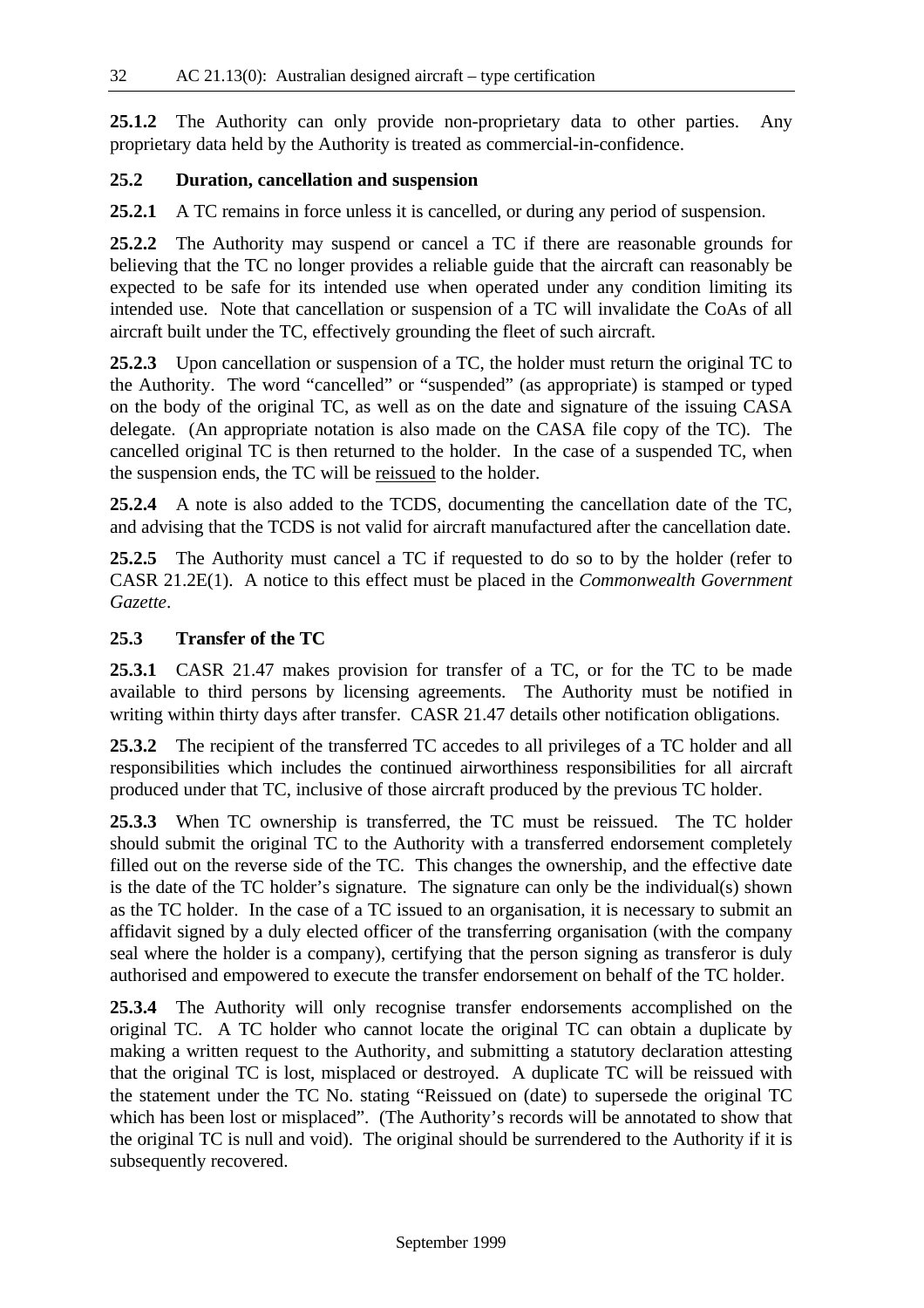**25.1.2** The Authority can only provide non-proprietary data to other parties. Any proprietary data held by the Authority is treated as commercial-in-confidence.

## **25.2 Duration, cancellation and suspension**

**25.2.1** A TC remains in force unless it is cancelled, or during any period of suspension.

**25.2.2** The Authority may suspend or cancel a TC if there are reasonable grounds for believing that the TC no longer provides a reliable guide that the aircraft can reasonably be expected to be safe for its intended use when operated under any condition limiting its intended use. Note that cancellation or suspension of a TC will invalidate the CoAs of all aircraft built under the TC, effectively grounding the fleet of such aircraft.

**25.2.3** Upon cancellation or suspension of a TC, the holder must return the original TC to the Authority. The word "cancelled" or "suspended" (as appropriate) is stamped or typed on the body of the original TC, as well as on the date and signature of the issuing CASA delegate. (An appropriate notation is also made on the CASA file copy of the TC). The cancelled original TC is then returned to the holder. In the case of a suspended TC, when the suspension ends, the TC will be reissued to the holder.

**25.2.4** A note is also added to the TCDS, documenting the cancellation date of the TC, and advising that the TCDS is not valid for aircraft manufactured after the cancellation date.

**25.2.5** The Authority must cancel a TC if requested to do so to by the holder (refer to CASR 21.2E(1). A notice to this effect must be placed in the *Commonwealth Government Gazette*.

## **25.3 Transfer of the TC**

**25.3.1** CASR 21.47 makes provision for transfer of a TC, or for the TC to be made available to third persons by licensing agreements. The Authority must be notified in writing within thirty days after transfer. CASR 21.47 details other notification obligations.

**25.3.2** The recipient of the transferred TC accedes to all privileges of a TC holder and all responsibilities which includes the continued airworthiness responsibilities for all aircraft produced under that TC, inclusive of those aircraft produced by the previous TC holder.

**25.3.3** When TC ownership is transferred, the TC must be reissued. The TC holder should submit the original TC to the Authority with a transferred endorsement completely filled out on the reverse side of the TC. This changes the ownership, and the effective date is the date of the TC holder's signature. The signature can only be the individual(s) shown as the TC holder. In the case of a TC issued to an organisation, it is necessary to submit an affidavit signed by a duly elected officer of the transferring organisation (with the company seal where the holder is a company), certifying that the person signing as transferor is duly authorised and empowered to execute the transfer endorsement on behalf of the TC holder.

**25.3.4** The Authority will only recognise transfer endorsements accomplished on the original TC. A TC holder who cannot locate the original TC can obtain a duplicate by making a written request to the Authority, and submitting a statutory declaration attesting that the original TC is lost, misplaced or destroyed. A duplicate TC will be reissued with the statement under the TC No. stating "Reissued on (date) to supersede the original TC which has been lost or misplaced". (The Authority's records will be annotated to show that the original TC is null and void). The original should be surrendered to the Authority if it is subsequently recovered.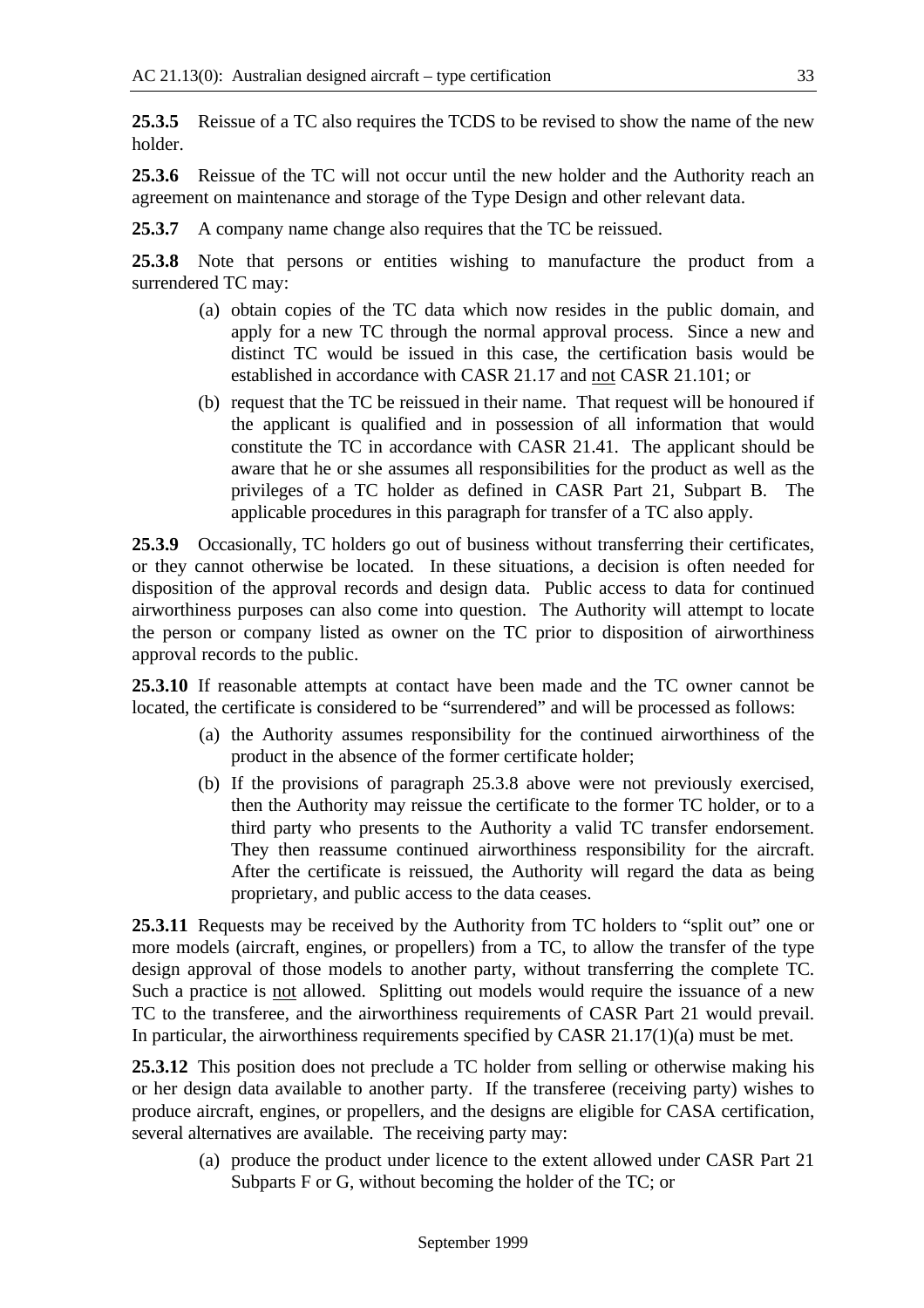**25.3.5** Reissue of a TC also requires the TCDS to be revised to show the name of the new holder.

**25.3.6** Reissue of the TC will not occur until the new holder and the Authority reach an agreement on maintenance and storage of the Type Design and other relevant data.

**25.3.7** A company name change also requires that the TC be reissued.

**25.3.8** Note that persons or entities wishing to manufacture the product from a surrendered TC may:

- (a) obtain copies of the TC data which now resides in the public domain, and apply for a new TC through the normal approval process. Since a new and distinct TC would be issued in this case, the certification basis would be established in accordance with CASR 21.17 and not CASR 21.101; or
- (b) request that the TC be reissued in their name. That request will be honoured if the applicant is qualified and in possession of all information that would constitute the TC in accordance with CASR 21.41. The applicant should be aware that he or she assumes all responsibilities for the product as well as the privileges of a TC holder as defined in CASR Part 21, Subpart B. The applicable procedures in this paragraph for transfer of a TC also apply.

**25.3.9** Occasionally, TC holders go out of business without transferring their certificates, or they cannot otherwise be located. In these situations, a decision is often needed for disposition of the approval records and design data. Public access to data for continued airworthiness purposes can also come into question. The Authority will attempt to locate the person or company listed as owner on the TC prior to disposition of airworthiness approval records to the public.

**25.3.10** If reasonable attempts at contact have been made and the TC owner cannot be located, the certificate is considered to be "surrendered" and will be processed as follows:

- (a) the Authority assumes responsibility for the continued airworthiness of the product in the absence of the former certificate holder;
- (b) If the provisions of paragraph 25.3.8 above were not previously exercised, then the Authority may reissue the certificate to the former TC holder, or to a third party who presents to the Authority a valid TC transfer endorsement. They then reassume continued airworthiness responsibility for the aircraft. After the certificate is reissued, the Authority will regard the data as being proprietary, and public access to the data ceases.

**25.3.11** Requests may be received by the Authority from TC holders to "split out" one or more models (aircraft, engines, or propellers) from a TC, to allow the transfer of the type design approval of those models to another party, without transferring the complete TC. Such a practice is not allowed. Splitting out models would require the issuance of a new TC to the transferee, and the airworthiness requirements of CASR Part 21 would prevail. In particular, the airworthiness requirements specified by CASR 21.17(1)(a) must be met.

**25.3.12** This position does not preclude a TC holder from selling or otherwise making his or her design data available to another party. If the transferee (receiving party) wishes to produce aircraft, engines, or propellers, and the designs are eligible for CASA certification, several alternatives are available. The receiving party may:

(a) produce the product under licence to the extent allowed under CASR Part 21 Subparts F or G, without becoming the holder of the TC; or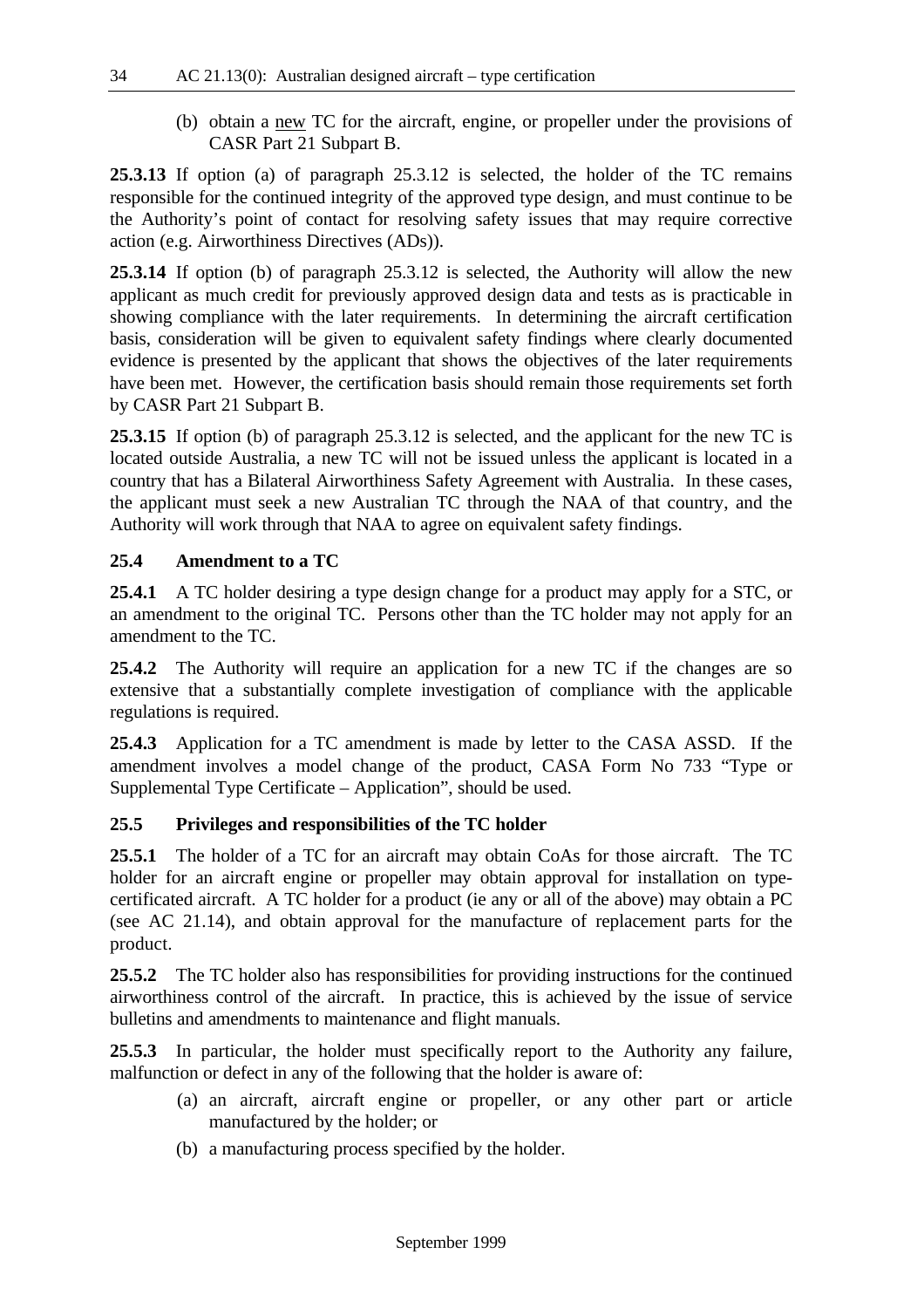(b) obtain a new TC for the aircraft, engine, or propeller under the provisions of CASR Part 21 Subpart B.

**25.3.13** If option (a) of paragraph 25.3.12 is selected, the holder of the TC remains responsible for the continued integrity of the approved type design, and must continue to be the Authority's point of contact for resolving safety issues that may require corrective action (e.g. Airworthiness Directives (ADs)).

**25.3.14** If option (b) of paragraph 25.3.12 is selected, the Authority will allow the new applicant as much credit for previously approved design data and tests as is practicable in showing compliance with the later requirements. In determining the aircraft certification basis, consideration will be given to equivalent safety findings where clearly documented evidence is presented by the applicant that shows the objectives of the later requirements have been met. However, the certification basis should remain those requirements set forth by CASR Part 21 Subpart B.

**25.3.15** If option (b) of paragraph 25.3.12 is selected, and the applicant for the new TC is located outside Australia, a new TC will not be issued unless the applicant is located in a country that has a Bilateral Airworthiness Safety Agreement with Australia. In these cases, the applicant must seek a new Australian TC through the NAA of that country, and the Authority will work through that NAA to agree on equivalent safety findings.

#### **25.4 Amendment to a TC**

**25.4.1** A TC holder desiring a type design change for a product may apply for a STC, or an amendment to the original TC. Persons other than the TC holder may not apply for an amendment to the TC.

**25.4.2** The Authority will require an application for a new TC if the changes are so extensive that a substantially complete investigation of compliance with the applicable regulations is required.

**25.4.3** Application for a TC amendment is made by letter to the CASA ASSD. If the amendment involves a model change of the product, CASA Form No 733 "Type or Supplemental Type Certificate – Application", should be used.

#### **25.5 Privileges and responsibilities of the TC holder**

**25.5.1** The holder of a TC for an aircraft may obtain CoAs for those aircraft. The TC holder for an aircraft engine or propeller may obtain approval for installation on typecertificated aircraft. A TC holder for a product (ie any or all of the above) may obtain a PC (see AC 21.14), and obtain approval for the manufacture of replacement parts for the product.

**25.5.2** The TC holder also has responsibilities for providing instructions for the continued airworthiness control of the aircraft. In practice, this is achieved by the issue of service bulletins and amendments to maintenance and flight manuals.

**25.5.3** In particular, the holder must specifically report to the Authority any failure, malfunction or defect in any of the following that the holder is aware of:

- (a) an aircraft, aircraft engine or propeller, or any other part or article manufactured by the holder; or
- (b) a manufacturing process specified by the holder.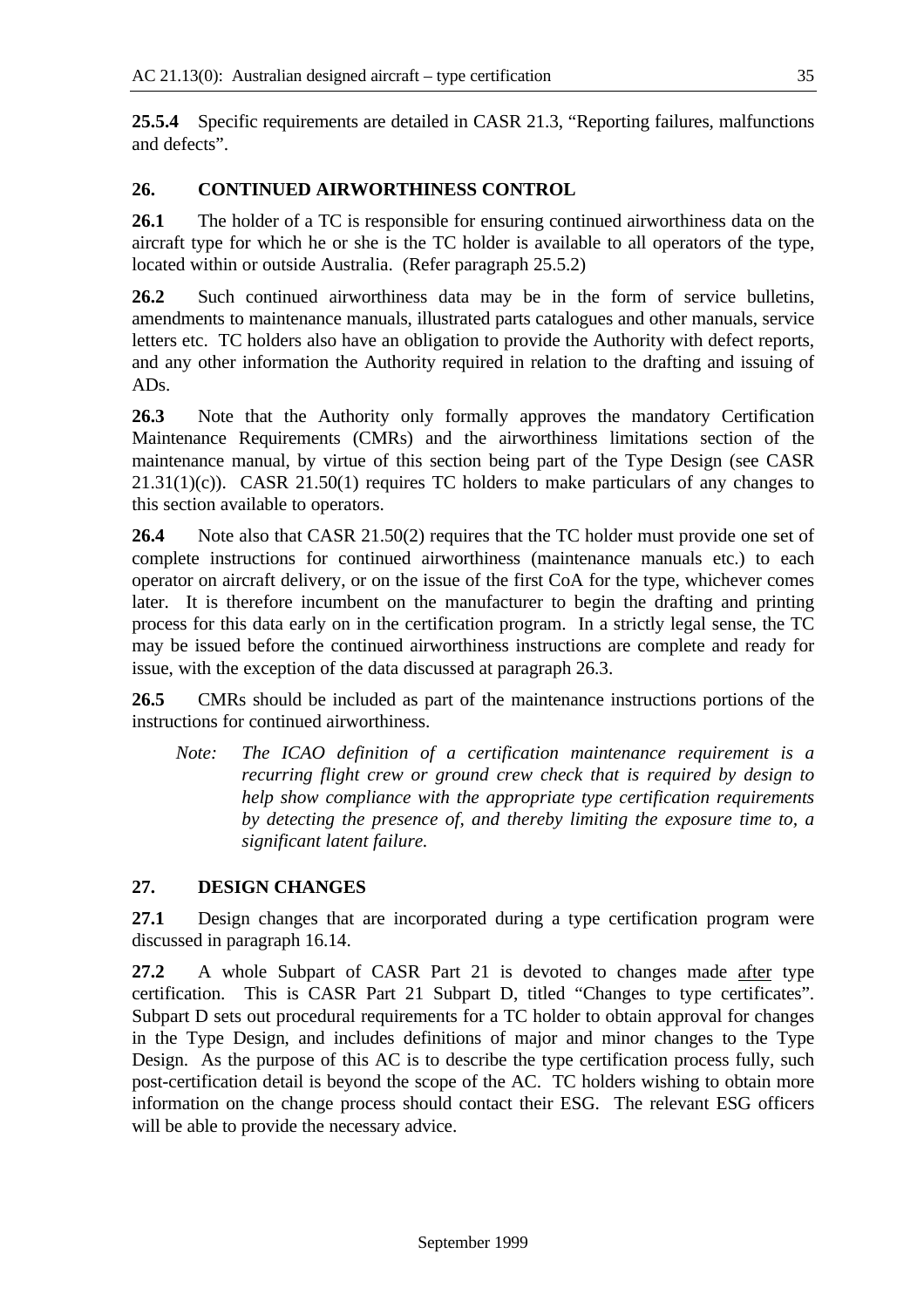**25.5.4** Specific requirements are detailed in CASR 21.3, "Reporting failures, malfunctions and defects".

## **26. CONTINUED AIRWORTHINESS CONTROL**

**26.1** The holder of a TC is responsible for ensuring continued airworthiness data on the aircraft type for which he or she is the TC holder is available to all operators of the type, located within or outside Australia. (Refer paragraph 25.5.2)

**26.2** Such continued airworthiness data may be in the form of service bulletins, amendments to maintenance manuals, illustrated parts catalogues and other manuals, service letters etc. TC holders also have an obligation to provide the Authority with defect reports, and any other information the Authority required in relation to the drafting and issuing of ADs.

**26.3** Note that the Authority only formally approves the mandatory Certification Maintenance Requirements (CMRs) and the airworthiness limitations section of the maintenance manual, by virtue of this section being part of the Type Design (see CASR  $21.31(1)(c)$ ). CASR  $21.50(1)$  requires TC holders to make particulars of any changes to this section available to operators.

**26.4** Note also that CASR 21.50(2) requires that the TC holder must provide one set of complete instructions for continued airworthiness (maintenance manuals etc.) to each operator on aircraft delivery, or on the issue of the first CoA for the type, whichever comes later. It is therefore incumbent on the manufacturer to begin the drafting and printing process for this data early on in the certification program. In a strictly legal sense, the TC may be issued before the continued airworthiness instructions are complete and ready for issue, with the exception of the data discussed at paragraph 26.3.

**26.5** CMRs should be included as part of the maintenance instructions portions of the instructions for continued airworthiness.

*Note: The ICAO definition of a certification maintenance requirement is a recurring flight crew or ground crew check that is required by design to help show compliance with the appropriate type certification requirements by detecting the presence of, and thereby limiting the exposure time to, a significant latent failure.*

## **27. DESIGN CHANGES**

**27.1** Design changes that are incorporated during a type certification program were discussed in paragraph 16.14.

**27.2** A whole Subpart of CASR Part 21 is devoted to changes made after type certification. This is CASR Part 21 Subpart D, titled "Changes to type certificates". Subpart D sets out procedural requirements for a TC holder to obtain approval for changes in the Type Design, and includes definitions of major and minor changes to the Type Design. As the purpose of this AC is to describe the type certification process fully, such post-certification detail is beyond the scope of the AC. TC holders wishing to obtain more information on the change process should contact their ESG. The relevant ESG officers will be able to provide the necessary advice.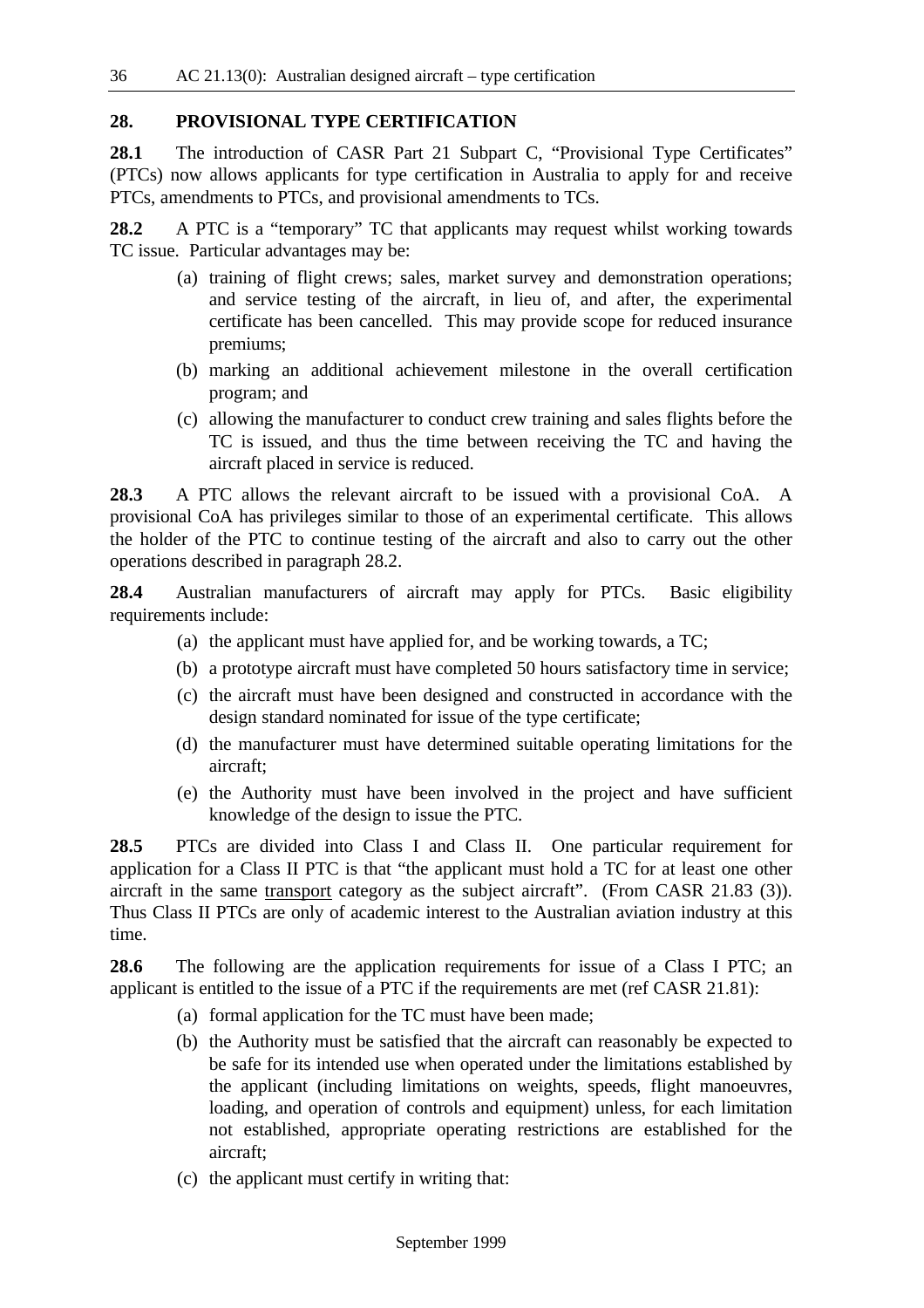#### **28. PROVISIONAL TYPE CERTIFICATION**

**28.1** The introduction of CASR Part 21 Subpart C, "Provisional Type Certificates" (PTCs) now allows applicants for type certification in Australia to apply for and receive PTCs, amendments to PTCs, and provisional amendments to TCs.

**28.2** A PTC is a "temporary" TC that applicants may request whilst working towards TC issue. Particular advantages may be:

- (a) training of flight crews; sales, market survey and demonstration operations; and service testing of the aircraft, in lieu of, and after, the experimental certificate has been cancelled. This may provide scope for reduced insurance premiums;
- (b) marking an additional achievement milestone in the overall certification program; and
- (c) allowing the manufacturer to conduct crew training and sales flights before the TC is issued, and thus the time between receiving the TC and having the aircraft placed in service is reduced.

**28.3** A PTC allows the relevant aircraft to be issued with a provisional CoA. A provisional CoA has privileges similar to those of an experimental certificate. This allows the holder of the PTC to continue testing of the aircraft and also to carry out the other operations described in paragraph 28.2.

**28.4** Australian manufacturers of aircraft may apply for PTCs. Basic eligibility requirements include:

- (a) the applicant must have applied for, and be working towards, a TC;
- (b) a prototype aircraft must have completed 50 hours satisfactory time in service;
- (c) the aircraft must have been designed and constructed in accordance with the design standard nominated for issue of the type certificate;
- (d) the manufacturer must have determined suitable operating limitations for the aircraft;
- (e) the Authority must have been involved in the project and have sufficient knowledge of the design to issue the PTC.

**28.5** PTCs are divided into Class I and Class II. One particular requirement for application for a Class II PTC is that "the applicant must hold a TC for at least one other aircraft in the same transport category as the subject aircraft". (From CASR 21.83 (3)). Thus Class II PTCs are only of academic interest to the Australian aviation industry at this time.

**28.6** The following are the application requirements for issue of a Class I PTC; an applicant is entitled to the issue of a PTC if the requirements are met (ref CASR 21.81):

- (a) formal application for the TC must have been made;
- (b) the Authority must be satisfied that the aircraft can reasonably be expected to be safe for its intended use when operated under the limitations established by the applicant (including limitations on weights, speeds, flight manoeuvres, loading, and operation of controls and equipment) unless, for each limitation not established, appropriate operating restrictions are established for the aircraft;
- (c) the applicant must certify in writing that: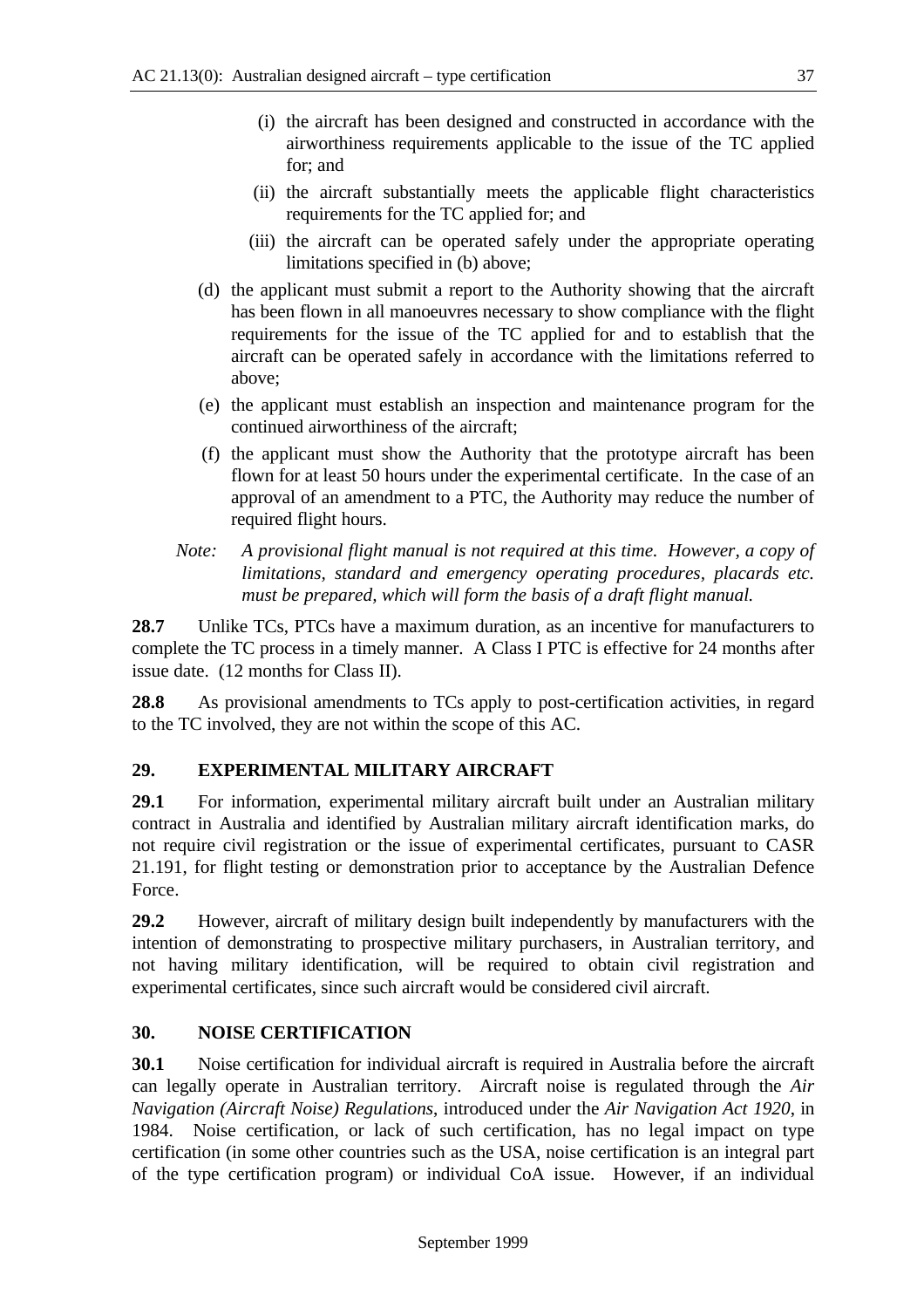- (i) the aircraft has been designed and constructed in accordance with the airworthiness requirements applicable to the issue of the TC applied for; and
- (ii) the aircraft substantially meets the applicable flight characteristics requirements for the TC applied for; and
- (iii) the aircraft can be operated safely under the appropriate operating limitations specified in (b) above;
- (d) the applicant must submit a report to the Authority showing that the aircraft has been flown in all manoeuvres necessary to show compliance with the flight requirements for the issue of the TC applied for and to establish that the aircraft can be operated safely in accordance with the limitations referred to above;
- (e) the applicant must establish an inspection and maintenance program for the continued airworthiness of the aircraft;
- (f) the applicant must show the Authority that the prototype aircraft has been flown for at least 50 hours under the experimental certificate. In the case of an approval of an amendment to a PTC, the Authority may reduce the number of required flight hours.
- *Note: A provisional flight manual is not required at this time. However, a copy of limitations, standard and emergency operating procedures, placards etc. must be prepared, which will form the basis of a draft flight manual.*

**28.7** Unlike TCs, PTCs have a maximum duration, as an incentive for manufacturers to complete the TC process in a timely manner. A Class I PTC is effective for 24 months after issue date. (12 months for Class II).

**28.8** As provisional amendments to TCs apply to post-certification activities, in regard to the TC involved, they are not within the scope of this AC.

## **29. EXPERIMENTAL MILITARY AIRCRAFT**

**29.1** For information, experimental military aircraft built under an Australian military contract in Australia and identified by Australian military aircraft identification marks, do not require civil registration or the issue of experimental certificates, pursuant to CASR 21.191, for flight testing or demonstration prior to acceptance by the Australian Defence Force.

**29.2** However, aircraft of military design built independently by manufacturers with the intention of demonstrating to prospective military purchasers, in Australian territory, and not having military identification, will be required to obtain civil registration and experimental certificates, since such aircraft would be considered civil aircraft.

## **30. NOISE CERTIFICATION**

**30.1** Noise certification for individual aircraft is required in Australia before the aircraft can legally operate in Australian territory. Aircraft noise is regulated through the *Air Navigation (Aircraft Noise) Regulations*, introduced under the *Air Navigation Act 1920*, in 1984. Noise certification, or lack of such certification, has no legal impact on type certification (in some other countries such as the USA, noise certification is an integral part of the type certification program) or individual CoA issue. However, if an individual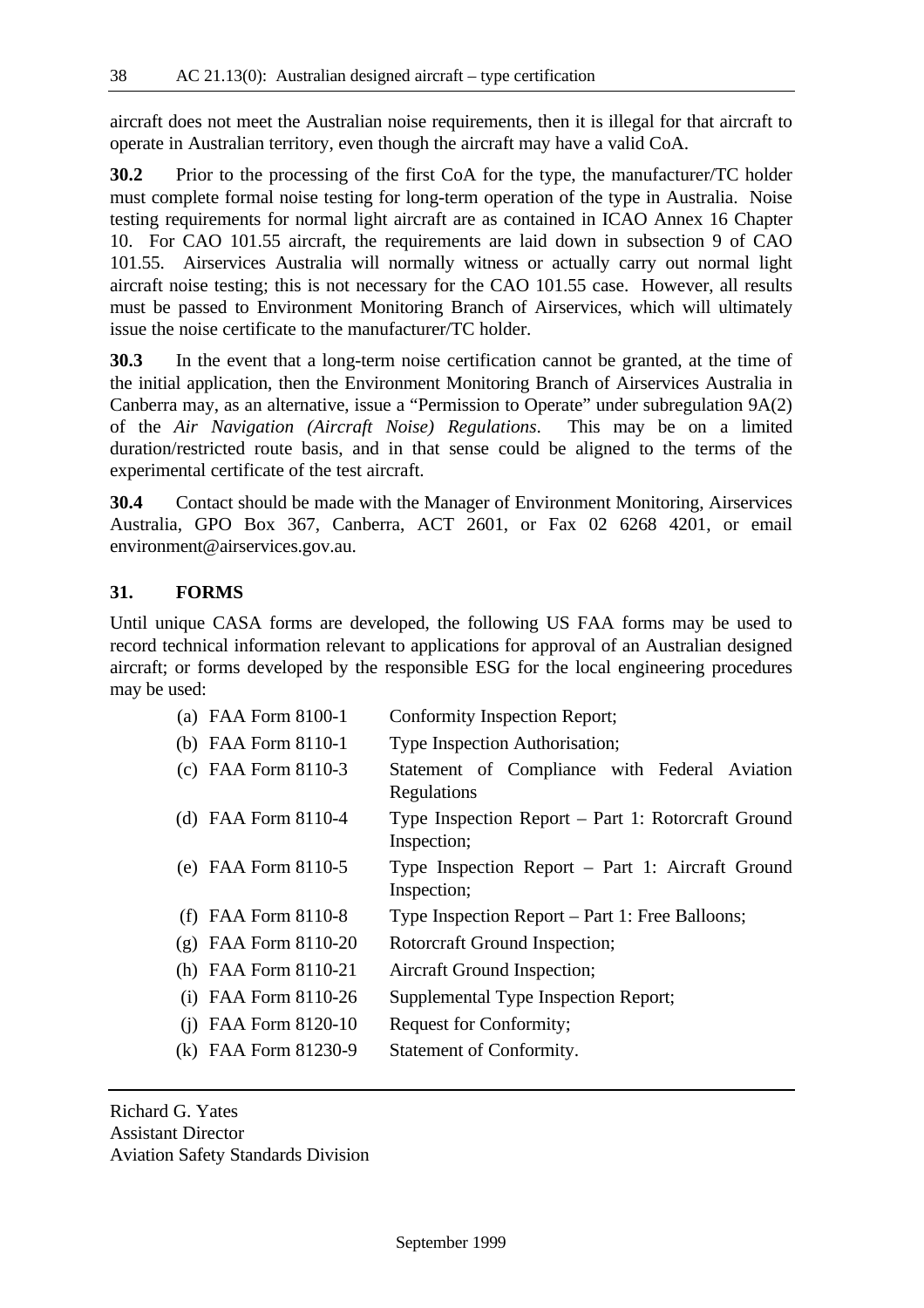aircraft does not meet the Australian noise requirements, then it is illegal for that aircraft to operate in Australian territory, even though the aircraft may have a valid CoA.

**30.2** Prior to the processing of the first CoA for the type, the manufacturer/TC holder must complete formal noise testing for long-term operation of the type in Australia. Noise testing requirements for normal light aircraft are as contained in ICAO Annex 16 Chapter 10. For CAO 101.55 aircraft, the requirements are laid down in subsection 9 of CAO 101.55. Airservices Australia will normally witness or actually carry out normal light aircraft noise testing; this is not necessary for the CAO 101.55 case. However, all results must be passed to Environment Monitoring Branch of Airservices, which will ultimately issue the noise certificate to the manufacturer/TC holder.

**30.3** In the event that a long-term noise certification cannot be granted, at the time of the initial application, then the Environment Monitoring Branch of Airservices Australia in Canberra may, as an alternative, issue a "Permission to Operate" under subregulation 9A(2) of the *Air Navigation (Aircraft Noise) Regulations*. This may be on a limited duration/restricted route basis, and in that sense could be aligned to the terms of the experimental certificate of the test aircraft.

**30.4** Contact should be made with the Manager of Environment Monitoring, Airservices Australia, GPO Box 367, Canberra, ACT 2601, or Fax 02 6268 4201, or email environment@airservices.gov.au.

#### **31. FORMS**

Until unique CASA forms are developed, the following US FAA forms may be used to record technical information relevant to applications for approval of an Australian designed aircraft; or forms developed by the responsible ESG for the local engineering procedures may be used:

| (a) FAA Form 8100-1                  |             | Conformity Inspection Report;                      |  |  |
|--------------------------------------|-------------|----------------------------------------------------|--|--|
| (b) FAA Form $8110-1$                |             | Type Inspection Authorisation;                     |  |  |
| (c) FAA Form $8110-3$                | Regulations | Statement of Compliance with Federal Aviation      |  |  |
| (d) FAA Form $8110-4$                | Inspection; | Type Inspection Report – Part 1: Rotorcraft Ground |  |  |
| (e) FAA Form $8110-5$                | Inspection; | Type Inspection Report - Part 1: Aircraft Ground   |  |  |
| FAA Form 8110-8                      |             | Type Inspection Report – Part 1: Free Balloons;    |  |  |
| FAA Form 8110-20<br>$(\mathfrak{g})$ |             | Rotorcraft Ground Inspection;                      |  |  |
| (h) FAA Form $8110-21$               |             | Aircraft Ground Inspection;                        |  |  |
| FAA Form 8110-26<br>(i)              |             | Supplemental Type Inspection Report;               |  |  |
| FAA Form 8120-10<br>(1)              |             | Request for Conformity;                            |  |  |
| (k) FAA Form 81230-9                 |             | Statement of Conformity.                           |  |  |

Richard G. Yates Assistant Director Aviation Safety Standards Division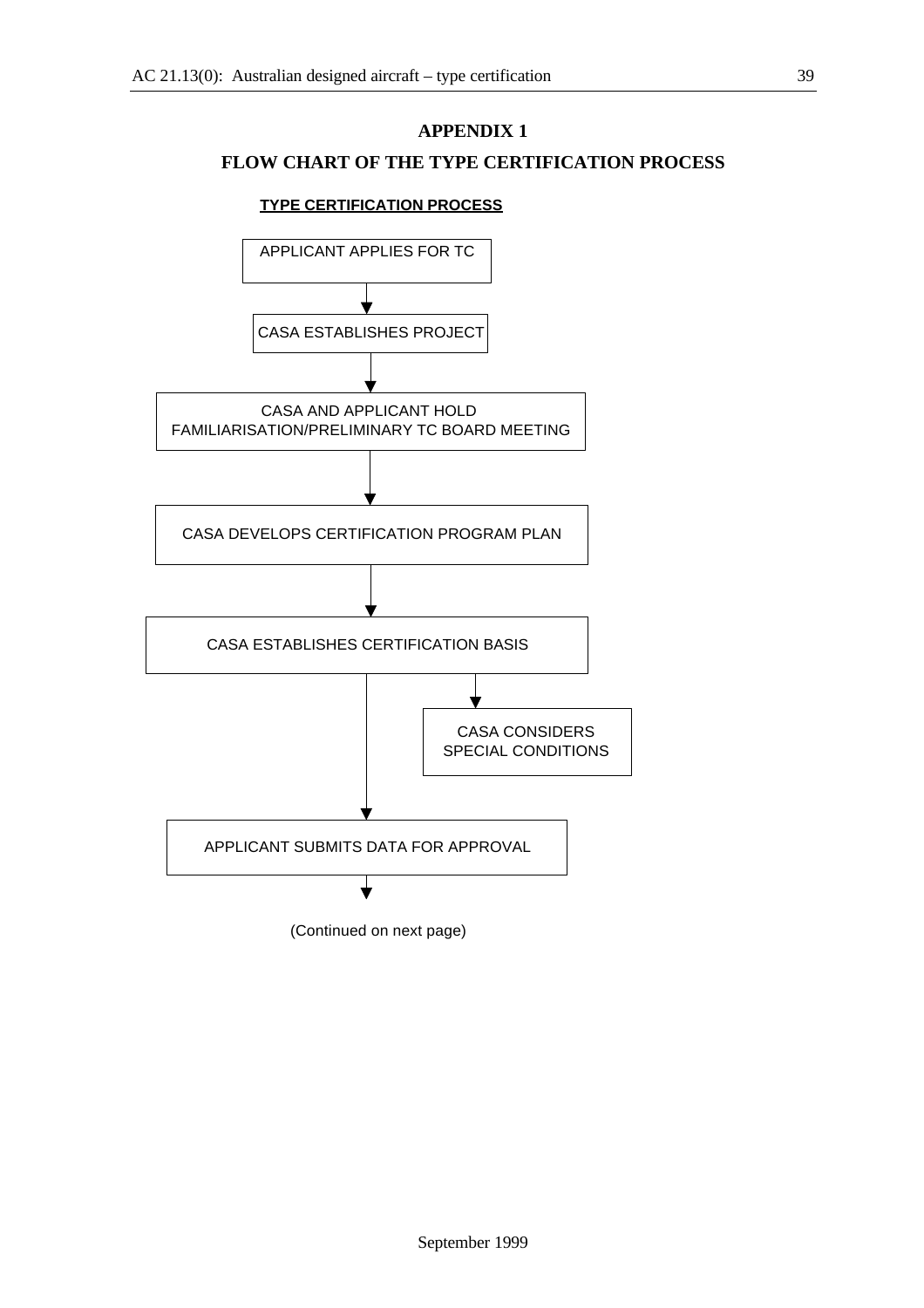## **APPENDIX 1**

## **FLOW CHART OF THE TYPE CERTIFICATION PROCESS**

#### **TYPE CERTIFICATION PROCESS**

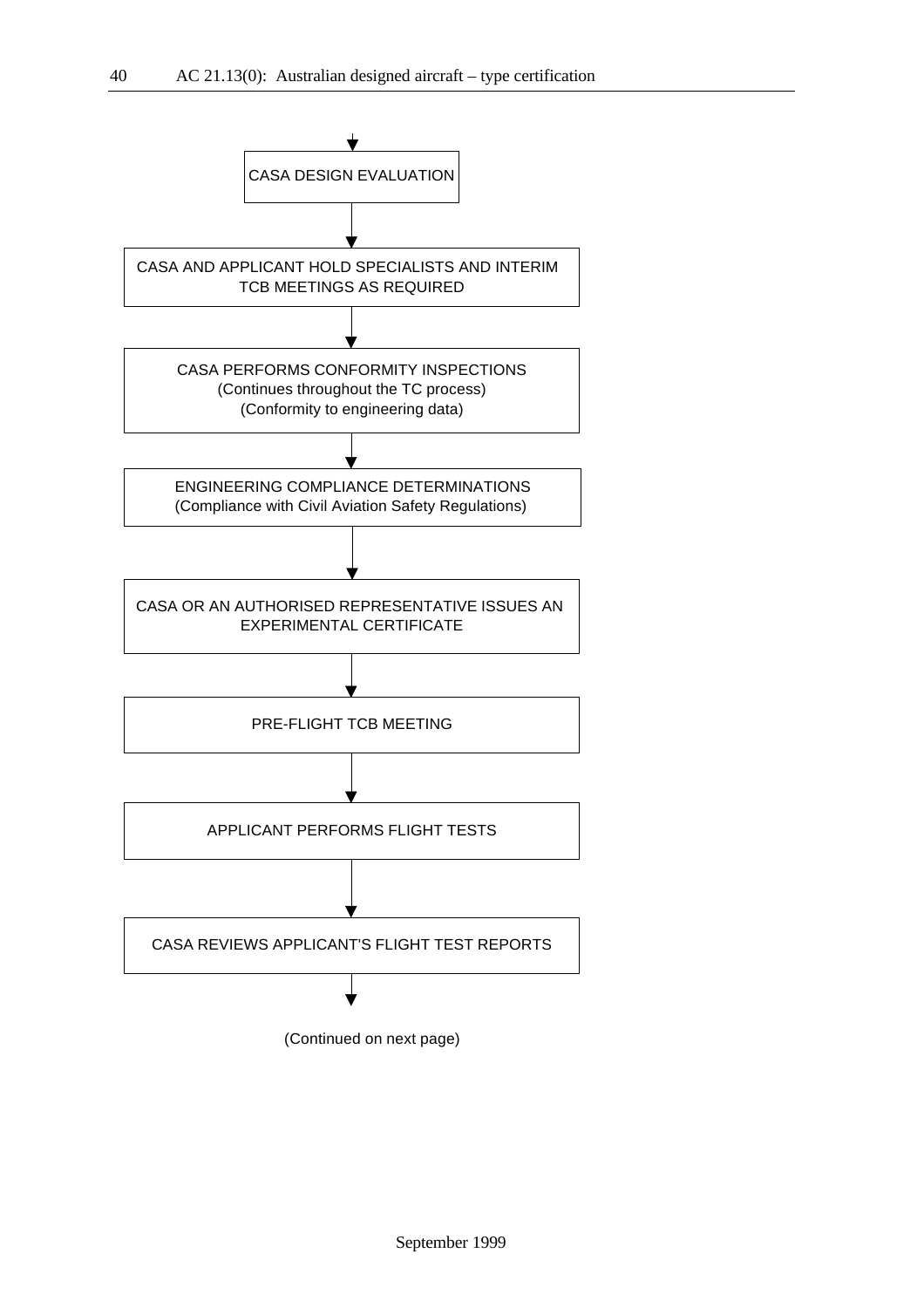